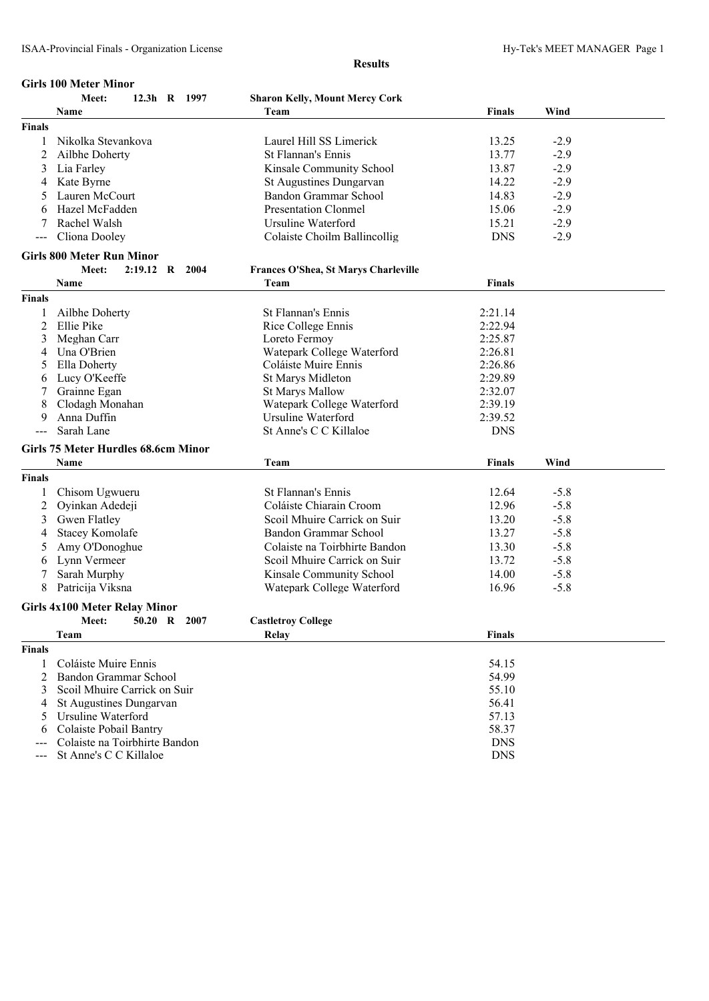#### **Girls 100 Meter Minor**

|               | Meet:<br>12.3h R 1997                | <b>Sharon Kelly, Mount Mercy Cork</b> |               |        |  |
|---------------|--------------------------------------|---------------------------------------|---------------|--------|--|
|               | Name                                 | Team                                  | <b>Finals</b> | Wind   |  |
| <b>Finals</b> |                                      |                                       |               |        |  |
| 1             | Nikolka Stevankova                   | Laurel Hill SS Limerick               | 13.25         | $-2.9$ |  |
| 2             | Ailbhe Doherty                       | <b>St Flannan's Ennis</b>             | 13.77         | $-2.9$ |  |
| 3             | Lia Farley                           | Kinsale Community School              | 13.87         | $-2.9$ |  |
| 4             | Kate Byrne                           | St Augustines Dungarvan               | 14.22         | $-2.9$ |  |
|               | Lauren McCourt                       | Bandon Grammar School                 | 14.83         | $-2.9$ |  |
|               | Hazel McFadden                       | <b>Presentation Clonmel</b>           | 15.06         | $-2.9$ |  |
| 7             | Rachel Walsh                         | Ursuline Waterford                    | 15.21         | $-2.9$ |  |
|               | Cliona Dooley                        | Colaiste Choilm Ballincollig          | <b>DNS</b>    | $-2.9$ |  |
|               |                                      |                                       |               |        |  |
|               | <b>Girls 800 Meter Run Minor</b>     |                                       |               |        |  |
|               | 2:19.12 R 2004<br>Meet:              | Frances O'Shea, St Marys Charleville  |               |        |  |
|               | Name                                 | Team                                  | Finals        |        |  |
| <b>Finals</b> |                                      |                                       |               |        |  |
| 1             | Ailbhe Doherty                       | St Flannan's Ennis                    | 2:21.14       |        |  |
| 2             | Ellie Pike                           | Rice College Ennis                    | 2:22.94       |        |  |
| 3             | Meghan Carr                          | Loreto Fermoy                         | 2:25.87       |        |  |
| 4             | Una O'Brien                          | Watepark College Waterford            | 2:26.81       |        |  |
| 5             | Ella Doherty                         | Coláiste Muire Ennis                  | 2:26.86       |        |  |
| 6             | Lucy O'Keeffe                        | St Marys Midleton                     | 2:29.89       |        |  |
| 7             | Grainne Egan                         | <b>St Marys Mallow</b>                | 2:32.07       |        |  |
| 8             | Clodagh Monahan                      | Watepark College Waterford            | 2:39.19       |        |  |
| 9             | Anna Duffin                          | Ursuline Waterford                    | 2:39.52       |        |  |
| $---$         | Sarah Lane                           | St Anne's C C Killaloe                | <b>DNS</b>    |        |  |
|               | Girls 75 Meter Hurdles 68.6cm Minor  |                                       |               |        |  |
|               | Name                                 |                                       |               | Wind   |  |
|               |                                      | Team                                  | <b>Finals</b> |        |  |
| <b>Finals</b> |                                      |                                       |               |        |  |
| 1             | Chisom Ugwueru                       | St Flannan's Ennis                    | 12.64         | $-5.8$ |  |
| 2             | Oyinkan Adedeji                      | Coláiste Chiarain Croom               | 12.96         | $-5.8$ |  |
| 3             | Gwen Flatley                         | Scoil Mhuire Carrick on Suir          | 13.20         | $-5.8$ |  |
| 4             | <b>Stacey Komolafe</b>               | Bandon Grammar School                 | 13.27         | $-5.8$ |  |
| 5             | Amy O'Donoghue                       | Colaiste na Toirbhirte Bandon         | 13.30         | $-5.8$ |  |
| 6             | Lynn Vermeer                         | Scoil Mhuire Carrick on Suir          | 13.72         | $-5.8$ |  |
| 7             | Sarah Murphy                         | Kinsale Community School              | 14.00         | $-5.8$ |  |
| 8             | Patricija Viksna                     | Watepark College Waterford            | 16.96         | $-5.8$ |  |
|               | <b>Girls 4x100 Meter Relay Minor</b> |                                       |               |        |  |
|               |                                      |                                       |               |        |  |
|               | Meet:<br>50.20 R 2007                | <b>Castletroy College</b>             |               |        |  |
|               | Team                                 | Relay                                 | <b>Finals</b> |        |  |
| <b>Finals</b> |                                      |                                       |               |        |  |
| 1             | Coláiste Muire Ennis                 |                                       | 54.15         |        |  |
| 2             | Bandon Grammar School                |                                       | 54.99         |        |  |
| 3             | Scoil Mhuire Carrick on Suir         |                                       | 55.10         |        |  |
| 4             | St Augustines Dungarvan              |                                       | 56.41         |        |  |
| 5             | Ursuline Waterford                   |                                       | 57.13         |        |  |
| 6             | Colaiste Pobail Bantry               |                                       | 58.37         |        |  |
| ---           | Colaiste na Toirbhirte Bandon        |                                       | <b>DNS</b>    |        |  |
| ---           | St Anne's C C Killaloe               |                                       | <b>DNS</b>    |        |  |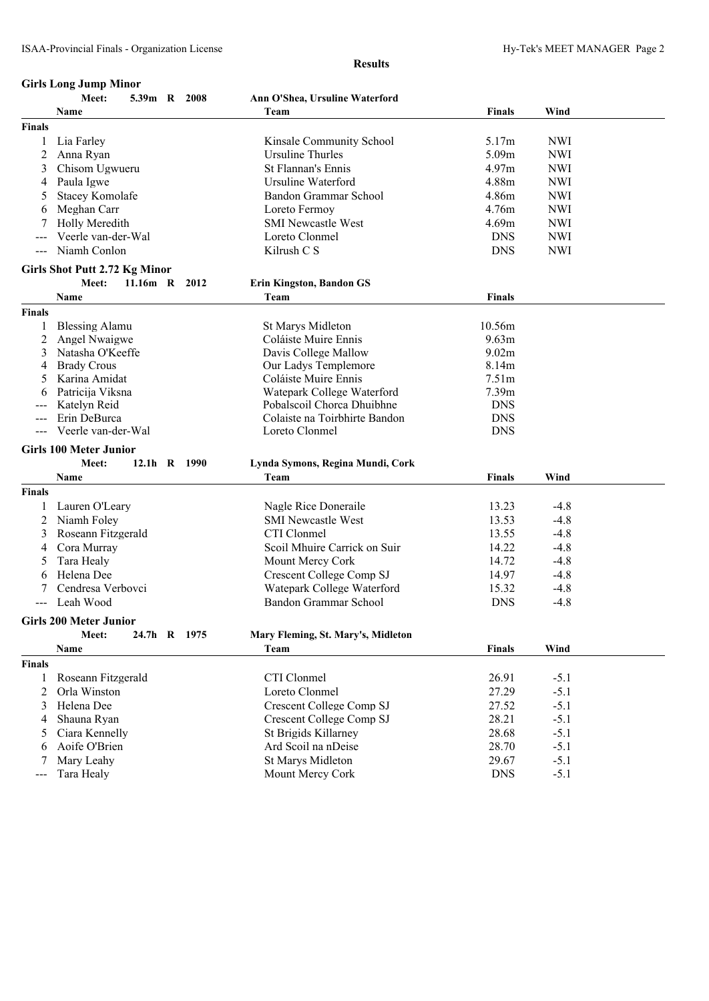|                              | <b>Girls Long Jump Minor</b>                  |  |               |                                                 |                          |            |  |
|------------------------------|-----------------------------------------------|--|---------------|-------------------------------------------------|--------------------------|------------|--|
|                              | Meet:                                         |  | 5.39m R 2008  | Ann O'Shea, Ursuline Waterford                  |                          |            |  |
|                              | <b>Name</b>                                   |  |               | Team                                            | <b>Finals</b>            | Wind       |  |
| <b>Finals</b>                |                                               |  |               |                                                 |                          |            |  |
| 1                            | Lia Farley                                    |  |               | Kinsale Community School                        | 5.17m                    | <b>NWI</b> |  |
| 2                            | Anna Ryan                                     |  |               | <b>Ursuline Thurles</b>                         | 5.09m                    | <b>NWI</b> |  |
| 3                            | Chisom Ugwueru                                |  |               | <b>St Flannan's Ennis</b>                       | 4.97m                    | <b>NWI</b> |  |
| 4                            | Paula Igwe                                    |  |               | Ursuline Waterford                              | 4.88m                    | <b>NWI</b> |  |
|                              | <b>Stacey Komolafe</b>                        |  |               | Bandon Grammar School                           | 4.86m                    | <b>NWI</b> |  |
| 6                            | Meghan Carr                                   |  |               | Loreto Fermoy                                   | 4.76m                    | <b>NWI</b> |  |
|                              | Holly Meredith                                |  |               | <b>SMI Newcastle West</b>                       | 4.69m                    | <b>NWI</b> |  |
|                              | Veerle van-der-Wal                            |  |               | Loreto Clonmel                                  | <b>DNS</b>               | <b>NWI</b> |  |
|                              | Niamh Conlon                                  |  |               | Kilrush C S                                     | <b>DNS</b>               | <b>NWI</b> |  |
|                              |                                               |  |               |                                                 |                          |            |  |
|                              | <b>Girls Shot Putt 2.72 Kg Minor</b><br>Meet: |  | 11.16m R 2012 |                                                 |                          |            |  |
|                              |                                               |  |               | <b>Erin Kingston, Bandon GS</b><br>Team         | <b>Finals</b>            |            |  |
|                              | Name                                          |  |               |                                                 |                          |            |  |
| <b>Finals</b>                |                                               |  |               |                                                 |                          |            |  |
| 1                            | <b>Blessing Alamu</b>                         |  |               | <b>St Marys Midleton</b>                        | 10.56m                   |            |  |
| 2                            | Angel Nwaigwe                                 |  |               | Coláiste Muire Ennis                            | 9.63m                    |            |  |
|                              | Natasha O'Keeffe                              |  |               | Davis College Mallow                            | 9.02m                    |            |  |
| 4                            | <b>Brady Crous</b>                            |  |               | Our Ladys Templemore                            | 8.14m                    |            |  |
| 5                            | Karina Amidat                                 |  |               | Coláiste Muire Ennis                            | 7.51m                    |            |  |
| 6                            | Patricija Viksna                              |  |               | Watepark College Waterford                      | 7.39m                    |            |  |
|                              | Katelyn Reid<br>Erin DeBurca                  |  |               | Pobalscoil Chorca Dhuibhne                      | <b>DNS</b><br><b>DNS</b> |            |  |
| $---$<br>$\qquad \qquad - -$ | Veerle van-der-Wal                            |  |               | Colaiste na Toirbhirte Bandon<br>Loreto Clonmel | <b>DNS</b>               |            |  |
|                              |                                               |  |               |                                                 |                          |            |  |
|                              | <b>Girls 100 Meter Junior</b>                 |  |               |                                                 |                          |            |  |
|                              | Meet:                                         |  | 12.1h R 1990  | Lynda Symons, Regina Mundi, Cork                |                          |            |  |
|                              | Name                                          |  |               | Team                                            | Finals                   | Wind       |  |
| <b>Finals</b>                |                                               |  |               |                                                 |                          |            |  |
| 1                            | Lauren O'Leary                                |  |               | Nagle Rice Doneraile                            | 13.23                    | $-4.8$     |  |
| 2                            | Niamh Foley                                   |  |               | <b>SMI Newcastle West</b>                       | 13.53                    | $-4.8$     |  |
| 3                            | Roseann Fitzgerald                            |  |               | CTI Clonmel                                     | 13.55                    | $-4.8$     |  |
| 4                            | Cora Murray                                   |  |               | Scoil Mhuire Carrick on Suir                    | 14.22                    | $-4.8$     |  |
| 5                            | Tara Healy                                    |  |               | Mount Mercy Cork                                | 14.72                    | $-4.8$     |  |
| 6                            | Helena Dee                                    |  |               | Crescent College Comp SJ                        | 14.97                    | $-4.8$     |  |
|                              | Cendresa Verbovci                             |  |               | Watepark College Waterford                      | 15.32                    | $-4.8$     |  |
| $---$                        | Leah Wood                                     |  |               | Bandon Grammar School                           | <b>DNS</b>               | $-4.8$     |  |
|                              | <b>Girls 200 Meter Junior</b>                 |  |               |                                                 |                          |            |  |
|                              | Meet:                                         |  | 24.7h R 1975  | Mary Fleming, St. Mary's, Midleton              |                          |            |  |
|                              | <b>Name</b>                                   |  |               | Team                                            | <b>Finals</b>            | Wind       |  |
| <b>Finals</b>                |                                               |  |               |                                                 |                          |            |  |
| 1                            | Roseann Fitzgerald                            |  |               | CTI Clonmel                                     | 26.91                    | $-5.1$     |  |
| $\overline{2}$               | Orla Winston                                  |  |               | Loreto Clonmel                                  | 27.29                    | $-5.1$     |  |
| 3                            | Helena Dee                                    |  |               | Crescent College Comp SJ                        | 27.52                    | $-5.1$     |  |
| 4                            | Shauna Ryan                                   |  |               | Crescent College Comp SJ                        | 28.21                    | $-5.1$     |  |
| 5                            | Ciara Kennelly                                |  |               | St Brigids Killarney                            | 28.68                    | $-5.1$     |  |
| 6                            | Aoife O'Brien                                 |  |               | Ard Scoil na nDeise                             | 28.70                    | $-5.1$     |  |
|                              | Mary Leahy                                    |  |               | <b>St Marys Midleton</b>                        | 29.67                    | $-5.1$     |  |
| $---$                        | Tara Healy                                    |  |               | Mount Mercy Cork                                | <b>DNS</b>               | $-5.1$     |  |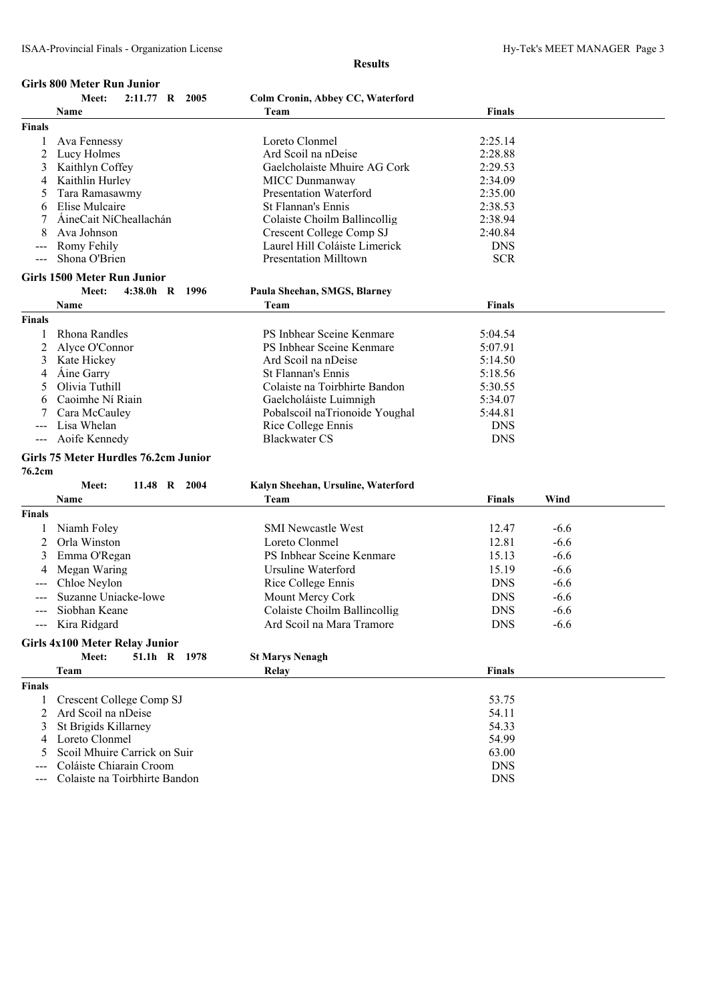#### **Girls 800 Meter Run Junior**

**Results**

|               | Meet:<br>2:11.77 R 2005               | Colm Cronin, Abbey CC, Waterford   |               |        |
|---------------|---------------------------------------|------------------------------------|---------------|--------|
|               | Name                                  | Team                               | <b>Finals</b> |        |
| <b>Finals</b> |                                       |                                    |               |        |
| 1             | Ava Fennessy                          | Loreto Clonmel                     | 2:25.14       |        |
| 2             | Lucy Holmes                           | Ard Scoil na nDeise                | 2:28.88       |        |
| 3             | Kaithlyn Coffey                       | Gaelcholaiste Mhuire AG Cork       | 2:29.53       |        |
| 4             | Kaithlin Hurley                       | MICC Dunmanway                     | 2:34.09       |        |
|               | Tara Ramasawmy                        | <b>Presentation Waterford</b>      | 2:35.00       |        |
| 6             | Elise Mulcaire                        | St Flannan's Ennis                 | 2:38.53       |        |
|               | ÁineCait NíCheallachán                | Colaiste Choilm Ballincollig       | 2:38.94       |        |
|               | Ava Johnson                           | Crescent College Comp SJ           | 2:40.84       |        |
|               | Romy Fehily                           | Laurel Hill Coláiste Limerick      | <b>DNS</b>    |        |
|               | Shona O'Brien                         | <b>Presentation Milltown</b>       | <b>SCR</b>    |        |
|               | <b>Girls 1500 Meter Run Junior</b>    |                                    |               |        |
|               | Meet:<br>4:38.0h R 1996               | Paula Sheehan, SMGS, Blarney       |               |        |
|               | Name                                  | Team                               | Finals        |        |
| <b>Finals</b> |                                       |                                    |               |        |
| 1             | Rhona Randles                         | PS Inbhear Sceine Kenmare          | 5:04.54       |        |
| 2             | Alyce O'Connor                        | PS Inbhear Sceine Kenmare          | 5:07.91       |        |
| 3             | Kate Hickey                           | Ard Scoil na nDeise                | 5:14.50       |        |
| 4             | Aine Garry                            | St Flannan's Ennis                 | 5:18.56       |        |
| 5             | Olivia Tuthill                        | Colaiste na Toirbhirte Bandon      | 5:30.55       |        |
| 6             | Caoimhe Ní Riain                      | Gaelcholáiste Luimnigh             | 5:34.07       |        |
|               | Cara McCauley                         | Pobalscoil naTrionoide Youghal     | 5:44.81       |        |
| ---           | Lisa Whelan                           | Rice College Ennis                 | <b>DNS</b>    |        |
|               | Aoife Kennedy                         | <b>Blackwater CS</b>               | <b>DNS</b>    |        |
|               | Girls 75 Meter Hurdles 76.2cm Junior  |                                    |               |        |
| 76.2cm        |                                       |                                    |               |        |
|               | Meet:<br>11.48 R 2004                 | Kalyn Sheehan, Ursuline, Waterford |               |        |
|               | Name                                  | Team                               | <b>Finals</b> | Wind   |
| <b>Finals</b> |                                       |                                    |               |        |
| 1             | Niamh Foley                           | <b>SMI Newcastle West</b>          | 12.47         | $-6.6$ |
| 2             | Orla Winston                          | Loreto Clonmel                     | 12.81         | $-6.6$ |
|               |                                       | PS Inbhear Sceine Kenmare          | 15.13         | $-6.6$ |
| 3             | Emma O'Regan                          |                                    |               |        |
|               | Megan Waring                          | Ursuline Waterford                 | 15.19         | $-6.6$ |
|               | Chloe Neylon                          | Rice College Ennis                 | <b>DNS</b>    | $-6.6$ |
|               | Suzanne Uniacke-lowe                  | Mount Mercy Cork                   | <b>DNS</b>    | $-6.6$ |
| ---           | Siobhan Keane                         | Colaiste Choilm Ballincollig       | <b>DNS</b>    | $-6.6$ |
|               | --- Kira Ridgard                      | Ard Scoil na Mara Tramore          | <b>DNS</b>    | $-6.6$ |
|               | <b>Girls 4x100 Meter Relay Junior</b> |                                    |               |        |
|               | Meet:<br>51.1h R 1978                 | <b>St Marys Nenagh</b>             |               |        |
|               | Team                                  | Relay                              | <b>Finals</b> |        |
| <b>Finals</b> |                                       |                                    |               |        |
| 1             | Crescent College Comp SJ              |                                    | 53.75         |        |
| 2             | Ard Scoil na nDeise                   |                                    | 54.11         |        |
| 3             | St Brigids Killarney                  |                                    | 54.33         |        |
| 4             | Loreto Clonmel                        |                                    | 54.99         |        |
| 5             | Scoil Mhuire Carrick on Suir          |                                    | 63.00         |        |
| ---           | Coláiste Chiarain Croom               |                                    | <b>DNS</b>    |        |

--- Colaiste na Toirbhirte Bandon DNS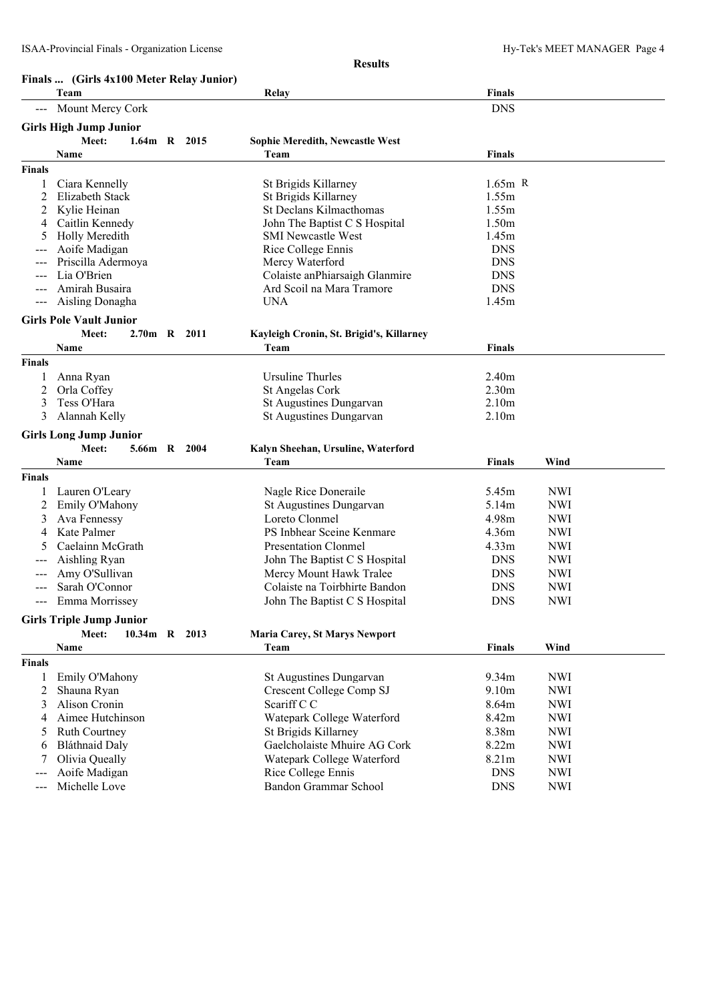|               | Finals  (Girls 4x100 Meter Relay Junior) |               |  |                                          |                   |            |  |
|---------------|------------------------------------------|---------------|--|------------------------------------------|-------------------|------------|--|
|               | Team                                     |               |  | Relay                                    | <b>Finals</b>     |            |  |
|               | Mount Mercy Cork                         |               |  |                                          | <b>DNS</b>        |            |  |
|               | <b>Girls High Jump Junior</b>            |               |  |                                          |                   |            |  |
|               | Meet:                                    | 1.64m R 2015  |  | <b>Sophie Meredith, Newcastle West</b>   |                   |            |  |
|               | Name                                     |               |  | Team                                     | <b>Finals</b>     |            |  |
| Finals        |                                          |               |  |                                          |                   |            |  |
|               | Ciara Kennelly                           |               |  | St Brigids Killarney                     | $1.65m$ R         |            |  |
| 2             | Elizabeth Stack                          |               |  | St Brigids Killarney                     | 1.55m             |            |  |
| 2             | Kylie Heinan                             |               |  | St Declans Kilmacthomas                  | 1.55m             |            |  |
| 4             | Caitlin Kennedy                          |               |  | John The Baptist C S Hospital            | 1.50m             |            |  |
| 5             | Holly Meredith                           |               |  | <b>SMI Newcastle West</b>                | 1.45m             |            |  |
|               | Aoife Madigan                            |               |  | Rice College Ennis                       | <b>DNS</b>        |            |  |
|               | Priscilla Adermoya                       |               |  | Mercy Waterford                          | <b>DNS</b>        |            |  |
|               | Lia O'Brien                              |               |  | Colaiste an Phiarsaigh Glanmire          | <b>DNS</b>        |            |  |
|               | Amirah Busaira                           |               |  | Ard Scoil na Mara Tramore                | <b>DNS</b>        |            |  |
| ---           | Aisling Donagha                          |               |  | <b>UNA</b>                               | 1.45m             |            |  |
|               | <b>Girls Pole Vault Junior</b>           |               |  |                                          |                   |            |  |
|               | Meet:                                    | 2.70m R 2011  |  | Kayleigh Cronin, St. Brigid's, Killarney |                   |            |  |
|               | Name                                     |               |  | Team                                     | <b>Finals</b>     |            |  |
| Finals        |                                          |               |  |                                          |                   |            |  |
|               | Anna Ryan                                |               |  | Ursuline Thurles                         | 2.40m             |            |  |
| 2             | Orla Coffey                              |               |  | St Angelas Cork                          | 2.30 <sub>m</sub> |            |  |
| 3             | Tess O'Hara                              |               |  | St Augustines Dungarvan                  | 2.10m             |            |  |
| 3             | Alannah Kelly                            |               |  | St Augustines Dungarvan                  | 2.10m             |            |  |
|               | <b>Girls Long Jump Junior</b>            |               |  |                                          |                   |            |  |
|               | Meet:                                    | 5.66m R 2004  |  | Kalyn Sheehan, Ursuline, Waterford       |                   |            |  |
|               | Name                                     |               |  | Team                                     | Finals            | Wind       |  |
| Finals        |                                          |               |  |                                          |                   |            |  |
| 1             | Lauren O'Leary                           |               |  | Nagle Rice Doneraile                     | 5.45m             | <b>NWI</b> |  |
| 2             | Emily O'Mahony                           |               |  | St Augustines Dungarvan                  | 5.14m             | <b>NWI</b> |  |
| 3             | Ava Fennessy                             |               |  | Loreto Clonmel                           | 4.98m             | <b>NWI</b> |  |
| 4             | Kate Palmer                              |               |  | PS Inbhear Sceine Kenmare                | 4.36m             | <b>NWI</b> |  |
|               | Caelainn McGrath                         |               |  | <b>Presentation Clonmel</b>              | 4.33m             | <b>NWI</b> |  |
| ---           | Aishling Ryan                            |               |  | John The Baptist C S Hospital            | <b>DNS</b>        | <b>NWI</b> |  |
|               | Amy O'Sullivan                           |               |  | Mercy Mount Hawk Tralee                  | <b>DNS</b>        | <b>NWI</b> |  |
|               | Sarah O'Connor                           |               |  | Colaiste na Toirbhirte Bandon            | <b>DNS</b>        | <b>NWI</b> |  |
| $---$         | Emma Morrissey                           |               |  | John The Baptist C S Hospital            | <b>DNS</b>        | <b>NWI</b> |  |
|               | <b>Girls Triple Jump Junior</b>          |               |  |                                          |                   |            |  |
|               | Meet:                                    | 10.34m R 2013 |  | <b>Maria Carey, St Marys Newport</b>     |                   |            |  |
|               | Name                                     |               |  | Team                                     | <b>Finals</b>     | Wind       |  |
| <b>Finals</b> |                                          |               |  |                                          |                   |            |  |
| 1             | Emily O'Mahony                           |               |  | <b>St Augustines Dungarvan</b>           | 9.34m             | <b>NWI</b> |  |
| 2             | Shauna Ryan                              |               |  | Crescent College Comp SJ                 | 9.10m             | <b>NWI</b> |  |
| 3             | Alison Cronin                            |               |  | Scariff C C                              | 8.64m             | <b>NWI</b> |  |
| 4             | Aimee Hutchinson                         |               |  | Watepark College Waterford               | 8.42m             | <b>NWI</b> |  |
| 5             | <b>Ruth Courtney</b>                     |               |  | St Brigids Killarney                     | 8.38m             | <b>NWI</b> |  |
| 6             | <b>Bláthnaid Daly</b>                    |               |  | Gaelcholaiste Mhuire AG Cork             | 8.22m             | <b>NWI</b> |  |
|               | Olivia Queally                           |               |  | Watepark College Waterford               | 8.21m             | <b>NWI</b> |  |
|               | Aoife Madigan                            |               |  | Rice College Ennis                       | <b>DNS</b>        | <b>NWI</b> |  |
| ---           | Michelle Love                            |               |  | Bandon Grammar School                    | <b>DNS</b>        | <b>NWI</b> |  |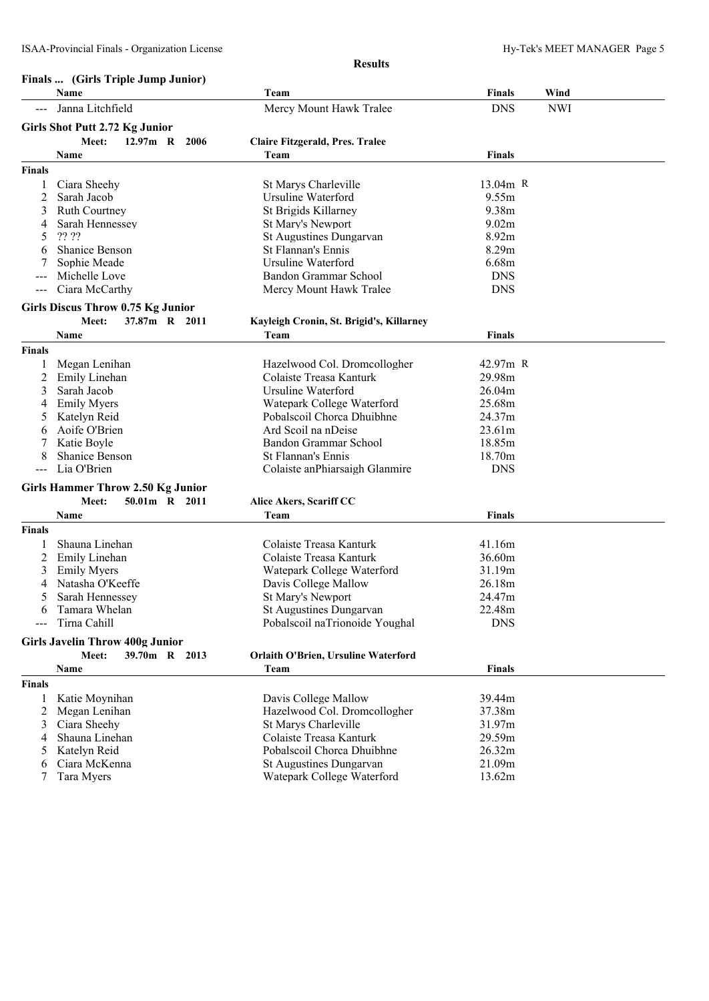#### **Finals ... (Girls Triple Jump Junior)**

|                     | Finals  (Girls Triple Jump Junior)       |                                            | <b>Finals</b> | Wind       |
|---------------------|------------------------------------------|--------------------------------------------|---------------|------------|
|                     | Name                                     | Team                                       |               |            |
|                     | Janna Litchfield                         | Mercy Mount Hawk Tralee                    | <b>DNS</b>    | <b>NWI</b> |
|                     | <b>Girls Shot Putt 2.72 Kg Junior</b>    |                                            |               |            |
|                     | Meet:<br>$12.97m$ R<br>2006              | Claire Fitzgerald, Pres. Tralee            |               |            |
|                     | Name                                     | Team                                       | <b>Finals</b> |            |
| <b>Finals</b>       |                                          |                                            |               |            |
|                     | Ciara Sheehy                             | St Marys Charleville                       | $13.04m$ R    |            |
| 2                   | Sarah Jacob                              | Ursuline Waterford                         | 9.55m         |            |
| 3                   | <b>Ruth Courtney</b>                     | St Brigids Killarney                       | 9.38m         |            |
| 4                   | Sarah Hennessey                          | St Mary's Newport                          | 9.02m         |            |
| 5                   | ?? ??                                    | St Augustines Dungarvan                    | 8.92m         |            |
| 6                   | <b>Shanice Benson</b>                    | St Flannan's Ennis                         | 8.29m         |            |
|                     | Sophie Meade                             | Ursuline Waterford                         | 6.68m         |            |
|                     | Michelle Love                            | Bandon Grammar School                      | <b>DNS</b>    |            |
| $\sim$ $\sim$       | Ciara McCarthy                           | Mercy Mount Hawk Tralee                    | <b>DNS</b>    |            |
|                     | <b>Girls Discus Throw 0.75 Kg Junior</b> |                                            |               |            |
|                     | Meet:<br>37.87m R 2011                   | Kayleigh Cronin, St. Brigid's, Killarney   |               |            |
|                     | Name                                     | Team                                       | <b>Finals</b> |            |
| <b>Finals</b>       |                                          |                                            |               |            |
| 1                   | Megan Lenihan                            | Hazelwood Col. Dromcollogher               | 42.97m R      |            |
| 2                   | Emily Linehan                            | Colaiste Treasa Kanturk                    | 29.98m        |            |
| 3                   | Sarah Jacob                              | <b>Ursuline Waterford</b>                  | 26.04m        |            |
| 4                   | <b>Emily Myers</b>                       | Watepark College Waterford                 | 25.68m        |            |
| 5                   | Katelyn Reid                             | Pobalscoil Chorca Dhuibhne                 | 24.37m        |            |
| 6                   | Aoife O'Brien                            | Ard Scoil na nDeise                        | 23.61m        |            |
|                     | Katie Boyle                              | Bandon Grammar School                      | 18.85m        |            |
| 8                   | <b>Shanice Benson</b>                    | St Flannan's Ennis                         | 18.70m        |            |
|                     | Lia O'Brien                              | Colaiste anPhiarsaigh Glanmire             | <b>DNS</b>    |            |
|                     | <b>Girls Hammer Throw 2.50 Kg Junior</b> |                                            |               |            |
|                     | 50.01m R 2011<br>Meet:                   | Alice Akers, Scariff CC                    |               |            |
|                     | Name                                     | Team                                       | <b>Finals</b> |            |
| <b>Finals</b>       |                                          |                                            |               |            |
| 1                   | Shauna Linehan                           | Colaiste Treasa Kanturk                    | 41.16m        |            |
| 2                   | Emily Linehan                            | Colaiste Treasa Kanturk                    | 36.60m        |            |
| 3                   | <b>Emily Myers</b>                       | Watepark College Waterford                 | 31.19m        |            |
|                     | Natasha O'Keeffe                         | Davis College Mallow                       | 26.18m        |            |
| 5                   | Sarah Hennessey                          | <b>St Mary's Newport</b>                   | 24.47m        |            |
| 6                   | Tamara Whelan                            | St Augustines Dungarvan                    | 22.48m        |            |
| $\qquad \qquad - -$ | Tirna Cahill                             | Pobalscoil naTrionoide Youghal             | <b>DNS</b>    |            |
|                     | <b>Girls Javelin Throw 400g Junior</b>   |                                            |               |            |
|                     | 39.70m R 2013<br>Meet:                   | <b>Orlaith O'Brien, Ursuline Waterford</b> |               |            |
|                     | Name                                     | Team                                       | <b>Finals</b> |            |
| <b>Finals</b>       |                                          |                                            |               |            |
| 1                   | Katie Moynihan                           | Davis College Mallow                       | 39.44m        |            |
| 2                   | Megan Lenihan                            | Hazelwood Col. Dromcollogher               | 37.38m        |            |
| 3                   | Ciara Sheehy                             | St Marys Charleville                       | 31.97m        |            |
| 4                   | Shauna Linehan                           | Colaiste Treasa Kanturk                    | 29.59m        |            |
| 5                   | Katelyn Reid                             | Pobalscoil Chorca Dhuibhne                 | 26.32m        |            |
| 6                   | Ciara McKenna                            | St Augustines Dungarvan                    | 21.09m        |            |
| 7                   | Tara Myers                               | Watepark College Waterford                 | 13.62m        |            |
|                     |                                          |                                            |               |            |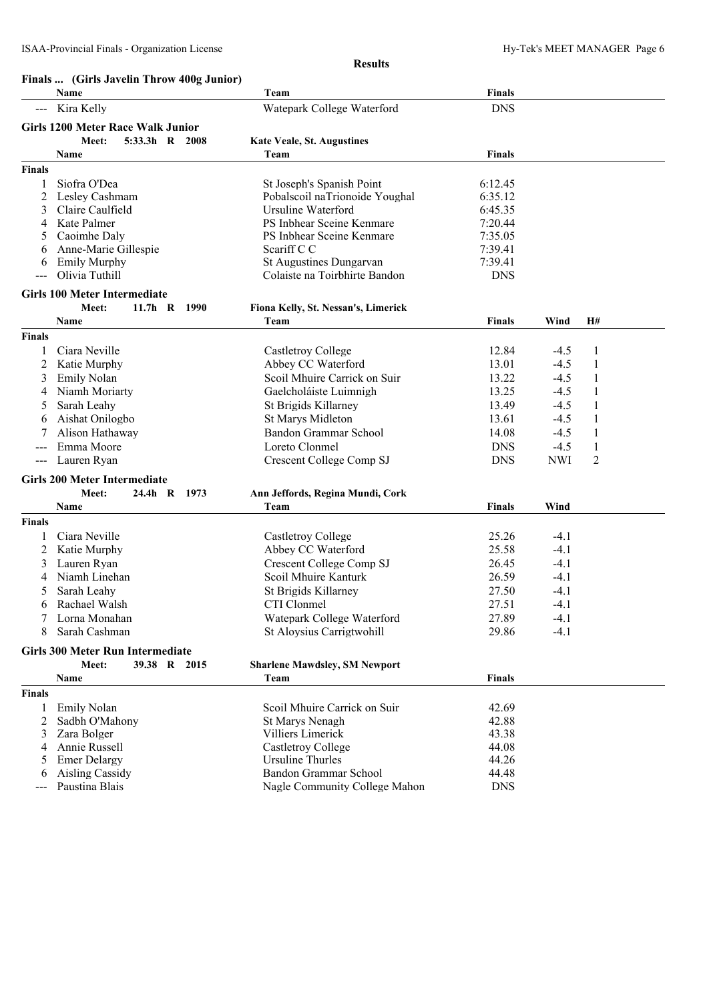|               | Finals  (Girls Javelin Throw 400g Junior) |                                      |               |            |              |  |
|---------------|-------------------------------------------|--------------------------------------|---------------|------------|--------------|--|
|               | Name                                      | Team                                 | <b>Finals</b> |            |              |  |
|               | Kira Kelly                                | Watepark College Waterford           | <b>DNS</b>    |            |              |  |
|               | <b>Girls 1200 Meter Race Walk Junior</b>  |                                      |               |            |              |  |
|               | 5:33.3h R 2008<br>Meet:                   | <b>Kate Veale, St. Augustines</b>    |               |            |              |  |
|               | Name                                      | Team                                 | <b>Finals</b> |            |              |  |
| <b>Finals</b> |                                           |                                      |               |            |              |  |
| 1             | Siofra O'Dea                              | St Joseph's Spanish Point            | 6:12.45       |            |              |  |
| 2             | Lesley Cashmam                            | Pobalscoil naTrionoide Youghal       | 6:35.12       |            |              |  |
| 3             | Claire Caulfield                          | Ursuline Waterford                   | 6:45.35       |            |              |  |
| 4             | Kate Palmer                               | PS Inbhear Sceine Kenmare            | 7:20.44       |            |              |  |
| 5             | Caoimhe Daly                              | PS Inbhear Sceine Kenmare            | 7:35.05       |            |              |  |
| 6             | Anne-Marie Gillespie                      | Scariff C C                          | 7:39.41       |            |              |  |
| 6             | <b>Emily Murphy</b>                       | St Augustines Dungarvan              | 7:39.41       |            |              |  |
|               | Olivia Tuthill                            | Colaiste na Toirbhirte Bandon        | <b>DNS</b>    |            |              |  |
|               |                                           |                                      |               |            |              |  |
|               | <b>Girls 100 Meter Intermediate</b>       |                                      |               |            |              |  |
|               | $11.7h$ R<br>Meet:<br>1990                | Fiona Kelly, St. Nessan's, Limerick  |               |            |              |  |
|               | Name                                      | Team                                 | <b>Finals</b> | Wind       | H#           |  |
| <b>Finals</b> |                                           |                                      |               |            |              |  |
| 1             | Ciara Neville                             | Castletroy College                   | 12.84         | $-4.5$     | 1            |  |
| 2             | Katie Murphy                              | Abbey CC Waterford                   | 13.01         | $-4.5$     | 1            |  |
| 3             | <b>Emily Nolan</b>                        | Scoil Mhuire Carrick on Suir         | 13.22         | $-4.5$     | $\mathbf{1}$ |  |
| 4             | Niamh Moriarty                            | Gaelcholáiste Luimnigh               | 13.25         | $-4.5$     | $\mathbf{1}$ |  |
| 5             | Sarah Leahy                               | St Brigids Killarney                 | 13.49         | $-4.5$     | 1            |  |
| 6             | Aishat Onilogbo                           | <b>St Marys Midleton</b>             | 13.61         | $-4.5$     | 1            |  |
| 7             | Alison Hathaway                           | <b>Bandon Grammar School</b>         | 14.08         | $-4.5$     | 1            |  |
|               | Emma Moore                                | Loreto Clonmel                       | <b>DNS</b>    | $-4.5$     | 1            |  |
| $---$         | Lauren Ryan                               | Crescent College Comp SJ             | <b>DNS</b>    | <b>NWI</b> | 2            |  |
|               | <b>Girls 200 Meter Intermediate</b>       |                                      |               |            |              |  |
|               | $24.4h$ R<br>Meet:<br>1973                | Ann Jeffords, Regina Mundi, Cork     |               |            |              |  |
|               | Name                                      | Team                                 | Finals        | Wind       |              |  |
|               |                                           |                                      |               |            |              |  |
| <b>Finals</b> |                                           |                                      |               |            |              |  |
| 1             | Ciara Neville                             | Castletroy College                   | 25.26         | $-4.1$     |              |  |
| 2             | Katie Murphy                              | Abbey CC Waterford                   | 25.58         | $-4.1$     |              |  |
| 3             | Lauren Ryan                               | Crescent College Comp SJ             | 26.45         | $-4.1$     |              |  |
| 4             | Niamh Linehan                             | Scoil Mhuire Kanturk                 | 26.59         | $-4.1$     |              |  |
| 5             | Sarah Leahy                               | St Brigids Killarney                 | 27.50         | $-4.1$     |              |  |
|               | 6 Rachael Walsh                           | CTI Clonmel                          | 27.51         | $-4.1$     |              |  |
| 7             | Lorna Monahan                             | Watepark College Waterford           | 27.89         | $-4.1$     |              |  |
| 8             | Sarah Cashman                             | St Aloysius Carrigtwohill            | 29.86         | $-4.1$     |              |  |
|               | <b>Girls 300 Meter Run Intermediate</b>   |                                      |               |            |              |  |
|               | Meet:<br>39.38 R 2015                     | <b>Sharlene Mawdsley, SM Newport</b> |               |            |              |  |
|               | Name                                      | Team                                 | <b>Finals</b> |            |              |  |
| <b>Finals</b> |                                           |                                      |               |            |              |  |
| 1             | <b>Emily Nolan</b>                        | Scoil Mhuire Carrick on Suir         | 42.69         |            |              |  |
| 2             | Sadbh O'Mahony                            | St Marys Nenagh                      | 42.88         |            |              |  |
| 3             | Zara Bolger                               | Villiers Limerick                    | 43.38         |            |              |  |
| 4             | Annie Russell                             | <b>Castletroy College</b>            | 44.08         |            |              |  |
| 5             | <b>Emer Delargy</b>                       | <b>Ursuline Thurles</b>              | 44.26         |            |              |  |
| 6             | <b>Aisling Cassidy</b>                    | <b>Bandon Grammar School</b>         | 44.48         |            |              |  |
|               |                                           |                                      |               |            |              |  |

--- Paustina Blais **Nagle Community College Mahon** DNS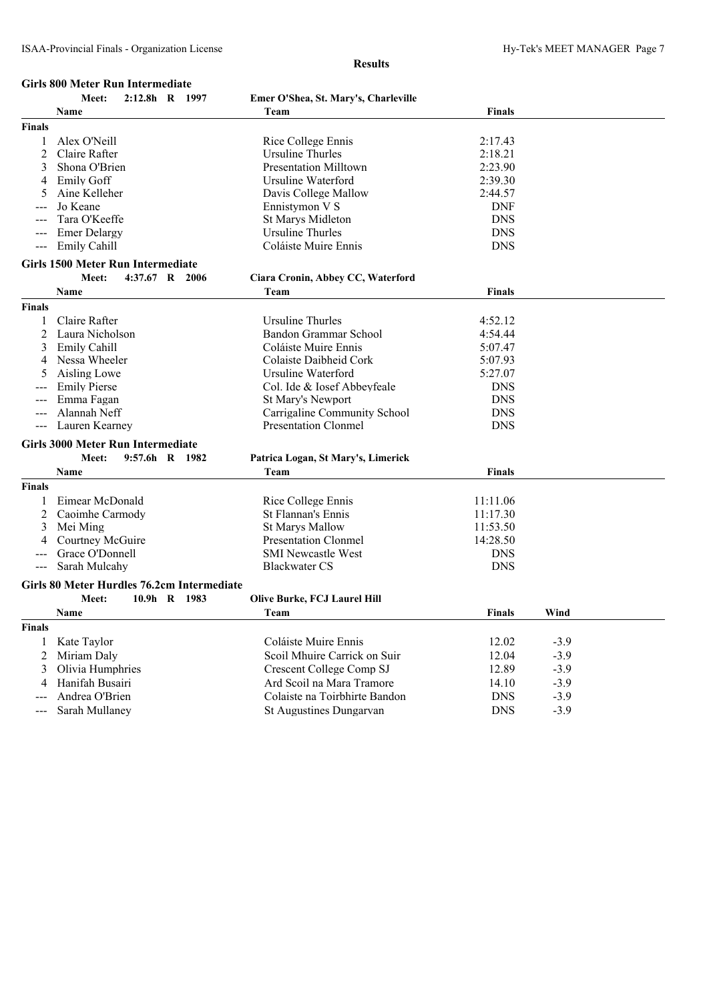### **Girls 800 Meter Run Intermediate**

|                     | Meet:                                      | 2:12.8h R 1997 | Emer O'Shea, St. Mary's, Charleville |               |        |  |
|---------------------|--------------------------------------------|----------------|--------------------------------------|---------------|--------|--|
|                     | Name                                       |                | Team                                 | Finals        |        |  |
| <b>Finals</b>       |                                            |                |                                      |               |        |  |
| 1                   | Alex O'Neill                               |                | Rice College Ennis                   | 2:17.43       |        |  |
| 2                   | Claire Rafter                              |                | Ursuline Thurles                     | 2:18.21       |        |  |
| 3                   | Shona O'Brien                              |                | <b>Presentation Milltown</b>         | 2:23.90       |        |  |
| 4                   | <b>Emily Goff</b>                          |                | Ursuline Waterford                   | 2:39.30       |        |  |
| 5                   | Aine Kelleher                              |                | Davis College Mallow                 | 2:44.57       |        |  |
|                     | Jo Keane                                   |                | Ennistymon V S                       | <b>DNF</b>    |        |  |
|                     | Tara O'Keeffe                              |                | <b>St Marys Midleton</b>             | <b>DNS</b>    |        |  |
|                     | <b>Emer Delargy</b>                        |                | <b>Ursuline Thurles</b>              | <b>DNS</b>    |        |  |
| $---$               | Emily Cahill                               |                | Coláiste Muire Ennis                 | <b>DNS</b>    |        |  |
|                     | <b>Girls 1500 Meter Run Intermediate</b>   |                |                                      |               |        |  |
|                     | Meet:                                      | 4:37.67 R 2006 | Ciara Cronin, Abbey CC, Waterford    |               |        |  |
|                     | Name                                       |                | Team                                 | <b>Finals</b> |        |  |
| <b>Finals</b>       |                                            |                |                                      |               |        |  |
|                     | Claire Rafter                              |                | Ursuline Thurles                     | 4:52.12       |        |  |
| 2                   | Laura Nicholson                            |                | Bandon Grammar School                | 4:54.44       |        |  |
| 3                   | <b>Emily Cahill</b>                        |                | Coláiste Muire Ennis                 | 5:07.47       |        |  |
| 4                   | Nessa Wheeler                              |                | Colaiste Daibheid Cork               | 5:07.93       |        |  |
|                     | Aisling Lowe                               |                | Ursuline Waterford                   | 5:27.07       |        |  |
|                     | <b>Emily Pierse</b>                        |                | Col. Ide & Iosef Abbeyfeale          | <b>DNS</b>    |        |  |
|                     | Emma Fagan                                 |                | St Mary's Newport                    | <b>DNS</b>    |        |  |
|                     | Alannah Neff                               |                | Carrigaline Community School         | <b>DNS</b>    |        |  |
| $\qquad \qquad - -$ | Lauren Kearney                             |                | <b>Presentation Clonmel</b>          | <b>DNS</b>    |        |  |
|                     |                                            |                |                                      |               |        |  |
|                     | <b>Girls 3000 Meter Run Intermediate</b>   |                |                                      |               |        |  |
|                     | Meet:                                      | 9:57.6h R 1982 | Patrica Logan, St Mary's, Limerick   |               |        |  |
|                     | Name                                       |                | Team                                 | Finals        |        |  |
| <b>Finals</b>       |                                            |                |                                      |               |        |  |
|                     | Eimear McDonald                            |                | Rice College Ennis                   | 11:11.06      |        |  |
| 2                   | Caoimhe Carmody                            |                | St Flannan's Ennis                   | 11:17.30      |        |  |
| 3                   | Mei Ming                                   |                | <b>St Marys Mallow</b>               | 11:53.50      |        |  |
| 4                   | Courtney McGuire                           |                | <b>Presentation Clonmel</b>          | 14:28.50      |        |  |
|                     | Grace O'Donnell                            |                | <b>SMI Newcastle West</b>            | <b>DNS</b>    |        |  |
|                     | Sarah Mulcahy                              |                | <b>Blackwater CS</b>                 | <b>DNS</b>    |        |  |
|                     | Girls 80 Meter Hurdles 76.2cm Intermediate |                |                                      |               |        |  |
|                     | Meet:                                      | 10.9h R 1983   | <b>Olive Burke, FCJ Laurel Hill</b>  |               |        |  |
|                     | Name                                       |                | Team                                 | <b>Finals</b> | Wind   |  |
| <b>Finals</b>       |                                            |                |                                      |               |        |  |
| 1                   | Kate Taylor                                |                | Coláiste Muire Ennis                 | 12.02         | $-3.9$ |  |
| 2                   | Miriam Daly                                |                | Scoil Mhuire Carrick on Suir         | 12.04         | $-3.9$ |  |
| 3                   | Olivia Humphries                           |                | <b>Crescent College Comp SJ</b>      | 12.89         | $-3.9$ |  |
| 4                   | Hanifah Busairi                            |                | Ard Scoil na Mara Tramore            | 14.10         | $-3.9$ |  |
| $---$               | Andrea O'Brien                             |                | Colaiste na Toirbhirte Bandon        | <b>DNS</b>    | $-3.9$ |  |
| $\qquad \qquad -$   | Sarah Mullaney                             |                | St Augustines Dungarvan              | <b>DNS</b>    | $-3.9$ |  |
|                     |                                            |                |                                      |               |        |  |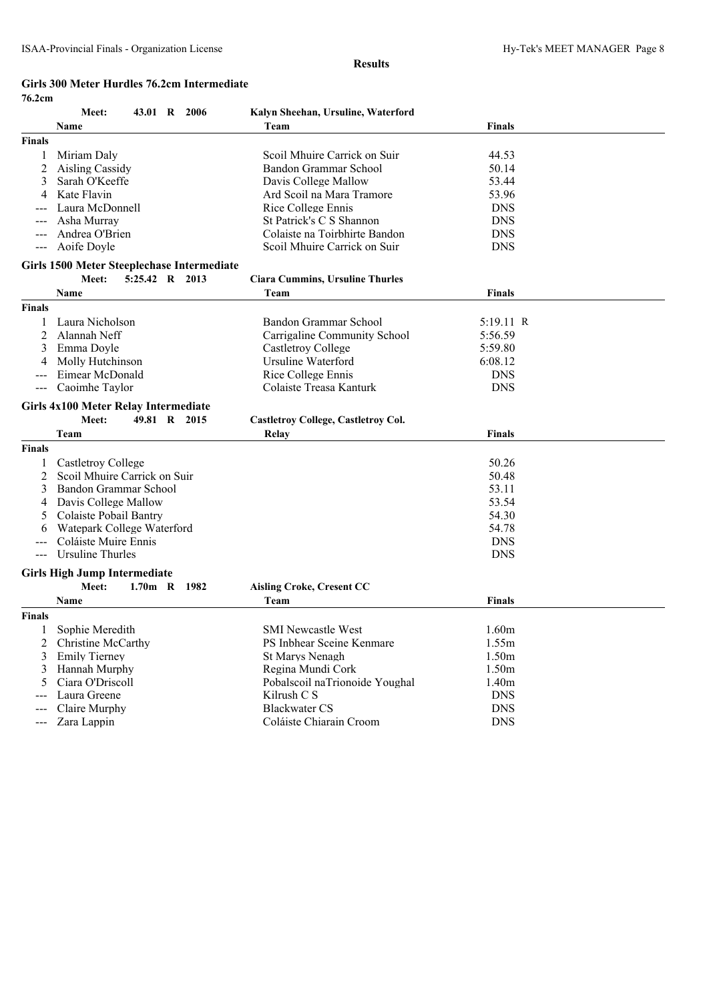#### **Girls 300 Meter Hurdles 76.2cm Intermediate 76.2cm**

| <b>Finals</b><br>1<br>2<br>3<br>4<br>$\qquad \qquad - -$<br><b>Finals</b><br>2 | Name<br>Miriam Daly<br>Aisling Cassidy<br>Sarah O'Keeffe<br>Kate Flavin<br>Laura McDonnell<br>Asha Murray<br>Andrea O'Brien<br>Aoife Doyle<br>Girls 1500 Meter Steeplechase Intermediate<br>Meet:<br>5:25.42 R 2013<br>Name<br>Laura Nicholson<br>Alannah Neff<br>Emma Doyle<br>Molly Hutchinson | Team<br>Scoil Mhuire Carrick on Suir<br>Bandon Grammar School<br>Davis College Mallow<br>Ard Scoil na Mara Tramore<br>Rice College Ennis<br>St Patrick's C S Shannon<br>Colaiste na Toirbhirte Bandon<br>Scoil Mhuire Carrick on Suir<br><b>Ciara Cummins, Ursuline Thurles</b><br>Team<br>Bandon Grammar School<br>Carrigaline Community School<br>Castletroy College<br>Ursuline Waterford | <b>Finals</b><br>44.53<br>50.14<br>53.44<br>53.96<br><b>DNS</b><br><b>DNS</b><br><b>DNS</b><br><b>DNS</b><br><b>Finals</b><br>5:19.11 R<br>5:56.59<br>5:59.80 |  |
|--------------------------------------------------------------------------------|--------------------------------------------------------------------------------------------------------------------------------------------------------------------------------------------------------------------------------------------------------------------------------------------------|----------------------------------------------------------------------------------------------------------------------------------------------------------------------------------------------------------------------------------------------------------------------------------------------------------------------------------------------------------------------------------------------|---------------------------------------------------------------------------------------------------------------------------------------------------------------|--|
|                                                                                |                                                                                                                                                                                                                                                                                                  |                                                                                                                                                                                                                                                                                                                                                                                              |                                                                                                                                                               |  |
|                                                                                |                                                                                                                                                                                                                                                                                                  |                                                                                                                                                                                                                                                                                                                                                                                              |                                                                                                                                                               |  |
|                                                                                |                                                                                                                                                                                                                                                                                                  |                                                                                                                                                                                                                                                                                                                                                                                              |                                                                                                                                                               |  |
|                                                                                |                                                                                                                                                                                                                                                                                                  |                                                                                                                                                                                                                                                                                                                                                                                              |                                                                                                                                                               |  |
|                                                                                |                                                                                                                                                                                                                                                                                                  |                                                                                                                                                                                                                                                                                                                                                                                              |                                                                                                                                                               |  |
|                                                                                |                                                                                                                                                                                                                                                                                                  |                                                                                                                                                                                                                                                                                                                                                                                              |                                                                                                                                                               |  |
|                                                                                |                                                                                                                                                                                                                                                                                                  |                                                                                                                                                                                                                                                                                                                                                                                              |                                                                                                                                                               |  |
|                                                                                |                                                                                                                                                                                                                                                                                                  |                                                                                                                                                                                                                                                                                                                                                                                              |                                                                                                                                                               |  |
|                                                                                |                                                                                                                                                                                                                                                                                                  |                                                                                                                                                                                                                                                                                                                                                                                              |                                                                                                                                                               |  |
|                                                                                |                                                                                                                                                                                                                                                                                                  |                                                                                                                                                                                                                                                                                                                                                                                              |                                                                                                                                                               |  |
|                                                                                |                                                                                                                                                                                                                                                                                                  |                                                                                                                                                                                                                                                                                                                                                                                              |                                                                                                                                                               |  |
|                                                                                |                                                                                                                                                                                                                                                                                                  |                                                                                                                                                                                                                                                                                                                                                                                              |                                                                                                                                                               |  |
|                                                                                |                                                                                                                                                                                                                                                                                                  |                                                                                                                                                                                                                                                                                                                                                                                              |                                                                                                                                                               |  |
|                                                                                |                                                                                                                                                                                                                                                                                                  |                                                                                                                                                                                                                                                                                                                                                                                              |                                                                                                                                                               |  |
|                                                                                |                                                                                                                                                                                                                                                                                                  |                                                                                                                                                                                                                                                                                                                                                                                              |                                                                                                                                                               |  |
|                                                                                |                                                                                                                                                                                                                                                                                                  |                                                                                                                                                                                                                                                                                                                                                                                              |                                                                                                                                                               |  |
| 3                                                                              |                                                                                                                                                                                                                                                                                                  |                                                                                                                                                                                                                                                                                                                                                                                              |                                                                                                                                                               |  |
| 4                                                                              |                                                                                                                                                                                                                                                                                                  |                                                                                                                                                                                                                                                                                                                                                                                              | 6:08.12                                                                                                                                                       |  |
|                                                                                | Eimear McDonald                                                                                                                                                                                                                                                                                  | Rice College Ennis                                                                                                                                                                                                                                                                                                                                                                           | <b>DNS</b>                                                                                                                                                    |  |
| $---$                                                                          | Caoimhe Taylor                                                                                                                                                                                                                                                                                   | Colaiste Treasa Kanturk                                                                                                                                                                                                                                                                                                                                                                      | <b>DNS</b>                                                                                                                                                    |  |
|                                                                                | Girls 4x100 Meter Relay Intermediate                                                                                                                                                                                                                                                             |                                                                                                                                                                                                                                                                                                                                                                                              |                                                                                                                                                               |  |
|                                                                                | Meet:<br>49.81 R 2015                                                                                                                                                                                                                                                                            | <b>Castletroy College, Castletroy Col.</b>                                                                                                                                                                                                                                                                                                                                                   |                                                                                                                                                               |  |
|                                                                                | Team                                                                                                                                                                                                                                                                                             | Relay                                                                                                                                                                                                                                                                                                                                                                                        | <b>Finals</b>                                                                                                                                                 |  |
| Finals                                                                         |                                                                                                                                                                                                                                                                                                  |                                                                                                                                                                                                                                                                                                                                                                                              |                                                                                                                                                               |  |
| 1                                                                              | Castletroy College                                                                                                                                                                                                                                                                               |                                                                                                                                                                                                                                                                                                                                                                                              | 50.26                                                                                                                                                         |  |
| 2                                                                              | Scoil Mhuire Carrick on Suir                                                                                                                                                                                                                                                                     |                                                                                                                                                                                                                                                                                                                                                                                              | 50.48                                                                                                                                                         |  |
| 3                                                                              | Bandon Grammar School                                                                                                                                                                                                                                                                            |                                                                                                                                                                                                                                                                                                                                                                                              | 53.11                                                                                                                                                         |  |
| 4                                                                              | Davis College Mallow                                                                                                                                                                                                                                                                             |                                                                                                                                                                                                                                                                                                                                                                                              | 53.54                                                                                                                                                         |  |
| 5                                                                              | Colaiste Pobail Bantry                                                                                                                                                                                                                                                                           |                                                                                                                                                                                                                                                                                                                                                                                              | 54.30                                                                                                                                                         |  |
| 6                                                                              | Watepark College Waterford                                                                                                                                                                                                                                                                       |                                                                                                                                                                                                                                                                                                                                                                                              | 54.78                                                                                                                                                         |  |
|                                                                                | Coláiste Muire Ennis                                                                                                                                                                                                                                                                             |                                                                                                                                                                                                                                                                                                                                                                                              | <b>DNS</b>                                                                                                                                                    |  |
| $\qquad \qquad - -$                                                            | <b>Ursuline Thurles</b>                                                                                                                                                                                                                                                                          |                                                                                                                                                                                                                                                                                                                                                                                              | <b>DNS</b>                                                                                                                                                    |  |
|                                                                                | <b>Girls High Jump Intermediate</b>                                                                                                                                                                                                                                                              |                                                                                                                                                                                                                                                                                                                                                                                              |                                                                                                                                                               |  |
|                                                                                | Meet:<br>1.70m R 1982                                                                                                                                                                                                                                                                            | <b>Aisling Croke, Cresent CC</b>                                                                                                                                                                                                                                                                                                                                                             |                                                                                                                                                               |  |
|                                                                                | Name                                                                                                                                                                                                                                                                                             | Team                                                                                                                                                                                                                                                                                                                                                                                         | <b>Finals</b>                                                                                                                                                 |  |
| <b>Finals</b>                                                                  |                                                                                                                                                                                                                                                                                                  |                                                                                                                                                                                                                                                                                                                                                                                              |                                                                                                                                                               |  |
| 1                                                                              | Sophie Meredith                                                                                                                                                                                                                                                                                  | <b>SMI Newcastle West</b>                                                                                                                                                                                                                                                                                                                                                                    | 1.60m                                                                                                                                                         |  |
| 2                                                                              | Christine McCarthy                                                                                                                                                                                                                                                                               | PS Inbhear Sceine Kenmare                                                                                                                                                                                                                                                                                                                                                                    | 1.55m                                                                                                                                                         |  |
| 3                                                                              | <b>Emily Tierney</b>                                                                                                                                                                                                                                                                             | <b>St Marys Nenagh</b>                                                                                                                                                                                                                                                                                                                                                                       | 1.50m                                                                                                                                                         |  |
| 3                                                                              | Hannah Murphy                                                                                                                                                                                                                                                                                    | Regina Mundi Cork                                                                                                                                                                                                                                                                                                                                                                            | 1.50m                                                                                                                                                         |  |
|                                                                                |                                                                                                                                                                                                                                                                                                  |                                                                                                                                                                                                                                                                                                                                                                                              |                                                                                                                                                               |  |
|                                                                                |                                                                                                                                                                                                                                                                                                  |                                                                                                                                                                                                                                                                                                                                                                                              |                                                                                                                                                               |  |
|                                                                                |                                                                                                                                                                                                                                                                                                  |                                                                                                                                                                                                                                                                                                                                                                                              |                                                                                                                                                               |  |
| $\qquad \qquad -$                                                              | Zara Lappin                                                                                                                                                                                                                                                                                      | Coláiste Chiarain Croom                                                                                                                                                                                                                                                                                                                                                                      | <b>DNS</b>                                                                                                                                                    |  |
| 5<br>$---$                                                                     | Ciara O'Driscoll<br>Laura Greene<br>Claire Murphy                                                                                                                                                                                                                                                | Pobalscoil naTrionoide Youghal<br>Kilrush C S<br><b>Blackwater CS</b>                                                                                                                                                                                                                                                                                                                        | 1.40m<br><b>DNS</b><br><b>DNS</b>                                                                                                                             |  |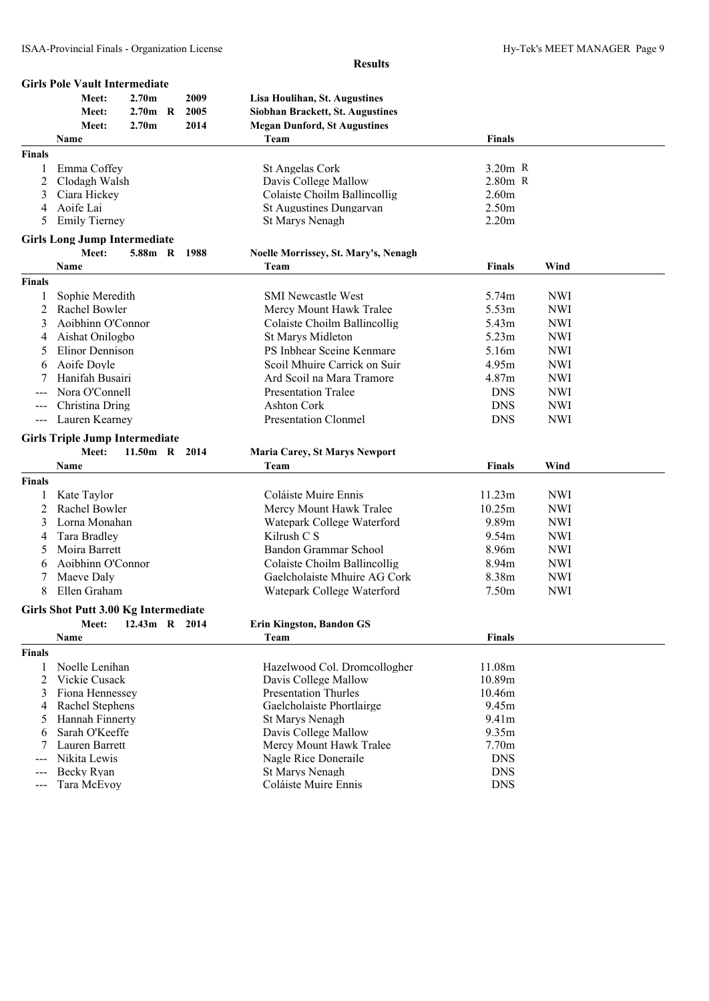|                     | <b>Girls Pole Vault Intermediate</b>  |                   |              |                                      |                   |            |
|---------------------|---------------------------------------|-------------------|--------------|--------------------------------------|-------------------|------------|
|                     | Meet:                                 | 2.70 <sub>m</sub> | 2009         | <b>Lisa Houlihan, St. Augustines</b> |                   |            |
|                     | Meet:                                 | $2.70m$ R         | 2005         | Siobhan Brackett, St. Augustines     |                   |            |
|                     | Meet:                                 | 2.70 <sub>m</sub> | 2014         | <b>Megan Dunford, St Augustines</b>  |                   |            |
|                     | Name                                  |                   |              | Team                                 | <b>Finals</b>     |            |
| <b>Finals</b>       |                                       |                   |              |                                      |                   |            |
| 1                   | Emma Coffey                           |                   |              | St Angelas Cork                      | $3.20m$ R         |            |
| 2                   | Clodagh Walsh                         |                   |              | Davis College Mallow                 | $2.80m$ R         |            |
| 3                   | Ciara Hickey                          |                   |              | Colaiste Choilm Ballincollig         | 2.60m             |            |
| 4                   | Aoife Lai                             |                   |              | St Augustines Dungarvan              | 2.50m             |            |
| 5                   | <b>Emily Tierney</b>                  |                   |              | St Marys Nenagh                      | 2.20m             |            |
|                     |                                       |                   |              |                                      |                   |            |
|                     | <b>Girls Long Jump Intermediate</b>   |                   |              |                                      |                   |            |
|                     | Meet:                                 |                   | 5.88m R 1988 | Noelle Morrissey, St. Mary's, Nenagh |                   |            |
|                     | Name                                  |                   |              | Team                                 | <b>Finals</b>     | Wind       |
| <b>Finals</b>       |                                       |                   |              |                                      |                   |            |
| 1                   | Sophie Meredith                       |                   |              | <b>SMI Newcastle West</b>            | 5.74m             | <b>NWI</b> |
| 2                   | Rachel Bowler                         |                   |              | Mercy Mount Hawk Tralee              | 5.53m             | <b>NWI</b> |
| 3                   | Aoibhinn O'Connor                     |                   |              | Colaiste Choilm Ballincollig         | 5.43m             | <b>NWI</b> |
| 4                   | Aishat Onilogbo                       |                   |              | St Marys Midleton                    | 5.23m             | <b>NWI</b> |
| 5                   | Elinor Dennison                       |                   |              | PS Inbhear Sceine Kenmare            | 5.16m             | <b>NWI</b> |
| 6                   | Aoife Doyle                           |                   |              | Scoil Mhuire Carrick on Suir         | 4.95m             | <b>NWI</b> |
| 7                   | Hanifah Busairi                       |                   |              | Ard Scoil na Mara Tramore            | 4.87m             | <b>NWI</b> |
|                     | Nora O'Connell                        |                   |              | <b>Presentation Tralee</b>           | <b>DNS</b>        | <b>NWI</b> |
| ---                 | Christina Dring                       |                   |              | <b>Ashton Cork</b>                   | <b>DNS</b>        | <b>NWI</b> |
| $\qquad \qquad - -$ | Lauren Kearney                        |                   |              | <b>Presentation Clonmel</b>          | <b>DNS</b>        | <b>NWI</b> |
|                     |                                       |                   |              |                                      |                   |            |
|                     | <b>Girls Triple Jump Intermediate</b> |                   |              |                                      |                   |            |
|                     | Meet:                                 | 11.50m R 2014     |              | <b>Maria Carey, St Marys Newport</b> |                   |            |
|                     | Name                                  |                   |              | Team                                 | Finals            | Wind       |
| <b>Finals</b>       |                                       |                   |              |                                      |                   |            |
| 1                   | Kate Taylor                           |                   |              | Coláiste Muire Ennis                 | 11.23m            | <b>NWI</b> |
| 2                   | Rachel Bowler                         |                   |              | Mercy Mount Hawk Tralee              | 10.25m            | <b>NWI</b> |
| 3                   | Lorna Monahan                         |                   |              | Watepark College Waterford           | 9.89m             | <b>NWI</b> |
| 4                   | Tara Bradley                          |                   |              | Kilrush C S                          | 9.54m             | <b>NWI</b> |
| 5                   | Moira Barrett                         |                   |              | Bandon Grammar School                | 8.96m             | <b>NWI</b> |
| 6                   | Aoibhinn O'Connor                     |                   |              | Colaiste Choilm Ballincollig         | 8.94m             | <b>NWI</b> |
| 7                   | Maeve Daly                            |                   |              | Gaelcholaiste Mhuire AG Cork         | 8.38m             | <b>NWI</b> |
| 8                   | Ellen Graham                          |                   |              | Watepark College Waterford           | 7.50 <sub>m</sub> | <b>NWI</b> |
|                     |                                       |                   |              |                                      |                   |            |
|                     | Girls Shot Putt 3.00 Kg Intermediate  |                   |              |                                      |                   |            |
|                     | Meet:                                 | 12.43m R 2014     |              | <b>Erin Kingston, Bandon GS</b>      |                   |            |
|                     | Name                                  |                   |              | Team                                 | Finals            |            |
| <b>Finals</b>       |                                       |                   |              |                                      |                   |            |
| 1                   | Noelle Lenihan                        |                   |              | Hazelwood Col. Dromcollogher         | 11.08m            |            |
| 2                   | Vickie Cusack                         |                   |              | Davis College Mallow                 | 10.89m            |            |
| 3                   | Fiona Hennessey                       |                   |              | <b>Presentation Thurles</b>          | 10.46m            |            |
| 4                   | Rachel Stephens                       |                   |              | Gaelcholaiste Phortlairge            | 9.45m             |            |
| 5                   | Hannah Finnerty                       |                   |              | St Marys Nenagh                      | 9.41m             |            |
| 6                   | Sarah O'Keeffe                        |                   |              | Davis College Mallow                 | 9.35m             |            |
|                     | Lauren Barrett                        |                   |              | Mercy Mount Hawk Tralee              | 7.70m             |            |
|                     | Nikita Lewis                          |                   |              | Nagle Rice Doneraile                 | <b>DNS</b>        |            |
|                     | Becky Ryan                            |                   |              | St Marys Nenagh                      | <b>DNS</b>        |            |
| ---                 | Tara McEvoy                           |                   |              | Coláiste Muire Ennis                 | <b>DNS</b>        |            |

- --- Tara McEvoy Coláiste Muire Ennis
	-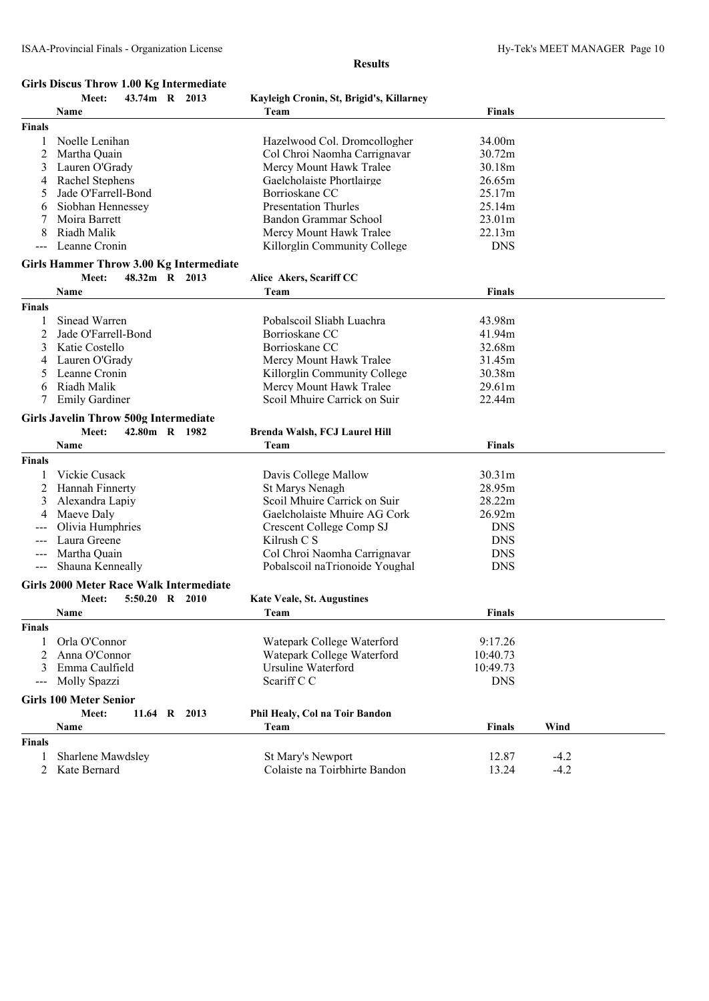# **Girls Discus Throw 1.00 Kg Intermediate**

|               | Meet:<br>43.74m R 2013                         |              | Kayleigh Cronin, St, Brigid's, Killarney |               |        |
|---------------|------------------------------------------------|--------------|------------------------------------------|---------------|--------|
|               | Name                                           |              | Team                                     | <b>Finals</b> |        |
| <b>Finals</b> |                                                |              |                                          |               |        |
| 1             | Noelle Lenihan                                 |              | Hazelwood Col. Dromcollogher             | 34.00m        |        |
| 2             | Martha Quain                                   |              | Col Chroi Naomha Carrignavar             | 30.72m        |        |
| 3             | Lauren O'Grady                                 |              | Mercy Mount Hawk Tralee                  | 30.18m        |        |
|               |                                                |              |                                          |               |        |
| 4             | Rachel Stephens                                |              | Gaelcholaiste Phortlairge                | 26.65m        |        |
| 5             | Jade O'Farrell-Bond                            |              | Borrioskane CC                           | 25.17m        |        |
| 6             | Siobhan Hennessey                              |              | <b>Presentation Thurles</b>              | 25.14m        |        |
| 7             | Moira Barrett                                  |              | Bandon Grammar School                    | 23.01m        |        |
| 8             | Riadh Malik                                    |              | Mercy Mount Hawk Tralee                  | 22.13m        |        |
|               | Leanne Cronin                                  |              | Killorglin Community College             | <b>DNS</b>    |        |
|               | Girls Hammer Throw 3.00 Kg Intermediate        |              |                                          |               |        |
|               | 48.32m R 2013<br>Meet:                         |              | Alice Akers, Scariff CC                  |               |        |
|               |                                                |              |                                          |               |        |
|               | Name                                           |              | Team                                     | <b>Finals</b> |        |
| <b>Finals</b> |                                                |              |                                          |               |        |
| 1             | Sinead Warren                                  |              | Pobalscoil Sliabh Luachra                | 43.98m        |        |
| 2             | Jade O'Farrell-Bond                            |              | Borrioskane CC                           | 41.94m        |        |
| 3             | Katie Costello                                 |              | Borrioskane CC                           | 32.68m        |        |
| 4             | Lauren O'Grady                                 |              | Mercy Mount Hawk Tralee                  | 31.45m        |        |
| 5             | Leanne Cronin                                  |              | Killorglin Community College             | 30.38m        |        |
| 6             | Riadh Malik                                    |              | Mercy Mount Hawk Tralee                  | 29.61m        |        |
| 7             | <b>Emily Gardiner</b>                          |              | Scoil Mhuire Carrick on Suir             | 22.44m        |        |
|               |                                                |              |                                          |               |        |
|               | <b>Girls Javelin Throw 500g Intermediate</b>   |              |                                          |               |        |
|               | Meet:<br>42.80m R 1982                         |              | Brenda Walsh, FCJ Laurel Hill            |               |        |
|               | Name                                           |              | Team                                     | <b>Finals</b> |        |
| Finals        |                                                |              |                                          |               |        |
|               | Vickie Cusack                                  |              | Davis College Mallow                     | 30.31m        |        |
| 2             | Hannah Finnerty                                |              | St Marys Nenagh                          | 28.95m        |        |
|               | Alexandra Lapiy                                |              | Scoil Mhuire Carrick on Suir             | 28.22m        |        |
| 3             |                                                |              |                                          |               |        |
| 4             | Maeve Daly                                     |              | Gaelcholaiste Mhuire AG Cork             | 26.92m        |        |
|               | Olivia Humphries                               |              | Crescent College Comp SJ                 | <b>DNS</b>    |        |
|               | Laura Greene                                   |              | Kilrush C S                              | <b>DNS</b>    |        |
| ---           | Martha Quain                                   |              | Col Chroi Naomha Carrignavar             | <b>DNS</b>    |        |
|               | Shauna Kenneally                               |              | Pobalscoil naTrionoide Youghal           | <b>DNS</b>    |        |
|               | <b>Girls 2000 Meter Race Walk Intermediate</b> |              |                                          |               |        |
|               | 5:50.20 R 2010<br>Meet:                        |              | <b>Kate Veale, St. Augustines</b>        |               |        |
|               |                                                |              |                                          |               |        |
|               | Name                                           |              | Team                                     | <b>Finals</b> |        |
| Finals        |                                                |              |                                          |               |        |
| 1             | Orla O'Connor                                  |              | Watepark College Waterford               | 9:17.26       |        |
| 2             | Anna O'Connor                                  |              | Watepark College Waterford               | 10:40.73      |        |
| 3             | Emma Caulfield                                 |              | Ursuline Waterford                       | 10:49.73      |        |
|               | Molly Spazzi                                   |              | Scariff C C                              | <b>DNS</b>    |        |
|               |                                                |              |                                          |               |        |
|               | <b>Girls 100 Meter Senior</b>                  |              |                                          |               |        |
|               | Meet:                                          | 11.64 R 2013 | Phil Healy, Col na Toir Bandon           |               |        |
|               | Name                                           |              | Team                                     | <b>Finals</b> | Wind   |
| <b>Finals</b> |                                                |              |                                          |               |        |
| 1             | Sharlene Mawdsley                              |              | St Mary's Newport                        | 12.87         | $-4.2$ |
| 2             | Kate Bernard                                   |              | Colaiste na Toirbhirte Bandon            | 13.24         | $-4.2$ |
|               |                                                |              |                                          |               |        |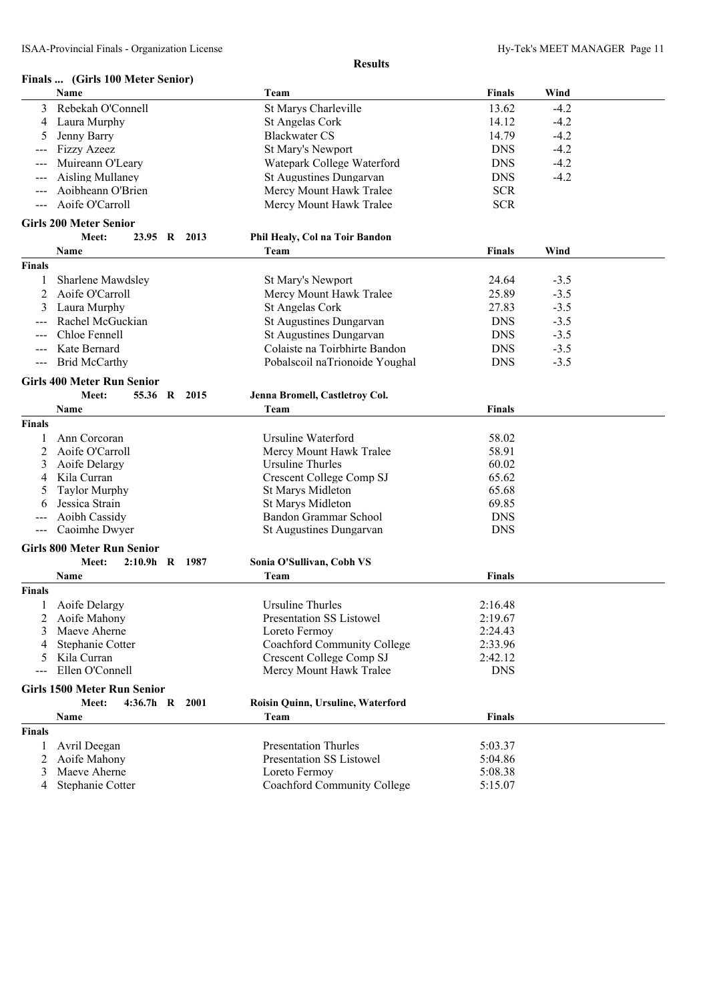|                     | Finals  (Girls 100 Meter Senior)   |                                   |               |        |  |
|---------------------|------------------------------------|-----------------------------------|---------------|--------|--|
|                     | Name                               | Team                              | <b>Finals</b> | Wind   |  |
| 3                   | Rebekah O'Connell                  | St Marys Charleville              | 13.62         | $-4.2$ |  |
| 4                   | Laura Murphy                       | St Angelas Cork                   | 14.12         | $-4.2$ |  |
| 5                   | Jenny Barry                        | <b>Blackwater CS</b>              | 14.79         | $-4.2$ |  |
|                     | <b>Fizzy Azeez</b>                 | St Mary's Newport                 | <b>DNS</b>    | $-4.2$ |  |
|                     | Muireann O'Leary                   | Watepark College Waterford        | <b>DNS</b>    | $-4.2$ |  |
|                     | <b>Aisling Mullaney</b>            | St Augustines Dungarvan           | <b>DNS</b>    | $-4.2$ |  |
|                     | Aoibheann O'Brien                  | Mercy Mount Hawk Tralee           | <b>SCR</b>    |        |  |
|                     | Aoife O'Carroll                    | Mercy Mount Hawk Tralee           | <b>SCR</b>    |        |  |
|                     | <b>Girls 200 Meter Senior</b>      |                                   |               |        |  |
|                     | Meet:<br>23.95 R 2013              | Phil Healy, Col na Toir Bandon    |               |        |  |
|                     | Name                               | Team                              | <b>Finals</b> | Wind   |  |
| <b>Finals</b>       |                                    |                                   |               |        |  |
|                     | Sharlene Mawdsley                  | St Mary's Newport                 | 24.64         | $-3.5$ |  |
| 2                   | Aoife O'Carroll                    | Mercy Mount Hawk Tralee           | 25.89         | $-3.5$ |  |
| 3                   | Laura Murphy                       | St Angelas Cork                   | 27.83         | $-3.5$ |  |
|                     | Rachel McGuckian                   | St Augustines Dungarvan           | <b>DNS</b>    | $-3.5$ |  |
|                     | Chloe Fennell                      | St Augustines Dungarvan           | <b>DNS</b>    | $-3.5$ |  |
|                     | Kate Bernard                       | Colaiste na Toirbhirte Bandon     | <b>DNS</b>    | $-3.5$ |  |
| $\qquad \qquad - -$ | <b>Brid McCarthy</b>               | Pobalscoil naTrionoide Youghal    | <b>DNS</b>    | $-3.5$ |  |
|                     |                                    |                                   |               |        |  |
|                     | <b>Girls 400 Meter Run Senior</b>  |                                   |               |        |  |
|                     | Meet:<br>55.36 R<br>2015           | Jenna Bromell, Castletroy Col.    |               |        |  |
|                     | Name                               | Team                              | <b>Finals</b> |        |  |
| <b>Finals</b>       |                                    |                                   |               |        |  |
|                     | Ann Corcoran                       | Ursuline Waterford                | 58.02         |        |  |
| 2                   | Aoife O'Carroll                    | Mercy Mount Hawk Tralee           | 58.91         |        |  |
| 3                   | Aoife Delargy                      | Ursuline Thurles                  | 60.02         |        |  |
| 4                   | Kila Curran                        | Crescent College Comp SJ          | 65.62         |        |  |
|                     | <b>Taylor Murphy</b>               | St Marys Midleton                 | 65.68         |        |  |
| b                   | Jessica Strain                     | St Marys Midleton                 | 69.85         |        |  |
|                     | Aoibh Cassidy                      | Bandon Grammar School             | <b>DNS</b>    |        |  |
| $---$               | Caoimhe Dwyer                      | St Augustines Dungarvan           | <b>DNS</b>    |        |  |
|                     | <b>Girls 800 Meter Run Senior</b>  |                                   |               |        |  |
|                     | Meet:<br>2:10.9h R 1987            | Sonia O'Sullivan, Cobh VS         |               |        |  |
|                     | Name                               | Team                              | <b>Finals</b> |        |  |
| <b>Finals</b>       |                                    |                                   |               |        |  |
|                     | Aoife Delargy                      | <b>Ursuline Thurles</b>           | 2:16.48       |        |  |
| 2                   | Aoife Mahony                       | Presentation SS Listowel          | 2:19.67       |        |  |
| 3                   | Maeve Aherne                       | Loreto Fermoy                     | 2:24.43       |        |  |
| 4                   | Stephanie Cotter                   | Coachford Community College       | 2:33.96       |        |  |
| 5                   | Kila Curran                        | Crescent College Comp SJ          | 2:42.12       |        |  |
|                     | Ellen O'Connell                    | Mercy Mount Hawk Tralee           | <b>DNS</b>    |        |  |
|                     | <b>Girls 1500 Meter Run Senior</b> |                                   |               |        |  |
|                     | Meet:<br>4:36.7h R 2001            | Roisin Quinn, Ursuline, Waterford |               |        |  |
|                     | Name                               | Team                              | <b>Finals</b> |        |  |
| <b>Finals</b>       |                                    |                                   |               |        |  |
| 1                   | Avril Deegan                       | <b>Presentation Thurles</b>       | 5:03.37       |        |  |
| 2                   | Aoife Mahony                       | <b>Presentation SS Listowel</b>   | 5:04.86       |        |  |
|                     | 3 Maeve Aherne                     | Loreto Fermoy                     | 5:08.38       |        |  |

4 Stephanie Cotter Coachford Community College 5:15.07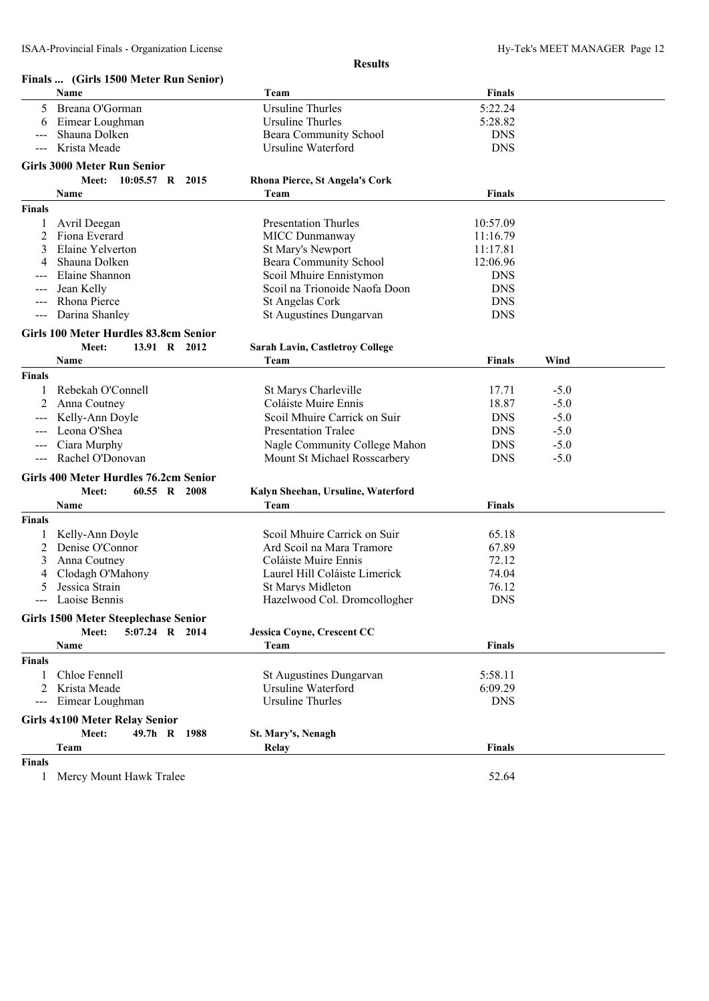|               | Finals  (Girls 1500 Meter Run Senior)       |                                               |                       |        |  |
|---------------|---------------------------------------------|-----------------------------------------------|-----------------------|--------|--|
|               | Name                                        | Team                                          | <b>Finals</b>         |        |  |
| 5.            | Breana O'Gorman                             | <b>Ursuline Thurles</b>                       | 5:22.24               |        |  |
| 6             | Eimear Loughman                             | Ursuline Thurles                              | 5:28.82               |        |  |
|               | Shauna Dolken                               | Beara Community School                        | <b>DNS</b>            |        |  |
|               | Krista Meade                                | Ursuline Waterford                            | <b>DNS</b>            |        |  |
|               | <b>Girls 3000 Meter Run Senior</b>          |                                               |                       |        |  |
|               | 10:05.57 R 2015<br>Meet:                    | <b>Rhona Pierce, St Angela's Cork</b>         |                       |        |  |
|               | Name                                        | Team                                          | <b>Finals</b>         |        |  |
| <b>Finals</b> |                                             |                                               |                       |        |  |
| 1             | Avril Deegan                                | <b>Presentation Thurles</b>                   | 10:57.09              |        |  |
| 2             | Fiona Everard                               | <b>MICC Dunmanway</b>                         | 11:16.79              |        |  |
| 3             | Elaine Yelverton                            | St Mary's Newport                             | 11:17.81              |        |  |
| 4             | Shauna Dolken                               | Beara Community School                        | 12:06.96              |        |  |
|               | Elaine Shannon                              | Scoil Mhuire Ennistymon                       | <b>DNS</b>            |        |  |
|               | Jean Kelly                                  | Scoil na Trionoide Naofa Doon                 | <b>DNS</b>            |        |  |
| ---           | Rhona Pierce                                | St Angelas Cork                               | <b>DNS</b>            |        |  |
| ---           | Darina Shanley                              | St Augustines Dungarvan                       | <b>DNS</b>            |        |  |
|               | Girls 100 Meter Hurdles 83.8cm Senior       |                                               |                       |        |  |
|               | 13.91 R 2012<br>Meet:                       | <b>Sarah Lavin, Castletroy College</b>        |                       |        |  |
|               | Name                                        | Team                                          | <b>Finals</b>         | Wind   |  |
| <b>Finals</b> |                                             |                                               |                       |        |  |
| 1             | Rebekah O'Connell                           | St Marys Charleville                          | 17.71                 | $-5.0$ |  |
| 2             | Anna Coutney                                | Coláiste Muire Ennis                          | 18.87                 | $-5.0$ |  |
|               | Kelly-Ann Doyle                             | Scoil Mhuire Carrick on Suir                  | <b>DNS</b>            | $-5.0$ |  |
|               | Leona O'Shea                                | <b>Presentation Tralee</b>                    | <b>DNS</b>            | $-5.0$ |  |
| $---$         | Ciara Murphy                                | Nagle Community College Mahon                 | <b>DNS</b>            | $-5.0$ |  |
| ---           | Rachel O'Donovan                            | Mount St Michael Rosscarbery                  | <b>DNS</b>            | $-5.0$ |  |
|               | Girls 400 Meter Hurdles 76.2cm Senior       |                                               |                       |        |  |
|               | 60.55 R 2008<br>Meet:                       | Kalyn Sheehan, Ursuline, Waterford            |                       |        |  |
|               | Name                                        | Team                                          | <b>Finals</b>         |        |  |
| <b>Finals</b> |                                             |                                               |                       |        |  |
| $\mathbf{1}$  | Kelly-Ann Doyle                             | Scoil Mhuire Carrick on Suir                  | 65.18                 |        |  |
| 2             | Denise O'Connor                             | Ard Scoil na Mara Tramore                     | 67.89                 |        |  |
| 3             | Anna Coutney                                | Coláiste Muire Ennis                          | 72.12                 |        |  |
| 4             | Clodagh O'Mahony                            | Laurel Hill Coláiste Limerick                 | 74.04                 |        |  |
| 5             | Jessica Strain                              | St Marys Midleton                             | 76.12                 |        |  |
| $---$         | Laoise Bennis                               | Hazelwood Col. Dromcollogher                  | <b>DNS</b>            |        |  |
|               | <b>Girls 1500 Meter Steeplechase Senior</b> |                                               |                       |        |  |
|               | 5:07.24 R 2014<br>Meet:                     | <b>Jessica Coyne, Crescent CC</b>             |                       |        |  |
|               | Name                                        | Team                                          | <b>Finals</b>         |        |  |
| <b>Finals</b> |                                             |                                               |                       |        |  |
| 1             | Chloe Fennell                               |                                               | 5:58.11               |        |  |
| 2             | Krista Meade                                | St Augustines Dungarvan<br>Ursuline Waterford |                       |        |  |
| ---           | Eimear Loughman                             | Ursuline Thurles                              | 6:09.29<br><b>DNS</b> |        |  |
|               |                                             |                                               |                       |        |  |
|               | <b>Girls 4x100 Meter Relay Senior</b>       |                                               |                       |        |  |
|               | Meet:<br>49.7h R 1988                       | St. Mary's, Nenagh                            |                       |        |  |
|               | Team                                        | Relay                                         | <b>Finals</b>         |        |  |
| <b>Finals</b> |                                             |                                               |                       |        |  |

1 Mercy Mount Hawk Tralee 52.64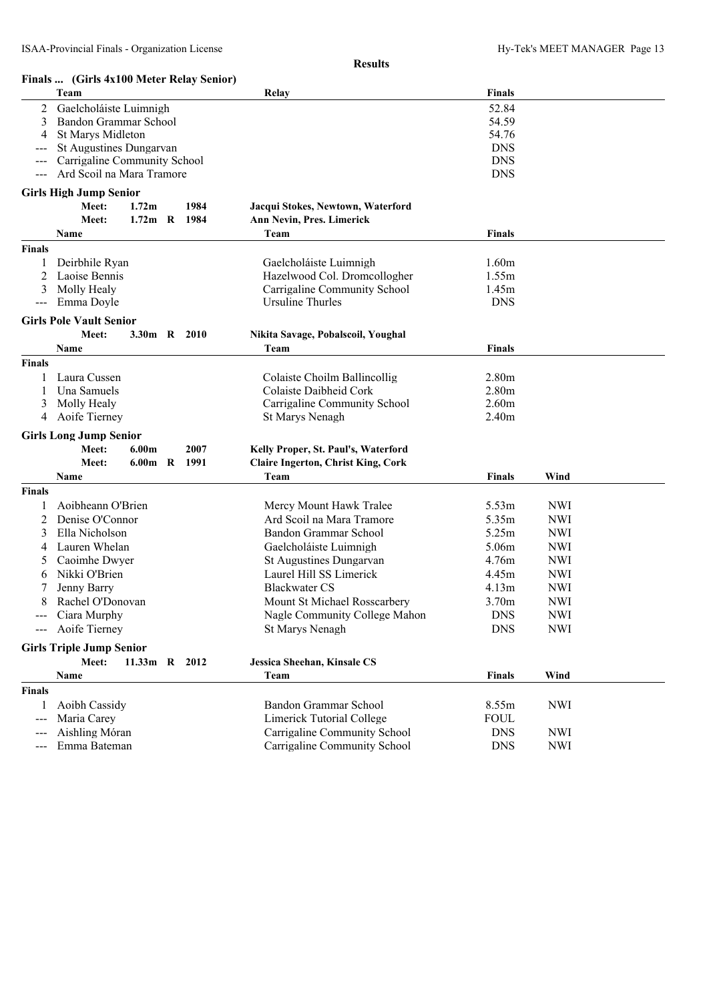| Finals  (Girls 4x100 Meter Relay Senior)<br>Team<br>Relay<br>Finals<br>52.84<br>2<br>Gaelcholáiste Luimnigh<br>3<br>Bandon Grammar School<br>54.59<br>St Marys Midleton<br>54.76<br>4<br>St Augustines Dungarvan<br><b>DNS</b><br>Carrigaline Community School<br><b>DNS</b><br><b>DNS</b><br>Ard Scoil na Mara Tramore<br><b>Girls High Jump Senior</b><br>1984<br>Meet:<br>Jacqui Stokes, Newtown, Waterford<br>1.72 <sub>m</sub><br>1.72m R 1984<br>Meet:<br>Ann Nevin, Pres. Limerick<br>Team<br>Name<br><b>Finals</b><br><b>Finals</b><br>Gaelcholáiste Luimnigh<br>Deirbhile Ryan<br>1.60m<br>Laoise Bennis<br>Hazelwood Col. Dromcollogher<br>1.55m<br>Molly Healy<br>1.45m<br>Carrigaline Community School<br>Emma Doyle<br>Ursuline Thurles<br><b>DNS</b><br>$---$<br><b>Girls Pole Vault Senior</b><br>Meet:<br>3.30m R 2010<br>Nikita Savage, Pobalscoil, Youghal<br>Team<br><b>Finals</b><br>Name<br>Finals<br>Colaiste Choilm Ballincollig<br>2.80 <sub>m</sub><br>Laura Cussen<br>Una Samuels<br>Colaiste Daibheid Cork<br>2.80 <sub>m</sub><br>2.60m<br>Molly Healy<br>Carrigaline Community School<br>3<br>Aoife Tierney<br>2.40 <sub>m</sub><br>St Marys Nenagh<br>4<br><b>Girls Long Jump Senior</b><br>2007<br>Meet:<br>6.00 <sub>m</sub><br>Kelly Proper, St. Paul's, Waterford<br>6.00m R 1991<br><b>Claire Ingerton, Christ King, Cork</b><br>Meet:<br>Team<br>Wind<br>Name<br><b>Finals</b><br><b>Finals</b><br>Aoibheann O'Brien<br>Mercy Mount Hawk Tralee<br>5.53m<br><b>NWI</b><br>Denise O'Connor<br>Ard Scoil na Mara Tramore<br>5.35m<br><b>NWI</b><br>2<br>Ella Nicholson<br>Bandon Grammar School<br>5.25m<br><b>NWI</b><br>Lauren Whelan<br>Gaelcholáiste Luimnigh<br><b>NWI</b><br>5.06m<br>4<br>Caoimhe Dwyer<br>St Augustines Dungarvan<br><b>NWI</b><br>4.76m<br>Nikki O'Brien<br>Laurel Hill SS Limerick<br>4.45m<br><b>NWI</b><br>Jenny Barry<br><b>Blackwater CS</b><br><b>NWI</b><br>4.13m<br>8<br>Mount St Michael Rosscarbery<br>3.70m<br><b>NWI</b><br>Rachel O'Donovan<br>Ciara Murphy<br>Nagle Community College Mahon<br><b>DNS</b><br><b>NWI</b><br>Aoife Tierney<br>St Marys Nenagh<br><b>DNS</b><br><b>NWI</b><br>$--$<br><b>Girls Triple Jump Senior</b><br>Jessica Sheehan, Kinsale CS<br>Meet:<br>11.33m R 2012<br>Wind<br>Name<br>Team<br><b>Finals</b> |  |  |  |  |
|---------------------------------------------------------------------------------------------------------------------------------------------------------------------------------------------------------------------------------------------------------------------------------------------------------------------------------------------------------------------------------------------------------------------------------------------------------------------------------------------------------------------------------------------------------------------------------------------------------------------------------------------------------------------------------------------------------------------------------------------------------------------------------------------------------------------------------------------------------------------------------------------------------------------------------------------------------------------------------------------------------------------------------------------------------------------------------------------------------------------------------------------------------------------------------------------------------------------------------------------------------------------------------------------------------------------------------------------------------------------------------------------------------------------------------------------------------------------------------------------------------------------------------------------------------------------------------------------------------------------------------------------------------------------------------------------------------------------------------------------------------------------------------------------------------------------------------------------------------------------------------------------------------------------------------------------------------------------------------------------------------------------------------------------------------------------------------------------------------------------------------------------------------------------------------------------------------------------------------------------------------------------------------------------------------------|--|--|--|--|
|                                                                                                                                                                                                                                                                                                                                                                                                                                                                                                                                                                                                                                                                                                                                                                                                                                                                                                                                                                                                                                                                                                                                                                                                                                                                                                                                                                                                                                                                                                                                                                                                                                                                                                                                                                                                                                                                                                                                                                                                                                                                                                                                                                                                                                                                                                               |  |  |  |  |
|                                                                                                                                                                                                                                                                                                                                                                                                                                                                                                                                                                                                                                                                                                                                                                                                                                                                                                                                                                                                                                                                                                                                                                                                                                                                                                                                                                                                                                                                                                                                                                                                                                                                                                                                                                                                                                                                                                                                                                                                                                                                                                                                                                                                                                                                                                               |  |  |  |  |
|                                                                                                                                                                                                                                                                                                                                                                                                                                                                                                                                                                                                                                                                                                                                                                                                                                                                                                                                                                                                                                                                                                                                                                                                                                                                                                                                                                                                                                                                                                                                                                                                                                                                                                                                                                                                                                                                                                                                                                                                                                                                                                                                                                                                                                                                                                               |  |  |  |  |
|                                                                                                                                                                                                                                                                                                                                                                                                                                                                                                                                                                                                                                                                                                                                                                                                                                                                                                                                                                                                                                                                                                                                                                                                                                                                                                                                                                                                                                                                                                                                                                                                                                                                                                                                                                                                                                                                                                                                                                                                                                                                                                                                                                                                                                                                                                               |  |  |  |  |
|                                                                                                                                                                                                                                                                                                                                                                                                                                                                                                                                                                                                                                                                                                                                                                                                                                                                                                                                                                                                                                                                                                                                                                                                                                                                                                                                                                                                                                                                                                                                                                                                                                                                                                                                                                                                                                                                                                                                                                                                                                                                                                                                                                                                                                                                                                               |  |  |  |  |
|                                                                                                                                                                                                                                                                                                                                                                                                                                                                                                                                                                                                                                                                                                                                                                                                                                                                                                                                                                                                                                                                                                                                                                                                                                                                                                                                                                                                                                                                                                                                                                                                                                                                                                                                                                                                                                                                                                                                                                                                                                                                                                                                                                                                                                                                                                               |  |  |  |  |
|                                                                                                                                                                                                                                                                                                                                                                                                                                                                                                                                                                                                                                                                                                                                                                                                                                                                                                                                                                                                                                                                                                                                                                                                                                                                                                                                                                                                                                                                                                                                                                                                                                                                                                                                                                                                                                                                                                                                                                                                                                                                                                                                                                                                                                                                                                               |  |  |  |  |
|                                                                                                                                                                                                                                                                                                                                                                                                                                                                                                                                                                                                                                                                                                                                                                                                                                                                                                                                                                                                                                                                                                                                                                                                                                                                                                                                                                                                                                                                                                                                                                                                                                                                                                                                                                                                                                                                                                                                                                                                                                                                                                                                                                                                                                                                                                               |  |  |  |  |
|                                                                                                                                                                                                                                                                                                                                                                                                                                                                                                                                                                                                                                                                                                                                                                                                                                                                                                                                                                                                                                                                                                                                                                                                                                                                                                                                                                                                                                                                                                                                                                                                                                                                                                                                                                                                                                                                                                                                                                                                                                                                                                                                                                                                                                                                                                               |  |  |  |  |
|                                                                                                                                                                                                                                                                                                                                                                                                                                                                                                                                                                                                                                                                                                                                                                                                                                                                                                                                                                                                                                                                                                                                                                                                                                                                                                                                                                                                                                                                                                                                                                                                                                                                                                                                                                                                                                                                                                                                                                                                                                                                                                                                                                                                                                                                                                               |  |  |  |  |
|                                                                                                                                                                                                                                                                                                                                                                                                                                                                                                                                                                                                                                                                                                                                                                                                                                                                                                                                                                                                                                                                                                                                                                                                                                                                                                                                                                                                                                                                                                                                                                                                                                                                                                                                                                                                                                                                                                                                                                                                                                                                                                                                                                                                                                                                                                               |  |  |  |  |
|                                                                                                                                                                                                                                                                                                                                                                                                                                                                                                                                                                                                                                                                                                                                                                                                                                                                                                                                                                                                                                                                                                                                                                                                                                                                                                                                                                                                                                                                                                                                                                                                                                                                                                                                                                                                                                                                                                                                                                                                                                                                                                                                                                                                                                                                                                               |  |  |  |  |
|                                                                                                                                                                                                                                                                                                                                                                                                                                                                                                                                                                                                                                                                                                                                                                                                                                                                                                                                                                                                                                                                                                                                                                                                                                                                                                                                                                                                                                                                                                                                                                                                                                                                                                                                                                                                                                                                                                                                                                                                                                                                                                                                                                                                                                                                                                               |  |  |  |  |
|                                                                                                                                                                                                                                                                                                                                                                                                                                                                                                                                                                                                                                                                                                                                                                                                                                                                                                                                                                                                                                                                                                                                                                                                                                                                                                                                                                                                                                                                                                                                                                                                                                                                                                                                                                                                                                                                                                                                                                                                                                                                                                                                                                                                                                                                                                               |  |  |  |  |
|                                                                                                                                                                                                                                                                                                                                                                                                                                                                                                                                                                                                                                                                                                                                                                                                                                                                                                                                                                                                                                                                                                                                                                                                                                                                                                                                                                                                                                                                                                                                                                                                                                                                                                                                                                                                                                                                                                                                                                                                                                                                                                                                                                                                                                                                                                               |  |  |  |  |
|                                                                                                                                                                                                                                                                                                                                                                                                                                                                                                                                                                                                                                                                                                                                                                                                                                                                                                                                                                                                                                                                                                                                                                                                                                                                                                                                                                                                                                                                                                                                                                                                                                                                                                                                                                                                                                                                                                                                                                                                                                                                                                                                                                                                                                                                                                               |  |  |  |  |
|                                                                                                                                                                                                                                                                                                                                                                                                                                                                                                                                                                                                                                                                                                                                                                                                                                                                                                                                                                                                                                                                                                                                                                                                                                                                                                                                                                                                                                                                                                                                                                                                                                                                                                                                                                                                                                                                                                                                                                                                                                                                                                                                                                                                                                                                                                               |  |  |  |  |
|                                                                                                                                                                                                                                                                                                                                                                                                                                                                                                                                                                                                                                                                                                                                                                                                                                                                                                                                                                                                                                                                                                                                                                                                                                                                                                                                                                                                                                                                                                                                                                                                                                                                                                                                                                                                                                                                                                                                                                                                                                                                                                                                                                                                                                                                                                               |  |  |  |  |
|                                                                                                                                                                                                                                                                                                                                                                                                                                                                                                                                                                                                                                                                                                                                                                                                                                                                                                                                                                                                                                                                                                                                                                                                                                                                                                                                                                                                                                                                                                                                                                                                                                                                                                                                                                                                                                                                                                                                                                                                                                                                                                                                                                                                                                                                                                               |  |  |  |  |
|                                                                                                                                                                                                                                                                                                                                                                                                                                                                                                                                                                                                                                                                                                                                                                                                                                                                                                                                                                                                                                                                                                                                                                                                                                                                                                                                                                                                                                                                                                                                                                                                                                                                                                                                                                                                                                                                                                                                                                                                                                                                                                                                                                                                                                                                                                               |  |  |  |  |
|                                                                                                                                                                                                                                                                                                                                                                                                                                                                                                                                                                                                                                                                                                                                                                                                                                                                                                                                                                                                                                                                                                                                                                                                                                                                                                                                                                                                                                                                                                                                                                                                                                                                                                                                                                                                                                                                                                                                                                                                                                                                                                                                                                                                                                                                                                               |  |  |  |  |
|                                                                                                                                                                                                                                                                                                                                                                                                                                                                                                                                                                                                                                                                                                                                                                                                                                                                                                                                                                                                                                                                                                                                                                                                                                                                                                                                                                                                                                                                                                                                                                                                                                                                                                                                                                                                                                                                                                                                                                                                                                                                                                                                                                                                                                                                                                               |  |  |  |  |
|                                                                                                                                                                                                                                                                                                                                                                                                                                                                                                                                                                                                                                                                                                                                                                                                                                                                                                                                                                                                                                                                                                                                                                                                                                                                                                                                                                                                                                                                                                                                                                                                                                                                                                                                                                                                                                                                                                                                                                                                                                                                                                                                                                                                                                                                                                               |  |  |  |  |
|                                                                                                                                                                                                                                                                                                                                                                                                                                                                                                                                                                                                                                                                                                                                                                                                                                                                                                                                                                                                                                                                                                                                                                                                                                                                                                                                                                                                                                                                                                                                                                                                                                                                                                                                                                                                                                                                                                                                                                                                                                                                                                                                                                                                                                                                                                               |  |  |  |  |
|                                                                                                                                                                                                                                                                                                                                                                                                                                                                                                                                                                                                                                                                                                                                                                                                                                                                                                                                                                                                                                                                                                                                                                                                                                                                                                                                                                                                                                                                                                                                                                                                                                                                                                                                                                                                                                                                                                                                                                                                                                                                                                                                                                                                                                                                                                               |  |  |  |  |
|                                                                                                                                                                                                                                                                                                                                                                                                                                                                                                                                                                                                                                                                                                                                                                                                                                                                                                                                                                                                                                                                                                                                                                                                                                                                                                                                                                                                                                                                                                                                                                                                                                                                                                                                                                                                                                                                                                                                                                                                                                                                                                                                                                                                                                                                                                               |  |  |  |  |
|                                                                                                                                                                                                                                                                                                                                                                                                                                                                                                                                                                                                                                                                                                                                                                                                                                                                                                                                                                                                                                                                                                                                                                                                                                                                                                                                                                                                                                                                                                                                                                                                                                                                                                                                                                                                                                                                                                                                                                                                                                                                                                                                                                                                                                                                                                               |  |  |  |  |
|                                                                                                                                                                                                                                                                                                                                                                                                                                                                                                                                                                                                                                                                                                                                                                                                                                                                                                                                                                                                                                                                                                                                                                                                                                                                                                                                                                                                                                                                                                                                                                                                                                                                                                                                                                                                                                                                                                                                                                                                                                                                                                                                                                                                                                                                                                               |  |  |  |  |
|                                                                                                                                                                                                                                                                                                                                                                                                                                                                                                                                                                                                                                                                                                                                                                                                                                                                                                                                                                                                                                                                                                                                                                                                                                                                                                                                                                                                                                                                                                                                                                                                                                                                                                                                                                                                                                                                                                                                                                                                                                                                                                                                                                                                                                                                                                               |  |  |  |  |
|                                                                                                                                                                                                                                                                                                                                                                                                                                                                                                                                                                                                                                                                                                                                                                                                                                                                                                                                                                                                                                                                                                                                                                                                                                                                                                                                                                                                                                                                                                                                                                                                                                                                                                                                                                                                                                                                                                                                                                                                                                                                                                                                                                                                                                                                                                               |  |  |  |  |
|                                                                                                                                                                                                                                                                                                                                                                                                                                                                                                                                                                                                                                                                                                                                                                                                                                                                                                                                                                                                                                                                                                                                                                                                                                                                                                                                                                                                                                                                                                                                                                                                                                                                                                                                                                                                                                                                                                                                                                                                                                                                                                                                                                                                                                                                                                               |  |  |  |  |
|                                                                                                                                                                                                                                                                                                                                                                                                                                                                                                                                                                                                                                                                                                                                                                                                                                                                                                                                                                                                                                                                                                                                                                                                                                                                                                                                                                                                                                                                                                                                                                                                                                                                                                                                                                                                                                                                                                                                                                                                                                                                                                                                                                                                                                                                                                               |  |  |  |  |
|                                                                                                                                                                                                                                                                                                                                                                                                                                                                                                                                                                                                                                                                                                                                                                                                                                                                                                                                                                                                                                                                                                                                                                                                                                                                                                                                                                                                                                                                                                                                                                                                                                                                                                                                                                                                                                                                                                                                                                                                                                                                                                                                                                                                                                                                                                               |  |  |  |  |
|                                                                                                                                                                                                                                                                                                                                                                                                                                                                                                                                                                                                                                                                                                                                                                                                                                                                                                                                                                                                                                                                                                                                                                                                                                                                                                                                                                                                                                                                                                                                                                                                                                                                                                                                                                                                                                                                                                                                                                                                                                                                                                                                                                                                                                                                                                               |  |  |  |  |
|                                                                                                                                                                                                                                                                                                                                                                                                                                                                                                                                                                                                                                                                                                                                                                                                                                                                                                                                                                                                                                                                                                                                                                                                                                                                                                                                                                                                                                                                                                                                                                                                                                                                                                                                                                                                                                                                                                                                                                                                                                                                                                                                                                                                                                                                                                               |  |  |  |  |
|                                                                                                                                                                                                                                                                                                                                                                                                                                                                                                                                                                                                                                                                                                                                                                                                                                                                                                                                                                                                                                                                                                                                                                                                                                                                                                                                                                                                                                                                                                                                                                                                                                                                                                                                                                                                                                                                                                                                                                                                                                                                                                                                                                                                                                                                                                               |  |  |  |  |
|                                                                                                                                                                                                                                                                                                                                                                                                                                                                                                                                                                                                                                                                                                                                                                                                                                                                                                                                                                                                                                                                                                                                                                                                                                                                                                                                                                                                                                                                                                                                                                                                                                                                                                                                                                                                                                                                                                                                                                                                                                                                                                                                                                                                                                                                                                               |  |  |  |  |
|                                                                                                                                                                                                                                                                                                                                                                                                                                                                                                                                                                                                                                                                                                                                                                                                                                                                                                                                                                                                                                                                                                                                                                                                                                                                                                                                                                                                                                                                                                                                                                                                                                                                                                                                                                                                                                                                                                                                                                                                                                                                                                                                                                                                                                                                                                               |  |  |  |  |
|                                                                                                                                                                                                                                                                                                                                                                                                                                                                                                                                                                                                                                                                                                                                                                                                                                                                                                                                                                                                                                                                                                                                                                                                                                                                                                                                                                                                                                                                                                                                                                                                                                                                                                                                                                                                                                                                                                                                                                                                                                                                                                                                                                                                                                                                                                               |  |  |  |  |
|                                                                                                                                                                                                                                                                                                                                                                                                                                                                                                                                                                                                                                                                                                                                                                                                                                                                                                                                                                                                                                                                                                                                                                                                                                                                                                                                                                                                                                                                                                                                                                                                                                                                                                                                                                                                                                                                                                                                                                                                                                                                                                                                                                                                                                                                                                               |  |  |  |  |
|                                                                                                                                                                                                                                                                                                                                                                                                                                                                                                                                                                                                                                                                                                                                                                                                                                                                                                                                                                                                                                                                                                                                                                                                                                                                                                                                                                                                                                                                                                                                                                                                                                                                                                                                                                                                                                                                                                                                                                                                                                                                                                                                                                                                                                                                                                               |  |  |  |  |
| <b>Finals</b>                                                                                                                                                                                                                                                                                                                                                                                                                                                                                                                                                                                                                                                                                                                                                                                                                                                                                                                                                                                                                                                                                                                                                                                                                                                                                                                                                                                                                                                                                                                                                                                                                                                                                                                                                                                                                                                                                                                                                                                                                                                                                                                                                                                                                                                                                                 |  |  |  |  |
| Aoibh Cassidy<br>Bandon Grammar School<br>8.55m<br><b>NWI</b>                                                                                                                                                                                                                                                                                                                                                                                                                                                                                                                                                                                                                                                                                                                                                                                                                                                                                                                                                                                                                                                                                                                                                                                                                                                                                                                                                                                                                                                                                                                                                                                                                                                                                                                                                                                                                                                                                                                                                                                                                                                                                                                                                                                                                                                 |  |  |  |  |
| <b>Limerick Tutorial College</b><br>Maria Carey<br><b>FOUL</b>                                                                                                                                                                                                                                                                                                                                                                                                                                                                                                                                                                                                                                                                                                                                                                                                                                                                                                                                                                                                                                                                                                                                                                                                                                                                                                                                                                                                                                                                                                                                                                                                                                                                                                                                                                                                                                                                                                                                                                                                                                                                                                                                                                                                                                                |  |  |  |  |
| Aishling Móran<br>Carrigaline Community School<br><b>DNS</b><br><b>NWI</b><br>---                                                                                                                                                                                                                                                                                                                                                                                                                                                                                                                                                                                                                                                                                                                                                                                                                                                                                                                                                                                                                                                                                                                                                                                                                                                                                                                                                                                                                                                                                                                                                                                                                                                                                                                                                                                                                                                                                                                                                                                                                                                                                                                                                                                                                             |  |  |  |  |
| Emma Bateman<br>Carrigaline Community School<br><b>NWI</b><br><b>DNS</b><br>$---$                                                                                                                                                                                                                                                                                                                                                                                                                                                                                                                                                                                                                                                                                                                                                                                                                                                                                                                                                                                                                                                                                                                                                                                                                                                                                                                                                                                                                                                                                                                                                                                                                                                                                                                                                                                                                                                                                                                                                                                                                                                                                                                                                                                                                             |  |  |  |  |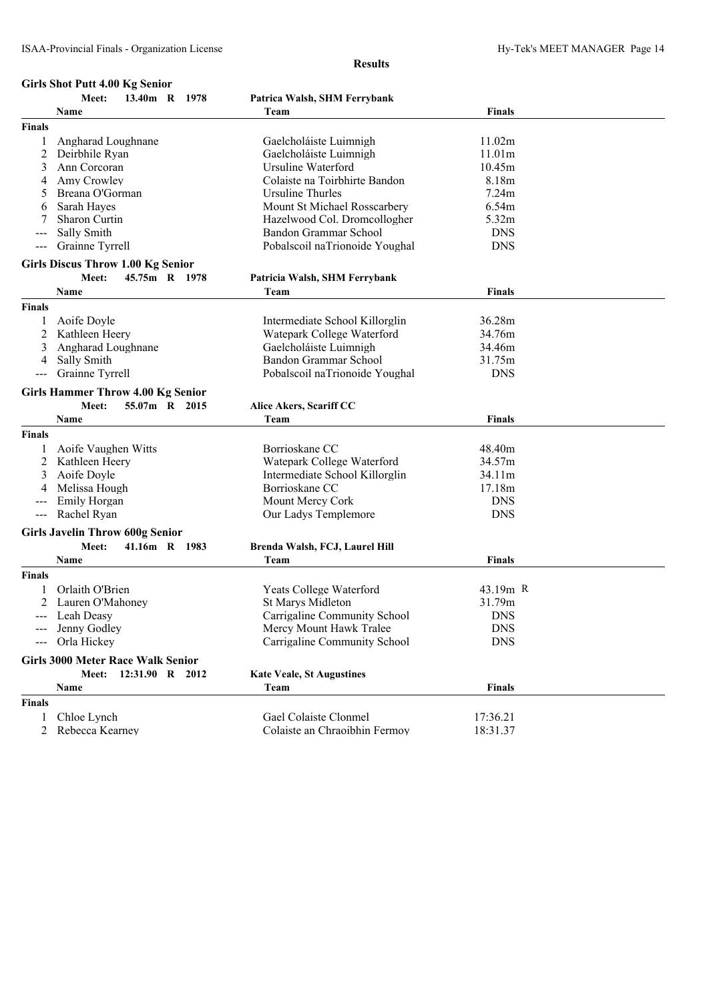#### **Girls Shot Putt 4.00 Kg Senior**

|               | Meet:<br>13.40m R 1978                   | Patrica Walsh, SHM Ferrybank     |               |  |
|---------------|------------------------------------------|----------------------------------|---------------|--|
|               | Name                                     | Team                             | <b>Finals</b> |  |
| <b>Finals</b> |                                          |                                  |               |  |
| 1             | Angharad Loughnane                       | Gaelcholáiste Luimnigh           | 11.02m        |  |
| 2             | Deirbhile Ryan                           | Gaelcholáiste Luimnigh           | 11.01m        |  |
| 3             | Ann Corcoran                             | Ursuline Waterford               | 10.45m        |  |
| 4             | Amy Crowley                              | Colaiste na Toirbhirte Bandon    | 8.18m         |  |
| 5             | Breana O'Gorman                          | Ursuline Thurles                 | 7.24m         |  |
| 6             | Sarah Hayes                              | Mount St Michael Rosscarbery     | 6.54m         |  |
|               | Sharon Curtin                            | Hazelwood Col. Dromcollogher     | 5.32m         |  |
|               | Sally Smith                              | Bandon Grammar School            | <b>DNS</b>    |  |
| ---           | Grainne Tyrrell                          | Pobalscoil naTrionoide Youghal   | <b>DNS</b>    |  |
|               |                                          |                                  |               |  |
|               | <b>Girls Discus Throw 1.00 Kg Senior</b> |                                  |               |  |
|               | Meet:<br>45.75m R 1978                   | Patricia Walsh, SHM Ferrybank    |               |  |
|               | Name                                     | Team                             | Finals        |  |
| <b>Finals</b> |                                          |                                  |               |  |
|               | Aoife Doyle                              | Intermediate School Killorglin   | 36.28m        |  |
| 2             | Kathleen Heery                           | Watepark College Waterford       | 34.76m        |  |
|               | Angharad Loughnane                       | Gaelcholáiste Luimnigh           | 34.46m        |  |
| 4             | Sally Smith                              | Bandon Grammar School            | 31.75m        |  |
|               | Grainne Tyrrell                          | Pobalscoil naTrionoide Youghal   | <b>DNS</b>    |  |
|               |                                          |                                  |               |  |
|               | <b>Girls Hammer Throw 4.00 Kg Senior</b> |                                  |               |  |
|               | 55.07m R 2015<br>Meet:                   | Alice Akers, Scariff CC          |               |  |
|               | Name                                     | Team                             | <b>Finals</b> |  |
| <b>Finals</b> |                                          |                                  |               |  |
|               | Aoife Vaughen Witts                      | Borrioskane CC                   | 48.40m        |  |
| 2             | Kathleen Heery                           | Watepark College Waterford       | 34.57m        |  |
|               | Aoife Doyle                              | Intermediate School Killorglin   | 34.11m        |  |
|               | Melissa Hough                            | Borrioskane CC                   | 17.18m        |  |
|               | Emily Horgan                             | Mount Mercy Cork                 | <b>DNS</b>    |  |
| $\frac{1}{2}$ | Rachel Ryan                              | Our Ladys Templemore             | <b>DNS</b>    |  |
|               | <b>Girls Javelin Throw 600g Senior</b>   |                                  |               |  |
|               | Meet:<br>41.16m R 1983                   | Brenda Walsh, FCJ, Laurel Hill   |               |  |
|               | Name                                     | Team                             | Finals        |  |
| Finals        |                                          |                                  |               |  |
|               |                                          |                                  |               |  |
|               | Orlaith O'Brien                          | <b>Yeats College Waterford</b>   | 43.19m R      |  |
| 2             | Lauren O'Mahoney                         | <b>St Marys Midleton</b>         | 31.79m        |  |
|               | Leah Deasy                               | Carrigaline Community School     | <b>DNS</b>    |  |
|               | --- Jenny Godley                         | Mercy Mount Hawk Tralee          | <b>DNS</b>    |  |
|               | --- Orla Hickey                          | Carrigaline Community School     | <b>DNS</b>    |  |
|               | <b>Girls 3000 Meter Race Walk Senior</b> |                                  |               |  |
|               | Meet: 12:31.90 R 2012                    | <b>Kate Veale, St Augustines</b> |               |  |
|               | Name                                     | Team                             | <b>Finals</b> |  |
| <b>Finals</b> |                                          |                                  |               |  |
| 1             | Chloe Lynch                              | Gael Colaiste Clonmel            | 17:36.21      |  |
| 2             | Rebecca Kearney                          | Colaiste an Chraoibhin Fermoy    | 18:31.37      |  |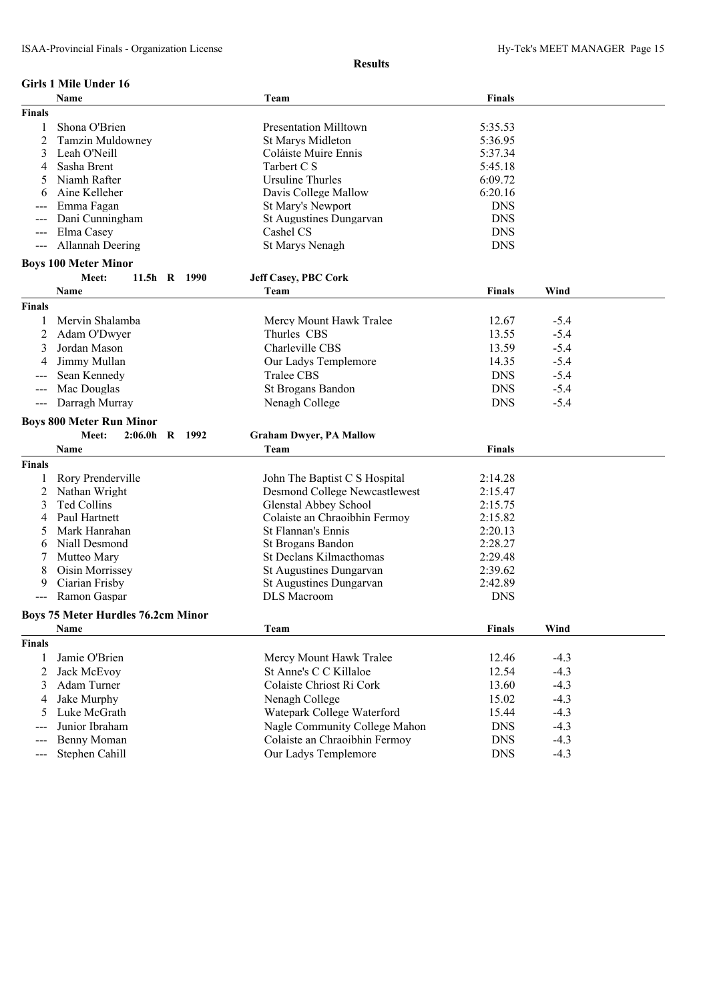|                                          | <b>Girls 1 Mile Under 16</b>                                 |                                                       |                          |                  |  |
|------------------------------------------|--------------------------------------------------------------|-------------------------------------------------------|--------------------------|------------------|--|
|                                          | <b>Name</b>                                                  | Team                                                  | <b>Finals</b>            |                  |  |
| <b>Finals</b>                            |                                                              |                                                       |                          |                  |  |
| 1                                        | Shona O'Brien                                                | <b>Presentation Milltown</b>                          | 5:35.53                  |                  |  |
| 2                                        | <b>Tamzin Muldowney</b>                                      | <b>St Marys Midleton</b>                              | 5:36.95                  |                  |  |
| 3                                        | Leah O'Neill                                                 | Coláiste Muire Ennis                                  | 5:37.34                  |                  |  |
| 4                                        | Sasha Brent                                                  | Tarbert C S                                           | 5:45.18                  |                  |  |
| 5                                        | Niamh Rafter                                                 | <b>Ursuline Thurles</b>                               | 6:09.72                  |                  |  |
| 6                                        | Aine Kelleher                                                | Davis College Mallow                                  | 6:20.16                  |                  |  |
|                                          | Emma Fagan                                                   | St Mary's Newport                                     | <b>DNS</b>               |                  |  |
| $---$                                    | Dani Cunningham                                              | St Augustines Dungarvan                               | <b>DNS</b>               |                  |  |
| $\qquad \qquad - -$                      | Elma Casey                                                   | Cashel CS                                             | <b>DNS</b>               |                  |  |
| $\hspace{0.05cm} \ldots \hspace{0.05cm}$ | Allannah Deering                                             | St Marys Nenagh                                       | <b>DNS</b>               |                  |  |
|                                          | <b>Boys 100 Meter Minor</b>                                  |                                                       |                          |                  |  |
|                                          | Meet:<br>11.5h R 1990                                        | <b>Jeff Casey, PBC Cork</b>                           |                          |                  |  |
|                                          | <b>Name</b>                                                  | Team                                                  | <b>Finals</b>            | Wind             |  |
| <b>Finals</b>                            |                                                              |                                                       |                          |                  |  |
|                                          |                                                              |                                                       |                          |                  |  |
| 1                                        | Mervin Shalamba                                              | Mercy Mount Hawk Tralee                               | 12.67                    | $-5.4$           |  |
| 2                                        | Adam O'Dwyer                                                 | Thurles CBS                                           | 13.55                    | $-5.4$           |  |
| 3                                        | Jordan Mason                                                 | Charleville CBS                                       | 13.59                    | $-5.4$           |  |
| 4                                        | Jimmy Mullan                                                 | Our Ladys Templemore                                  | 14.35                    | $-5.4$           |  |
|                                          | Sean Kennedy                                                 | Tralee CBS                                            | <b>DNS</b>               | $-5.4$           |  |
| $---$                                    | Mac Douglas                                                  | St Brogans Bandon                                     | <b>DNS</b>               | $-5.4$           |  |
| $\hspace{0.05cm} \ldots \hspace{0.05cm}$ | Darragh Murray                                               | Nenagh College                                        | <b>DNS</b>               | $-5.4$           |  |
|                                          |                                                              |                                                       |                          |                  |  |
|                                          |                                                              |                                                       |                          |                  |  |
|                                          | <b>Boys 800 Meter Run Minor</b><br>Meet:<br>$2:06.0h$ R 1992 |                                                       |                          |                  |  |
|                                          | Name                                                         | <b>Graham Dwyer, PA Mallow</b><br>Team                | Finals                   |                  |  |
|                                          |                                                              |                                                       |                          |                  |  |
| <b>Finals</b>                            |                                                              |                                                       |                          |                  |  |
| 1                                        | Rory Prenderville                                            | John The Baptist C S Hospital                         | 2:14.28                  |                  |  |
| 2                                        | Nathan Wright                                                | <b>Desmond College Newcastlewest</b>                  | 2:15.47                  |                  |  |
| 3                                        | Ted Collins                                                  | <b>Glenstal Abbey School</b>                          | 2:15.75                  |                  |  |
| 4                                        | Paul Hartnett                                                | Colaiste an Chraoibhin Fermoy                         | 2:15.82                  |                  |  |
| 5                                        | Mark Hanrahan                                                | <b>St Flannan's Ennis</b>                             | 2:20.13                  |                  |  |
| 6                                        | Niall Desmond                                                | <b>St Brogans Bandon</b>                              | 2:28.27                  |                  |  |
| 7                                        | Mutteo Mary                                                  | St Declans Kilmacthomas                               | 2:29.48                  |                  |  |
| 8                                        | Oisin Morrissey                                              | St Augustines Dungarvan                               | 2:39.62                  |                  |  |
| 9                                        | Ciarian Frisby                                               | St Augustines Dungarvan                               | 2:42.89                  |                  |  |
|                                          | Ramon Gaspar                                                 | <b>DLS</b> Macroom                                    | <b>DNS</b>               |                  |  |
|                                          | <b>Boys 75 Meter Hurdles 76.2cm Minor</b>                    |                                                       |                          |                  |  |
|                                          | Name                                                         | Team                                                  | <b>Finals</b>            | Wind             |  |
| <b>Finals</b>                            |                                                              |                                                       |                          |                  |  |
| 1                                        | Jamie O'Brien                                                | Mercy Mount Hawk Tralee                               | 12.46                    | $-4.3$           |  |
| 2                                        | Jack McEvoy                                                  | St Anne's C C Killaloe                                | 12.54                    | $-4.3$           |  |
| 3                                        | Adam Turner                                                  | Colaiste Chriost Ri Cork                              | 13.60                    | $-4.3$           |  |
| 4                                        | Jake Murphy                                                  | Nenagh College                                        | 15.02                    | $-4.3$           |  |
| 5                                        | Luke McGrath                                                 | Watepark College Waterford                            | 15.44                    | $-4.3$           |  |
|                                          | Junior Ibraham                                               | Nagle Community College Mahon                         | <b>DNS</b>               | $-4.3$           |  |
| ---                                      | Benny Moman<br>Stephen Cahill                                | Colaiste an Chraoibhin Fermov<br>Our Ladys Templemore | <b>DNS</b><br><b>DNS</b> | $-4.3$<br>$-4.3$ |  |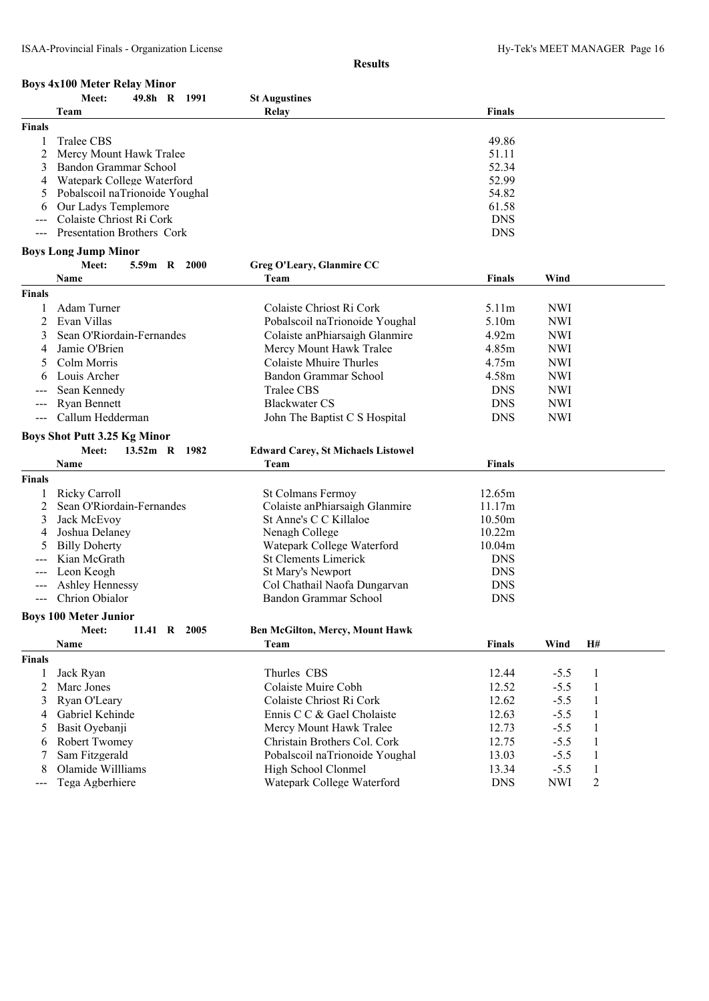|                     | <b>Boys 4x100 Meter Relay Minor</b> |                                           |               |            |                |  |
|---------------------|-------------------------------------|-------------------------------------------|---------------|------------|----------------|--|
|                     | Meet:<br>49.8h R<br>1991            | <b>St Augustines</b>                      |               |            |                |  |
|                     | Team                                | Relay                                     | Finals        |            |                |  |
| <b>Finals</b>       |                                     |                                           |               |            |                |  |
| 1                   | Tralee CBS                          |                                           | 49.86         |            |                |  |
| 2                   | Mercy Mount Hawk Tralee             |                                           | 51.11         |            |                |  |
| 3                   | Bandon Grammar School               |                                           | 52.34         |            |                |  |
| 4                   | Watepark College Waterford          |                                           | 52.99         |            |                |  |
|                     | Pobalscoil naTrionoide Youghal      |                                           | 54.82         |            |                |  |
| 6                   | Our Ladys Templemore                |                                           | 61.58         |            |                |  |
|                     | Colaiste Chriost Ri Cork            |                                           | <b>DNS</b>    |            |                |  |
| $\qquad \qquad - -$ | Presentation Brothers Cork          |                                           | <b>DNS</b>    |            |                |  |
|                     | <b>Boys Long Jump Minor</b>         |                                           |               |            |                |  |
|                     | <b>Meet:</b><br>5.59m R 2000        | Greg O'Leary, Glanmire CC                 |               |            |                |  |
|                     | Name                                | Team                                      | <b>Finals</b> | Wind       |                |  |
| Finals              |                                     |                                           |               |            |                |  |
| 1                   | Adam Turner                         | Colaiste Chriost Ri Cork                  | 5.11m         | <b>NWI</b> |                |  |
| $\overline{2}$      | Evan Villas                         | Pobalscoil naTrionoide Youghal            | 5.10m         | <b>NWI</b> |                |  |
| 3                   | Sean O'Riordain-Fernandes           |                                           |               |            |                |  |
|                     |                                     | Colaiste anPhiarsaigh Glanmire            | 4.92m         | <b>NWI</b> |                |  |
| 4                   | Jamie O'Brien                       | Mercy Mount Hawk Tralee                   | 4.85m         | <b>NWI</b> |                |  |
|                     | Colm Morris                         | <b>Colaiste Mhuire Thurles</b>            | 4.75m         | <b>NWI</b> |                |  |
|                     | Louis Archer                        | Bandon Grammar School                     | 4.58m         | <b>NWI</b> |                |  |
|                     | Sean Kennedy                        | <b>Tralee CBS</b>                         | <b>DNS</b>    | <b>NWI</b> |                |  |
| ---                 | <b>Ryan Bennett</b>                 | <b>Blackwater CS</b>                      | <b>DNS</b>    | <b>NWI</b> |                |  |
| $\qquad \qquad - -$ | Callum Hedderman                    | John The Baptist C S Hospital             | <b>DNS</b>    | <b>NWI</b> |                |  |
|                     | <b>Boys Shot Putt 3.25 Kg Minor</b> |                                           |               |            |                |  |
|                     | <b>Meet:</b><br>13.52m R 1982       | <b>Edward Carey, St Michaels Listowel</b> |               |            |                |  |
|                     | Name                                | Team                                      | <b>Finals</b> |            |                |  |
| Finals              |                                     |                                           |               |            |                |  |
| 1                   | <b>Ricky Carroll</b>                | St Colmans Fermoy                         | 12.65m        |            |                |  |
| 2                   | Sean O'Riordain-Fernandes           | Colaiste anPhiarsaigh Glanmire            | 11.17m        |            |                |  |
| 3                   | Jack McEvoy                         | St Anne's C C Killaloe                    | 10.50m        |            |                |  |
| 4                   | Joshua Delaney                      | Nenagh College                            | 10.22m        |            |                |  |
| 5                   | <b>Billy Doherty</b>                | Watepark College Waterford                | 10.04m        |            |                |  |
|                     | Kian McGrath                        | <b>St Clements Limerick</b>               | <b>DNS</b>    |            |                |  |
| $---$               | Leon Keogh                          | St Mary's Newport                         | <b>DNS</b>    |            |                |  |
|                     | Ashley Hennessy                     | Col Chathail Naofa Dungarvan              | <b>DNS</b>    |            |                |  |
|                     | Chrion Obialor                      | Bandon Grammar School                     | <b>DNS</b>    |            |                |  |
|                     | <b>Boys 100 Meter Junior</b>        |                                           |               |            |                |  |
|                     | Meet:<br>11.41 R 2005               | <b>Ben McGilton, Mercy, Mount Hawk</b>    |               |            |                |  |
|                     | Name                                | Team                                      | <b>Finals</b> | Wind       | H#             |  |
| <b>Finals</b>       |                                     |                                           |               |            |                |  |
| 1                   | Jack Ryan                           | Thurles CBS                               | 12.44         | $-5.5$     | $\mathbf{1}$   |  |
| 2                   | Marc Jones                          | Colaiste Muire Cobh                       | 12.52         | $-5.5$     | 1              |  |
| 3                   | Ryan O'Leary                        | Colaiste Chriost Ri Cork                  | 12.62         | $-5.5$     |                |  |
|                     |                                     |                                           | 12.63         |            | $\mathbf{1}$   |  |
| 4                   | Gabriel Kehinde                     | Ennis C C & Gael Cholaiste                |               | $-5.5$     | 1              |  |
| 5                   | Basit Oyebanji                      | Mercy Mount Hawk Tralee                   | 12.73         | $-5.5$     | 1              |  |
| 6                   | Robert Twomey                       | Christain Brothers Col. Cork              | 12.75         | $-5.5$     | 1              |  |
| 7                   | Sam Fitzgerald                      | Pobalscoil naTrionoide Youghal            | 13.03         | $-5.5$     | $\mathbf{1}$   |  |
| 8                   | Olamide Willliams                   | High School Clonmel                       | 13.34         | $-5.5$     | $\mathbf{1}$   |  |
| ---                 | Tega Agberhiere                     | Watepark College Waterford                | <b>DNS</b>    | <b>NWI</b> | $\overline{c}$ |  |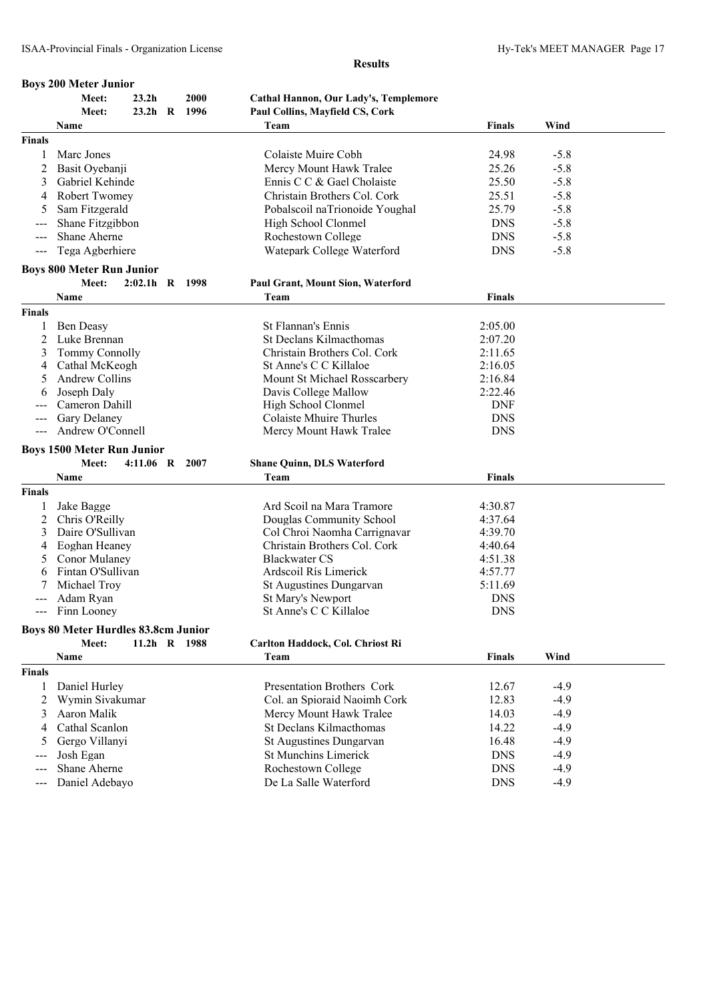|                     | <b>Boys 200 Meter Junior</b>               |                   |              |                                              |               |        |  |
|---------------------|--------------------------------------------|-------------------|--------------|----------------------------------------------|---------------|--------|--|
|                     | Meet:                                      | 23.2 <sub>h</sub> | 2000         | <b>Cathal Hannon, Our Lady's, Templemore</b> |               |        |  |
|                     | Meet:                                      |                   | 23.2h R 1996 | Paul Collins, Mayfield CS, Cork              |               |        |  |
|                     | Name                                       |                   |              | Team                                         | <b>Finals</b> | Wind   |  |
| <b>Finals</b>       |                                            |                   |              |                                              |               |        |  |
| 1                   | Marc Jones                                 |                   |              | Colaiste Muire Cobh                          | 24.98         | $-5.8$ |  |
| 2                   | Basit Oyebanji                             |                   |              | Mercy Mount Hawk Tralee                      | 25.26         | $-5.8$ |  |
| 3                   | Gabriel Kehinde                            |                   |              | Ennis C C & Gael Cholaiste                   | 25.50         | $-5.8$ |  |
| 4                   | <b>Robert Twomey</b>                       |                   |              | Christain Brothers Col. Cork                 | 25.51         | $-5.8$ |  |
| 5                   | Sam Fitzgerald                             |                   |              | Pobalscoil naTrionoide Youghal               | 25.79         | $-5.8$ |  |
|                     | Shane Fitzgibbon                           |                   |              | High School Clonmel                          | <b>DNS</b>    | $-5.8$ |  |
| $--$                | Shane Aherne                               |                   |              | Rochestown College                           | <b>DNS</b>    | $-5.8$ |  |
| $\qquad \qquad -$   | Tega Agberhiere                            |                   |              | Watepark College Waterford                   | <b>DNS</b>    | $-5.8$ |  |
|                     |                                            |                   |              |                                              |               |        |  |
|                     | <b>Boys 800 Meter Run Junior</b>           |                   |              |                                              |               |        |  |
|                     | Meet:                                      | $2:02.1h$ R 1998  |              | <b>Paul Grant, Mount Sion, Waterford</b>     |               |        |  |
|                     | Name                                       |                   |              | Team                                         | <b>Finals</b> |        |  |
| <b>Finals</b>       |                                            |                   |              |                                              |               |        |  |
| 1                   | <b>Ben Deasy</b>                           |                   |              | <b>St Flannan's Ennis</b>                    | 2:05.00       |        |  |
| 2                   | Luke Brennan                               |                   |              | St Declans Kilmacthomas                      | 2:07.20       |        |  |
| 3                   | <b>Tommy Connolly</b>                      |                   |              | Christain Brothers Col. Cork                 | 2:11.65       |        |  |
| 4                   | Cathal McKeogh                             |                   |              | St Anne's C C Killaloe                       | 2:16.05       |        |  |
| 5                   | <b>Andrew Collins</b>                      |                   |              | Mount St Michael Rosscarbery                 | 2:16.84       |        |  |
| 6                   | Joseph Daly                                |                   |              | Davis College Mallow                         | 2:22.46       |        |  |
|                     | Cameron Dahill                             |                   |              | High School Clonmel                          | <b>DNF</b>    |        |  |
| $---$               | Gary Delaney                               |                   |              | Colaiste Mhuire Thurles                      | <b>DNS</b>    |        |  |
| $\qquad \qquad - -$ | Andrew O'Connell                           |                   |              | Mercy Mount Hawk Tralee                      | <b>DNS</b>    |        |  |
|                     | <b>Boys 1500 Meter Run Junior</b>          |                   |              |                                              |               |        |  |
|                     | Meet:                                      | 4:11.06 R 2007    |              | <b>Shane Quinn, DLS Waterford</b>            |               |        |  |
|                     | Name                                       |                   |              | Team                                         | Finals        |        |  |
| <b>Finals</b>       |                                            |                   |              |                                              |               |        |  |
| 1                   | Jake Bagge                                 |                   |              | Ard Scoil na Mara Tramore                    | 4:30.87       |        |  |
| 2                   | Chris O'Reilly                             |                   |              | Douglas Community School                     | 4:37.64       |        |  |
| 3                   | Daire O'Sullivan                           |                   |              | Col Chroi Naomha Carrignavar                 | 4:39.70       |        |  |
| 4                   | Eoghan Heaney                              |                   |              | Christain Brothers Col. Cork                 | 4:40.64       |        |  |
| 5                   | Conor Mulaney                              |                   |              | <b>Blackwater CS</b>                         | 4:51.38       |        |  |
| 6                   | Fintan O'Sullivan                          |                   |              | Ardscoil Rís Limerick                        | 4:57.77       |        |  |
|                     | Michael Trov                               |                   |              | St Augustines Dungarvan                      | 5:11.69       |        |  |
|                     | Adam Ryan                                  |                   |              | St Mary's Newport                            | <b>DNS</b>    |        |  |
|                     | --- Finn Looney                            |                   |              | St Anne's C C Killaloe                       | <b>DNS</b>    |        |  |
|                     |                                            |                   |              |                                              |               |        |  |
|                     | <b>Boys 80 Meter Hurdles 83.8cm Junior</b> |                   |              |                                              |               |        |  |
|                     | Meet:                                      |                   | 11.2h R 1988 | Carlton Haddock, Col. Chriost Ri             |               |        |  |
|                     | Name                                       |                   |              | Team                                         | <b>Finals</b> | Wind   |  |
| <b>Finals</b>       |                                            |                   |              |                                              |               |        |  |
| 1                   | Daniel Hurley                              |                   |              | Presentation Brothers Cork                   | 12.67         | $-4.9$ |  |
| 2                   | Wymin Sivakumar                            |                   |              | Col. an Spioraid Naoimh Cork                 | 12.83         | $-4.9$ |  |
| 3                   | Aaron Malik                                |                   |              | Mercy Mount Hawk Tralee                      | 14.03         | $-4.9$ |  |
| 4                   | Cathal Scanlon                             |                   |              | St Declans Kilmacthomas                      | 14.22         | $-4.9$ |  |
| 5                   | Gergo Villanyi                             |                   |              | St Augustines Dungarvan                      | 16.48         | $-4.9$ |  |
| ---                 | Josh Egan                                  |                   |              | <b>St Munchins Limerick</b>                  | <b>DNS</b>    | $-4.9$ |  |
| $--$                | Shane Aherne                               |                   |              | Rochestown College                           | <b>DNS</b>    | $-4.9$ |  |
| $---$               | Daniel Adebayo                             |                   |              | De La Salle Waterford                        | <b>DNS</b>    | $-4.9$ |  |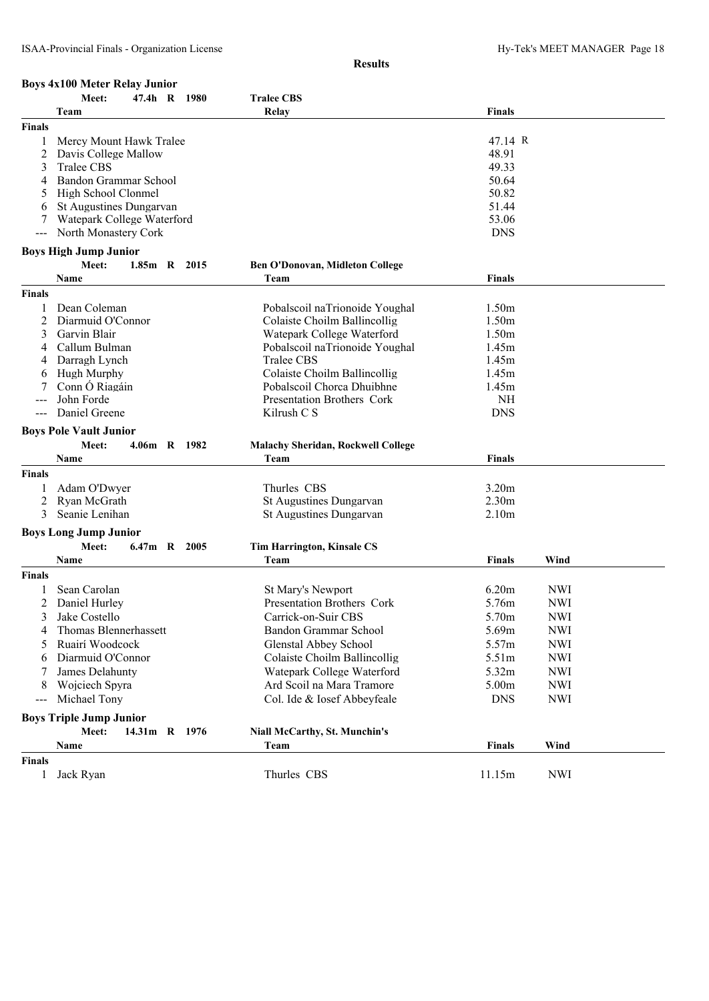# **Boys 4x100 Meter Relay Junior<br>Meet:** 47.4h R

| telay Junior |  |                   |
|--------------|--|-------------------|
| 47.4h R 1980 |  | <b>Tralee CBS</b> |

|               | Team                           | Relay                                                    | <b>Finals</b>      |            |  |
|---------------|--------------------------------|----------------------------------------------------------|--------------------|------------|--|
| <b>Finals</b> |                                |                                                          |                    |            |  |
|               | Mercy Mount Hawk Tralee        |                                                          | 47.14 R            |            |  |
| 2             | Davis College Mallow           |                                                          | 48.91              |            |  |
| 3             | Tralee CBS                     |                                                          | 49.33              |            |  |
| 4             | Bandon Grammar School          |                                                          | 50.64              |            |  |
| 5             | High School Clonmel            |                                                          | 50.82              |            |  |
| 6             | St Augustines Dungarvan        |                                                          | 51.44              |            |  |
|               | Watepark College Waterford     |                                                          | 53.06              |            |  |
|               | North Monastery Cork           |                                                          | <b>DNS</b>         |            |  |
|               | <b>Boys High Jump Junior</b>   |                                                          |                    |            |  |
|               | Meet:<br>$1.85m$ R<br>2015     | <b>Ben O'Donovan, Midleton College</b>                   |                    |            |  |
|               | Name                           | Team                                                     | <b>Finals</b>      |            |  |
| <b>Finals</b> |                                |                                                          |                    |            |  |
|               | Dean Coleman                   | Pobalscoil naTrionoide Youghal                           | 1.50m              |            |  |
| 2             | Diarmuid O'Connor              | Colaiste Choilm Ballincollig                             | 1.50m              |            |  |
| 3             | Garvin Blair                   | Watepark College Waterford                               | 1.50m              |            |  |
| 4             | Callum Bulman                  | Pobalscoil naTrionoide Youghal                           | 1.45m              |            |  |
|               | Darragh Lynch                  | Tralee CBS                                               | 1.45m              |            |  |
| 6             | <b>Hugh Murphy</b>             | Colaiste Choilm Ballincollig                             | 1.45m              |            |  |
|               | Conn Ó Riagáin<br>John Forde   | Pobalscoil Chorca Dhuibhne<br>Presentation Brothers Cork | 1.45m<br><b>NH</b> |            |  |
|               | Daniel Greene                  | Kilrush C S                                              | <b>DNS</b>         |            |  |
|               |                                |                                                          |                    |            |  |
|               | <b>Boys Pole Vault Junior</b>  |                                                          |                    |            |  |
|               | Meet:<br>4.06m R 1982          | <b>Malachy Sheridan, Rockwell College</b>                |                    |            |  |
|               | Name                           | Team                                                     | <b>Finals</b>      |            |  |
| <b>Finals</b> |                                |                                                          |                    |            |  |
|               | Adam O'Dwyer                   | Thurles CBS                                              | 3.20m              |            |  |
| 2             | Ryan McGrath                   | <b>St Augustines Dungarvan</b>                           | 2.30m              |            |  |
| 3             | Seanie Lenihan                 | <b>St Augustines Dungarvan</b>                           | 2.10 <sub>m</sub>  |            |  |
|               | <b>Boys Long Jump Junior</b>   |                                                          |                    |            |  |
|               | Meet:<br>6.47m R 2005          | <b>Tim Harrington, Kinsale CS</b>                        |                    |            |  |
|               | Name                           | Team                                                     | <b>Finals</b>      | Wind       |  |
| <b>Finals</b> |                                |                                                          |                    |            |  |
|               | Sean Carolan                   | St Mary's Newport                                        | 6.20m              | <b>NWI</b> |  |
| 2             | Daniel Hurley                  | Presentation Brothers Cork                               | 5.76m              | <b>NWI</b> |  |
| 3             | Jake Costello                  | Carrick-on-Suir CBS                                      | 5.70m              | <b>NWI</b> |  |
| 4             | Thomas Blennerhassett          | Bandon Grammar School                                    | 5.69m              | <b>NWI</b> |  |
| 5             | Ruairí Woodcock                | Glenstal Abbey School                                    | 5.57m              | <b>NWI</b> |  |
| 6             | Diarmuid O'Connor              | Colaiste Choilm Ballincollig                             | 5.51m              | <b>NWI</b> |  |
|               | James Delahunty                | Watepark College Waterford                               | 5.32m              | <b>NWI</b> |  |
| 8             | Wojciech Spyra                 | Ard Scoil na Mara Tramore                                | 5.00m              | <b>NWI</b> |  |
| ---           | Michael Tony                   | Col. Ide & Iosef Abbeyfeale                              | <b>DNS</b>         | <b>NWI</b> |  |
|               | <b>Boys Triple Jump Junior</b> |                                                          |                    |            |  |
|               | Meet:<br>14.31m R 1976         | Niall McCarthy, St. Munchin's                            |                    |            |  |
|               | Name                           | Team                                                     | <b>Finals</b>      | Wind       |  |
| <b>Finals</b> |                                |                                                          |                    |            |  |
| 1             | Jack Ryan                      | Thurles CBS                                              | 11.15m             | <b>NWI</b> |  |
|               |                                |                                                          |                    |            |  |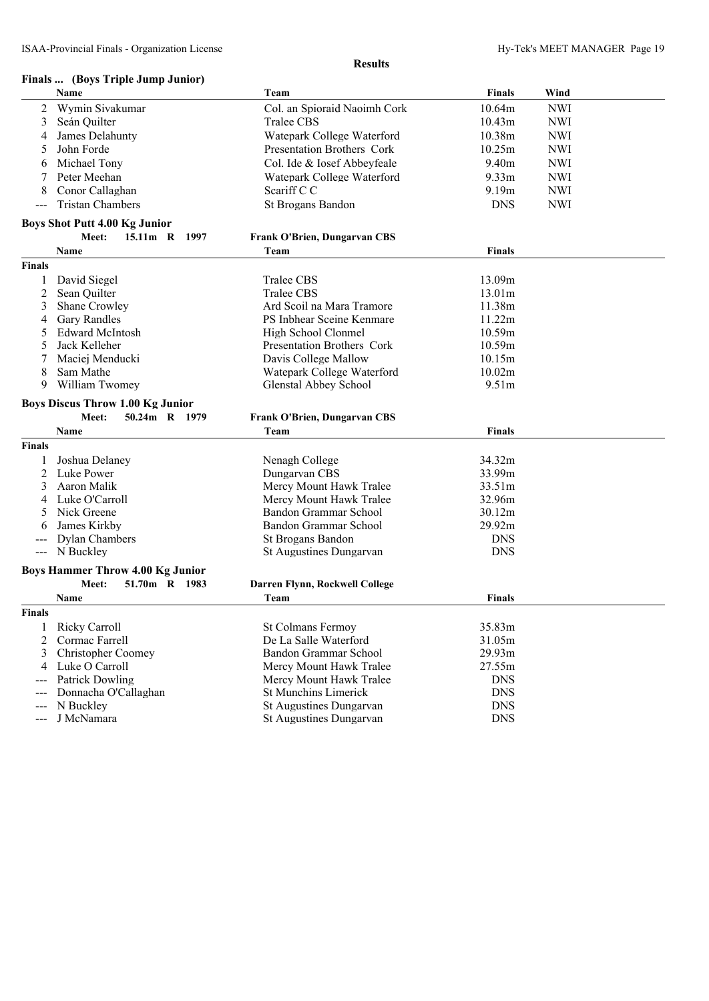# **Finals ... (Boys Triple Jump Junior)**

|                     | гшаты. Троум тирге дишр дишогу<br>Name  | Team                                | Finals        | Wind       |
|---------------------|-----------------------------------------|-------------------------------------|---------------|------------|
| 2                   | Wymin Sivakumar                         | Col. an Spioraid Naoimh Cork        | 10.64m        | <b>NWI</b> |
| 3                   | Seán Quilter                            | Tralee CBS                          | 10.43m        | <b>NWI</b> |
| 4                   | James Delahunty                         |                                     | 10.38m        | <b>NWI</b> |
|                     |                                         | Watepark College Waterford          |               |            |
| 5                   | John Forde                              | Presentation Brothers Cork          | 10.25m        | <b>NWI</b> |
| 6                   | Michael Tony                            | Col. Ide & Iosef Abbeyfeale         | 9.40m         | <b>NWI</b> |
| 7                   | Peter Meehan                            | Watepark College Waterford          | 9.33m         | <b>NWI</b> |
| 8                   | Conor Callaghan                         | Scariff C C                         | 9.19m         | <b>NWI</b> |
| $\qquad \qquad - -$ | <b>Tristan Chambers</b>                 | St Brogans Bandon                   | <b>DNS</b>    | <b>NWI</b> |
|                     | <b>Boys Shot Putt 4.00 Kg Junior</b>    |                                     |               |            |
|                     | Meet:<br>15.11m R 1997                  | <b>Frank O'Brien, Dungarvan CBS</b> |               |            |
|                     | Name                                    | Team                                | <b>Finals</b> |            |
| <b>Finals</b>       |                                         |                                     |               |            |
| 1                   | David Siegel                            | Tralee CBS                          | 13.09m        |            |
| 2                   | Sean Quilter                            | Tralee CBS                          | 13.01m        |            |
| 3                   | Shane Crowley                           | Ard Scoil na Mara Tramore           | 11.38m        |            |
| 4                   | <b>Gary Randles</b>                     | PS Inbhear Sceine Kenmare           | 11.22m        |            |
| 5                   | <b>Edward McIntosh</b>                  | High School Clonmel                 | 10.59m        |            |
| 5                   | Jack Kelleher                           | Presentation Brothers Cork          | 10.59m        |            |
| 7                   | Maciej Menducki                         | Davis College Mallow                | 10.15m        |            |
| 8                   | Sam Mathe                               | Watepark College Waterford          | 10.02m        |            |
| 9                   | William Twomey                          | <b>Glenstal Abbey School</b>        | 9.51m         |            |
|                     | <b>Boys Discus Throw 1.00 Kg Junior</b> |                                     |               |            |
|                     | Meet:<br>50.24m R 1979                  | Frank O'Brien, Dungarvan CBS        |               |            |
|                     | Name                                    | Team                                | <b>Finals</b> |            |
| <b>Finals</b>       |                                         |                                     |               |            |
| 1                   | Joshua Delaney                          | Nenagh College                      | 34.32m        |            |
| 2                   | Luke Power                              | Dungarvan CBS                       | 33.99m        |            |
| 3                   | Aaron Malik                             | Mercy Mount Hawk Tralee             | 33.51m        |            |
| 4                   | Luke O'Carroll                          | Mercy Mount Hawk Tralee             | 32.96m        |            |
| 5                   | Nick Greene                             | Bandon Grammar School               | 30.12m        |            |
| 6                   | James Kirkby                            | Bandon Grammar School               | 29.92m        |            |
|                     | <b>Dylan Chambers</b>                   | St Brogans Bandon                   | <b>DNS</b>    |            |
| $---$               | N Buckley                               | St Augustines Dungarvan             | <b>DNS</b>    |            |
|                     | <b>Boys Hammer Throw 4.00 Kg Junior</b> |                                     |               |            |
|                     | Meet:<br>51.70m R 1983                  | Darren Flynn, Rockwell College      |               |            |
|                     | Name                                    | Team                                | <b>Finals</b> |            |
| <b>Finals</b>       |                                         |                                     |               |            |
| 1                   | <b>Ricky Carroll</b>                    | <b>St Colmans Fermoy</b>            | 35.83m        |            |
| 2                   | Cormac Farrell                          | De La Salle Waterford               | 31.05m        |            |
| 3                   | <b>Christopher Coomey</b>               | Bandon Grammar School               | 29.93m        |            |
| 4                   | Luke O Carroll                          | Mercy Mount Hawk Tralee             | 27.55m        |            |
| ---                 | <b>Patrick Dowling</b>                  | Mercy Mount Hawk Tralee             | <b>DNS</b>    |            |
|                     | Donnacha O'Callaghan                    | <b>St Munchins Limerick</b>         | <b>DNS</b>    |            |
|                     | N Buckley                               | St Augustines Dungarvan             | <b>DNS</b>    |            |
| ---                 | J McNamara                              | St Augustines Dungarvan             | <b>DNS</b>    |            |
|                     |                                         |                                     |               |            |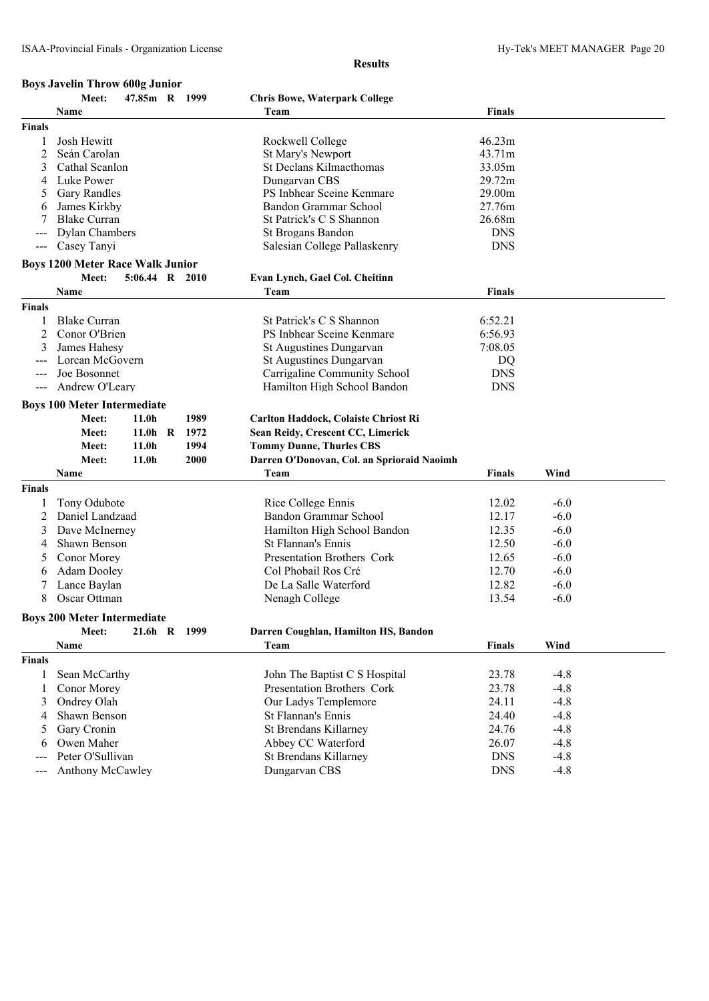|                     | <b>Boys Javelin Throw 600g Junior</b>   |                   |           |      |      |                                             |               |        |
|---------------------|-----------------------------------------|-------------------|-----------|------|------|---------------------------------------------|---------------|--------|
|                     | Meet:                                   | 47.85m R 1999     |           |      |      | <b>Chris Bowe, Waterpark College</b>        |               |        |
|                     | <b>Name</b>                             |                   |           |      |      | Team                                        | <b>Finals</b> |        |
| <b>Finals</b>       |                                         |                   |           |      |      |                                             |               |        |
| 1                   | Josh Hewitt                             |                   |           |      |      | Rockwell College                            | 46.23m        |        |
| 2                   | Seán Carolan                            |                   |           |      |      | St Mary's Newport                           | 43.71m        |        |
| 3                   | Cathal Scanlon                          |                   |           |      |      | St Declans Kilmacthomas                     | 33.05m        |        |
| 4                   | Luke Power                              |                   |           |      |      | Dungarvan CBS                               | 29.72m        |        |
| 5                   | <b>Gary Randles</b>                     |                   |           |      |      | PS Inbhear Sceine Kenmare                   | 29.00m        |        |
| 6                   | James Kirkby                            |                   |           |      |      | Bandon Grammar School                       | 27.76m        |        |
| 7                   | <b>Blake Curran</b>                     |                   |           |      |      | St Patrick's C S Shannon                    | 26.68m        |        |
|                     | <b>Dylan Chambers</b>                   |                   |           |      |      | St Brogans Bandon                           | <b>DNS</b>    |        |
| $---$               | Casey Tanyi                             |                   |           |      |      | Salesian College Pallaskenry                | <b>DNS</b>    |        |
|                     | <b>Boys 1200 Meter Race Walk Junior</b> |                   |           |      |      |                                             |               |        |
|                     | Meet:                                   | $5:06.44$ R 2010  |           |      |      | Evan Lynch, Gael Col. Cheitinn              |               |        |
|                     | Name                                    |                   |           |      |      | Team                                        | <b>Finals</b> |        |
| <b>Finals</b>       |                                         |                   |           |      |      |                                             |               |        |
| 1                   | <b>Blake Curran</b>                     |                   |           |      |      | St Patrick's C S Shannon                    | 6:52.21       |        |
| 2                   | Conor O'Brien                           |                   |           |      |      | PS Inbhear Sceine Kenmare                   | 6:56.93       |        |
| 3                   | James Hahesy                            |                   |           |      |      | <b>St Augustines Dungarvan</b>              | 7:08.05       |        |
|                     | Lorcan McGovern                         |                   |           |      |      | St Augustines Dungarvan                     | DQ            |        |
|                     | Joe Bosonnet                            |                   |           |      |      | Carrigaline Community School                | <b>DNS</b>    |        |
| $\qquad \qquad - -$ | Andrew O'Leary                          |                   |           |      |      | Hamilton High School Bandon                 | <b>DNS</b>    |        |
|                     | <b>Boys 100 Meter Intermediate</b>      |                   |           |      |      |                                             |               |        |
|                     | Meet:                                   | 11.0h             |           |      | 1989 | Carlton Haddock, Colaiste Chriost Ri        |               |        |
|                     | Meet:                                   |                   | $11.0h$ R | 1972 |      | Sean Reidy, Crescent CC, Limerick           |               |        |
|                     | Meet:                                   | 11.0 <sub>h</sub> |           |      | 1994 | <b>Tommy Dunne, Thurles CBS</b>             |               |        |
|                     | Meet:                                   | 11.0 <sub>h</sub> |           | 2000 |      | Darren O'Donovan, Col. an Sprioraid Naoimh  |               |        |
|                     | Name                                    |                   |           |      |      | Team                                        | <b>Finals</b> | Wind   |
| <b>Finals</b>       |                                         |                   |           |      |      |                                             |               |        |
|                     |                                         |                   |           |      |      |                                             |               |        |
| 1                   | Tony Odubote<br>Daniel Landzaad         |                   |           |      |      | Rice College Ennis<br>Bandon Grammar School | 12.02         | $-6.0$ |
| 2                   |                                         |                   |           |      |      |                                             | 12.17         | $-6.0$ |
| 3                   | Dave McInerney                          |                   |           |      |      | Hamilton High School Bandon                 | 12.35         | $-6.0$ |
| 4                   | Shawn Benson                            |                   |           |      |      | <b>St Flannan's Ennis</b>                   | 12.50         | $-6.0$ |
| 5                   | Conor Morey                             |                   |           |      |      | Presentation Brothers Cork                  | 12.65         | $-6.0$ |
| 6                   | <b>Adam Dooley</b>                      |                   |           |      |      | Col Phobail Ros Cré                         | 12.70         | $-6.0$ |
|                     | Lance Baylan                            |                   |           |      |      | De La Salle Waterford                       | 12.82         | $-6.0$ |
| 8                   | Oscar Ottman                            |                   |           |      |      | Nenagh College                              | 13.54         | $-6.0$ |
|                     | <b>Boys 200 Meter Intermediate</b>      |                   |           |      |      |                                             |               |        |
|                     | Meet:                                   |                   | $21.6h$ R | 1999 |      | Darren Coughlan, Hamilton HS, Bandon        |               |        |
|                     | Name                                    |                   |           |      |      | Team                                        | <b>Finals</b> | Wind   |
| <b>Finals</b>       |                                         |                   |           |      |      |                                             |               |        |
| 1                   | Sean McCarthy                           |                   |           |      |      | John The Baptist C S Hospital               | 23.78         | $-4.8$ |
| 1                   | Conor Morey                             |                   |           |      |      | Presentation Brothers Cork                  | 23.78         | $-4.8$ |
| 3                   | Ondrey Olah                             |                   |           |      |      | Our Ladys Templemore                        | 24.11         | $-4.8$ |
| 4                   | Shawn Benson                            |                   |           |      |      | St Flannan's Ennis                          | 24.40         | $-4.8$ |
| 5                   | Gary Cronin                             |                   |           |      |      | <b>St Brendans Killarney</b>                | 24.76         | $-4.8$ |
| 6                   | Owen Maher                              |                   |           |      |      | Abbey CC Waterford                          | 26.07         | $-4.8$ |
| $---$               | Peter O'Sullivan                        |                   |           |      |      | St Brendans Killarney                       | <b>DNS</b>    | $-4.8$ |
| ---                 | Anthony McCawley                        |                   |           |      |      | Dungarvan CBS                               | <b>DNS</b>    | $-4.8$ |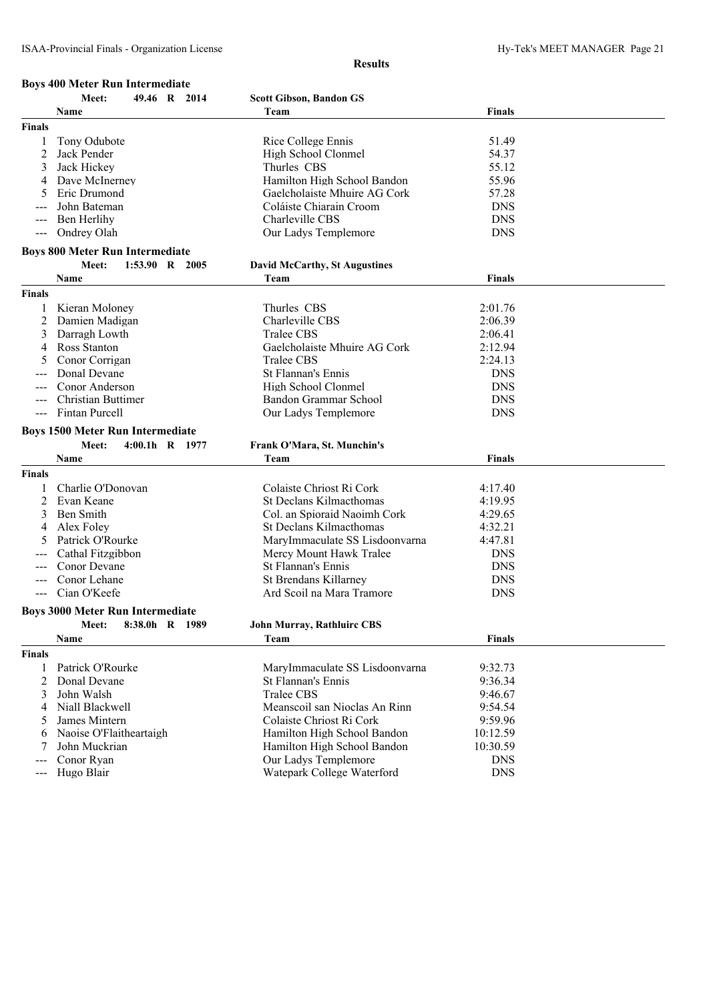#### **Boys 400 Meter Run Intermediate**

|                     | Meet:<br>49.46 R 2014                   | <b>Scott Gibson, Bandon GS</b>                     |                          |  |
|---------------------|-----------------------------------------|----------------------------------------------------|--------------------------|--|
|                     | Name                                    | Team                                               | <b>Finals</b>            |  |
| <b>Finals</b>       |                                         |                                                    |                          |  |
| 1                   | Tony Odubote                            | Rice College Ennis                                 | 51.49                    |  |
| 2                   | Jack Pender                             | High School Clonmel                                | 54.37                    |  |
| 3                   | Jack Hickey                             | Thurles CBS                                        | 55.12                    |  |
|                     |                                         |                                                    |                          |  |
| 4                   | Dave McInerney                          | Hamilton High School Bandon                        | 55.96                    |  |
| 5                   | Eric Drumond                            | Gaelcholaiste Mhuire AG Cork                       | 57.28                    |  |
|                     | John Bateman                            | Coláiste Chiarain Croom                            | <b>DNS</b>               |  |
|                     | Ben Herlihy                             | Charleville CBS                                    | <b>DNS</b>               |  |
| $\qquad \qquad - -$ | Ondrey Olah                             | Our Ladys Templemore                               | <b>DNS</b>               |  |
|                     | <b>Boys 800 Meter Run Intermediate</b>  |                                                    |                          |  |
|                     | Meet:<br>1:53.90 R 2005                 | <b>David McCarthy, St Augustines</b>               |                          |  |
|                     | Name                                    | Team                                               | <b>Finals</b>            |  |
|                     |                                         |                                                    |                          |  |
| <b>Finals</b>       |                                         |                                                    |                          |  |
|                     | Kieran Moloney                          | Thurles CBS                                        | 2:01.76                  |  |
| 2                   | Damien Madigan                          | Charleville CBS                                    | 2:06.39                  |  |
| 3                   | Darragh Lowth                           | Tralee CBS                                         | 2:06.41                  |  |
| 4                   | Ross Stanton                            | Gaelcholaiste Mhuire AG Cork                       | 2:12.94                  |  |
|                     | Conor Corrigan                          | <b>Tralee CBS</b>                                  | 2:24.13                  |  |
|                     | Donal Devane                            | St Flannan's Ennis                                 | <b>DNS</b>               |  |
|                     | Conor Anderson                          | High School Clonmel                                | <b>DNS</b>               |  |
|                     | <b>Christian Buttimer</b>               | Bandon Grammar School                              | <b>DNS</b>               |  |
| $\qquad \qquad - -$ | Fintan Purcell                          | Our Ladys Templemore                               | <b>DNS</b>               |  |
|                     |                                         |                                                    |                          |  |
|                     | <b>Boys 1500 Meter Run Intermediate</b> |                                                    |                          |  |
|                     |                                         |                                                    |                          |  |
|                     | Meet:<br>$4:00.1h$ R $1977$             | Frank O'Mara, St. Munchin's                        |                          |  |
|                     | Name                                    | Team                                               | <b>Finals</b>            |  |
| <b>Finals</b>       |                                         |                                                    |                          |  |
|                     |                                         |                                                    |                          |  |
|                     | Charlie O'Donovan                       | Colaiste Chriost Ri Cork                           | 4:17.40                  |  |
| 2                   | Evan Keane                              | St Declans Kilmacthomas                            | 4:19.95                  |  |
| 3                   | Ben Smith                               | Col. an Spioraid Naoimh Cork                       | 4:29.65                  |  |
| 4                   | Alex Foley                              | St Declans Kilmacthomas                            | 4:32.21                  |  |
| 5                   | Patrick O'Rourke                        | MaryImmaculate SS Lisdoonvarna                     | 4:47.81                  |  |
|                     | Cathal Fitzgibbon                       | Mercy Mount Hawk Tralee                            | <b>DNS</b>               |  |
|                     | Conor Devane                            | St Flannan's Ennis                                 | <b>DNS</b>               |  |
|                     | Conor Lehane                            | St Brendans Killarney                              | <b>DNS</b>               |  |
| $\qquad \qquad - -$ | Cian O'Keefe                            | Ard Scoil na Mara Tramore                          | <b>DNS</b>               |  |
|                     |                                         |                                                    |                          |  |
|                     | <b>Boys 3000 Meter Run Intermediate</b> |                                                    |                          |  |
|                     | Meet: 8:38.0h R 1989                    | <b>John Murray, Rathluirc CBS</b>                  |                          |  |
|                     | Name                                    | Team                                               | <b>Finals</b>            |  |
| <b>Finals</b>       |                                         |                                                    |                          |  |
| 1                   | Patrick O'Rourke                        | MaryImmaculate SS Lisdoonvarna                     | 9:32.73                  |  |
| 2                   | Donal Devane                            | St Flannan's Ennis                                 | 9:36.34                  |  |
| 3                   | John Walsh                              | <b>Tralee CBS</b>                                  | 9:46.67                  |  |
| 4                   | Niall Blackwell                         | Meanscoil san Nioclas An Rinn                      | 9:54.54                  |  |
| 5                   |                                         |                                                    |                          |  |
|                     | James Mintern                           | Colaiste Chriost Ri Cork                           | 9:59.96                  |  |
| 6                   | Naoise O'Flaitheartaigh                 | Hamilton High School Bandon                        | 10:12.59                 |  |
|                     | John Muckrian                           | Hamilton High School Bandon                        | 10:30.59                 |  |
| $---$               | Conor Ryan<br>Hugo Blair                | Our Ladys Templemore<br>Watepark College Waterford | <b>DNS</b><br><b>DNS</b> |  |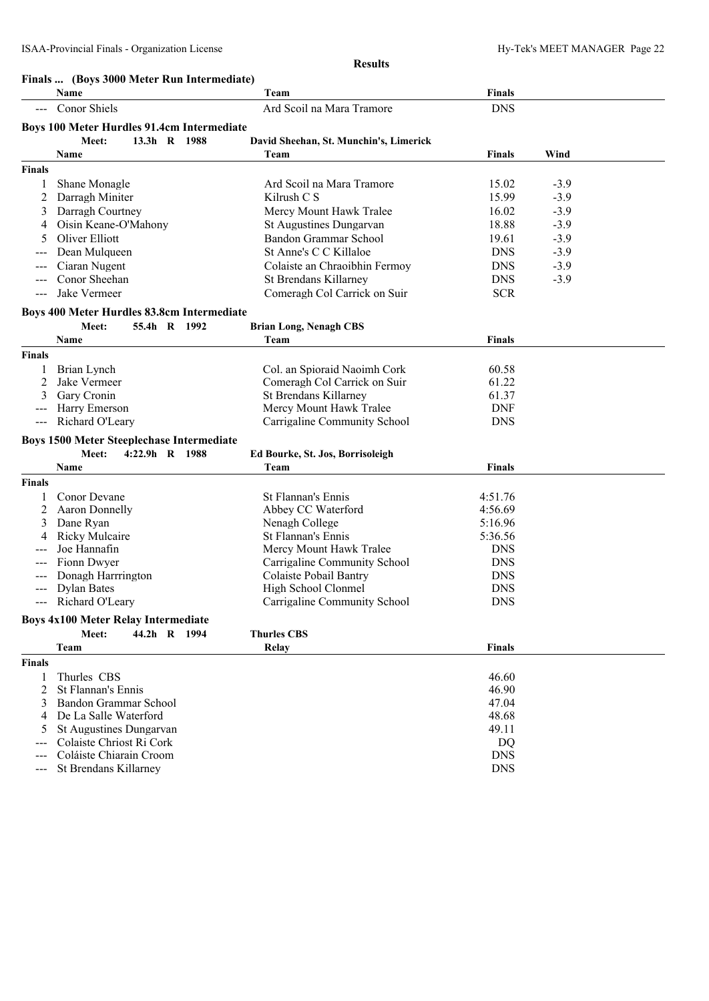|                     | Name                                              | Team                                   | <b>Finals</b> |        |
|---------------------|---------------------------------------------------|----------------------------------------|---------------|--------|
| $\frac{1}{2}$       | Conor Shiels                                      | Ard Scoil na Mara Tramore              | <b>DNS</b>    |        |
|                     | <b>Boys 100 Meter Hurdles 91.4cm Intermediate</b> |                                        |               |        |
|                     | 13.3h R 1988<br>Meet:                             | David Sheehan, St. Munchin's, Limerick |               |        |
|                     | Name                                              | Team                                   | <b>Finals</b> | Wind   |
| <b>Finals</b>       |                                                   |                                        |               |        |
| 1                   | Shane Monagle                                     | Ard Scoil na Mara Tramore              | 15.02         | $-3.9$ |
| 2                   | Darragh Miniter                                   | Kilrush $C S$                          | 15.99         | $-3.9$ |
| 3                   | Darragh Courtney                                  | Mercy Mount Hawk Tralee                | 16.02         | $-3.9$ |
| 4                   | Oisin Keane-O'Mahony                              | St Augustines Dungarvan                | 18.88         | $-3.9$ |
| 5                   | Oliver Elliott                                    | Bandon Grammar School                  | 19.61         | $-3.9$ |
|                     | Dean Mulqueen                                     | St Anne's C C Killaloe                 | <b>DNS</b>    | $-3.9$ |
|                     | Ciaran Nugent                                     | Colaiste an Chraoibhin Fermoy          | <b>DNS</b>    | $-3.9$ |
|                     | Conor Sheehan                                     | St Brendans Killarney                  | <b>DNS</b>    | $-3.9$ |
| $\qquad \qquad - -$ | Jake Vermeer                                      | Comeragh Col Carrick on Suir           | <b>SCR</b>    |        |
|                     |                                                   |                                        |               |        |
|                     | Boys 400 Meter Hurdles 83.8cm Intermediate        |                                        |               |        |
|                     | 55.4h R 1992<br>Meet:                             | <b>Brian Long, Nenagh CBS</b>          |               |        |
|                     | Name                                              | Team                                   | <b>Finals</b> |        |
| <b>Finals</b>       |                                                   |                                        |               |        |
| 1                   | Brian Lynch                                       | Col. an Spioraid Naoimh Cork           | 60.58         |        |
| 2                   | Jake Vermeer                                      | Comeragh Col Carrick on Suir           | 61.22         |        |
| 3                   | Gary Cronin                                       | <b>St Brendans Killarney</b>           | 61.37         |        |
|                     | Harry Emerson                                     | Mercy Mount Hawk Tralee                | <b>DNF</b>    |        |
| $\qquad \qquad - -$ | Richard O'Leary                                   | Carrigaline Community School           | <b>DNS</b>    |        |
|                     | <b>Boys 1500 Meter Steeplechase Intermediate</b>  |                                        |               |        |
|                     | Meet:<br>4:22.9h R 1988                           | Ed Bourke, St. Jos, Borrisoleigh       |               |        |
|                     | Name                                              | Team                                   | <b>Finals</b> |        |
| <b>Finals</b>       |                                                   |                                        |               |        |
|                     | Conor Devane                                      | St Flannan's Ennis                     | 4:51.76       |        |
| 2                   | <b>Aaron Donnelly</b>                             | Abbey CC Waterford                     | 4:56.69       |        |
| 3                   | Dane Ryan                                         | Nenagh College                         | 5:16.96       |        |
| 4                   | <b>Ricky Mulcaire</b>                             | St Flannan's Ennis                     | 5:36.56       |        |
|                     | Joe Hannafin                                      | Mercy Mount Hawk Tralee                | <b>DNS</b>    |        |
|                     | Fionn Dwyer                                       | Carrigaline Community School           | <b>DNS</b>    |        |
|                     | Donagh Harrrington                                | Colaiste Pobail Bantry                 | <b>DNS</b>    |        |
|                     | <b>Dylan Bates</b>                                | High School Clonmel                    | <b>DNS</b>    |        |
|                     | Richard O'Leary                                   | Carrigaline Community School           | <b>DNS</b>    |        |
|                     | <b>Boys 4x100 Meter Relay Intermediate</b>        |                                        |               |        |
|                     | 44.2h R 1994<br>Meet:                             | <b>Thurles CBS</b>                     |               |        |
|                     | Team                                              | Relay                                  | <b>Finals</b> |        |
| <b>Finals</b>       |                                                   |                                        |               |        |
| 1                   | Thurles CBS                                       |                                        | 46.60         |        |
| 2                   | St Flannan's Ennis                                |                                        | 46.90         |        |
| 3                   | Bandon Grammar School                             |                                        | 47.04         |        |
| 4                   | De La Salle Waterford                             |                                        | 48.68         |        |
| 5                   | <b>St Augustines Dungarvan</b>                    |                                        | 49.11         |        |
|                     |                                                   |                                        |               |        |
|                     | Colaiste Chriost Ri Cork                          |                                        | DQ            |        |

--- St Brendans Killarney DNS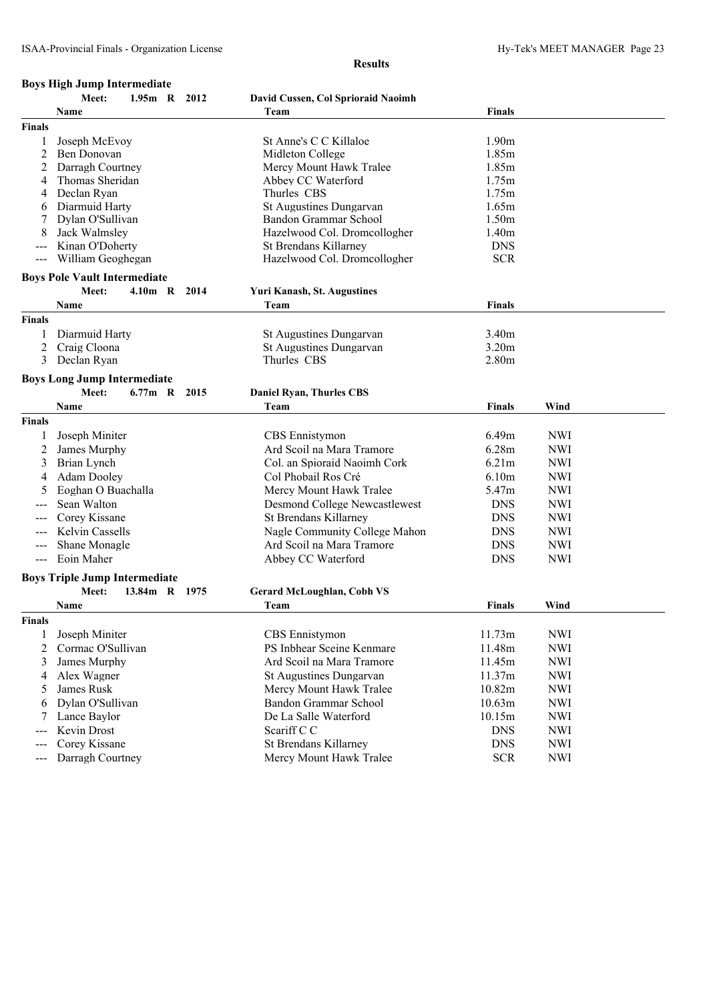# **Boys High Jump Intermediate**

|               | воуз тиди очинр тися иксиалс<br>Meet:<br>1.95m R 2012 | David Cussen, Col Sprioraid Naoimh   |                   |            |
|---------------|-------------------------------------------------------|--------------------------------------|-------------------|------------|
|               | Name                                                  | Team                                 | <b>Finals</b>     |            |
| <b>Finals</b> |                                                       |                                      |                   |            |
| 1             | Joseph McEvoy                                         | St Anne's C C Killaloe               | 1.90 <sub>m</sub> |            |
| 2             | Ben Donovan                                           | Midleton College                     | 1.85m             |            |
| 2             | Darragh Courtney                                      | Mercy Mount Hawk Tralee              | 1.85m             |            |
|               | Thomas Sheridan                                       | Abbey CC Waterford                   | 1.75m             |            |
| 4             | Declan Ryan                                           | Thurles CBS                          | 1.75m             |            |
| 6             | Diarmuid Harty                                        | St Augustines Dungarvan              | 1.65m             |            |
|               | Dylan O'Sullivan                                      | <b>Bandon Grammar School</b>         | 1.50m             |            |
|               | Jack Walmsley                                         | Hazelwood Col. Dromcollogher         | 1.40m             |            |
| ---           | Kinan O'Doherty                                       | St Brendans Killarney                | <b>DNS</b>        |            |
|               | William Geoghegan                                     | Hazelwood Col. Dromcollogher         | <b>SCR</b>        |            |
|               |                                                       |                                      |                   |            |
|               | <b>Boys Pole Vault Intermediate</b>                   |                                      |                   |            |
|               | Meet:<br>4.10m R 2014                                 | <b>Yuri Kanash, St. Augustines</b>   |                   |            |
|               | Name                                                  | Team                                 | <b>Finals</b>     |            |
| <b>Finals</b> |                                                       |                                      |                   |            |
| 1             | Diarmuid Harty                                        | St Augustines Dungarvan              | 3.40m             |            |
| 2             | Craig Cloona                                          | St Augustines Dungarvan              | 3.20m             |            |
| 3             | Declan Ryan                                           | Thurles CBS                          | 2.80 <sub>m</sub> |            |
|               | <b>Boys Long Jump Intermediate</b>                    |                                      |                   |            |
|               | Meet:<br>6.77m R 2015                                 | <b>Daniel Ryan, Thurles CBS</b>      |                   |            |
|               | Name                                                  | Team                                 | <b>Finals</b>     | Wind       |
| <b>Finals</b> |                                                       |                                      |                   |            |
| 1             | Joseph Miniter                                        | CBS Ennistymon                       | 6.49m             | <b>NWI</b> |
| 2             | James Murphy                                          | Ard Scoil na Mara Tramore            | 6.28m             | <b>NWI</b> |
| 3             | Brian Lynch                                           | Col. an Spioraid Naoimh Cork         | 6.21m             | <b>NWI</b> |
| 4             | <b>Adam Dooley</b>                                    | Col Phobail Ros Cré                  | 6.10m             | <b>NWI</b> |
| 5             | Eoghan O Buachalla                                    | Mercy Mount Hawk Tralee              | 5.47m             | <b>NWI</b> |
|               | Sean Walton                                           | <b>Desmond College Newcastlewest</b> | <b>DNS</b>        | <b>NWI</b> |
|               | Corey Kissane                                         | St Brendans Killarney                | <b>DNS</b>        | <b>NWI</b> |
| ---           | Kelvin Cassells                                       | Nagle Community College Mahon        | <b>DNS</b>        | <b>NWI</b> |
|               | Shane Monagle                                         | Ard Scoil na Mara Tramore            | <b>DNS</b>        | <b>NWI</b> |
|               | Eoin Maher                                            | Abbey CC Waterford                   | <b>DNS</b>        | <b>NWI</b> |
|               |                                                       |                                      |                   |            |
|               | <b>Boys Triple Jump Intermediate</b>                  |                                      |                   |            |
|               | 13.84m R 1975<br>Meet:                                | <b>Gerard McLoughlan, Cobh VS</b>    |                   |            |
|               | Name                                                  | Team                                 | <b>Finals</b>     | Wind       |
| <b>Finals</b> |                                                       |                                      |                   |            |
| 1             | Joseph Miniter                                        | CBS Ennistymon                       | 11.73m            | <b>NWI</b> |
| 2             | Cormac O'Sullivan                                     | PS Inbhear Sceine Kenmare            | 11.48m            | <b>NWI</b> |
| 3             | James Murphy                                          | Ard Scoil na Mara Tramore            | 11.45m            | <b>NWI</b> |
| 4             | Alex Wagner                                           | St Augustines Dungarvan              | 11.37m            | <b>NWI</b> |
| 5             | James Rusk                                            | Mercy Mount Hawk Tralee              | 10.82m            | <b>NWI</b> |
| 6             | Dylan O'Sullivan                                      | Bandon Grammar School                | 10.63m            | <b>NWI</b> |
|               | Lance Baylor                                          | De La Salle Waterford                | 10.15m            | <b>NWI</b> |
| ---           | Kevin Drost                                           | Scariff C C                          | <b>DNS</b>        | <b>NWI</b> |
|               | Corey Kissane                                         | St Brendans Killarney                | <b>DNS</b>        | <b>NWI</b> |
| ---           | Darragh Courtney                                      | Mercy Mount Hawk Tralee              | <b>SCR</b>        | <b>NWI</b> |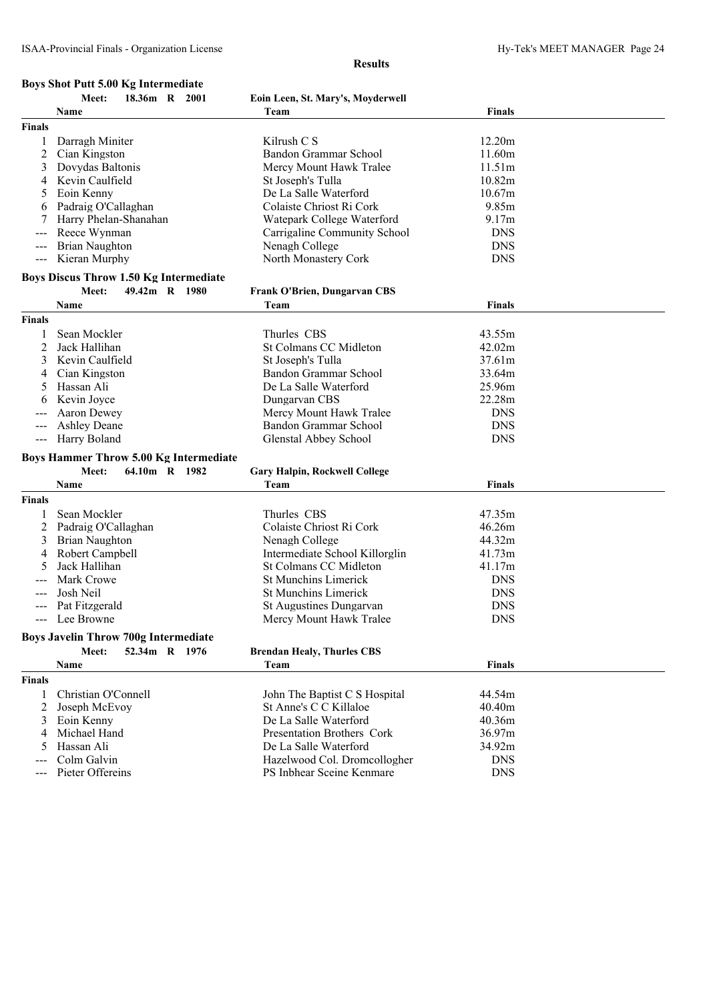# **Boys Shot Putt 5.00 Kg Intermediate**

#### **Results**

|                                          | Meet:<br>18.36m R 2001                        | Eoin Leen, St. Mary's, Moyderwell    |               |  |
|------------------------------------------|-----------------------------------------------|--------------------------------------|---------------|--|
|                                          | Name                                          | Team                                 | <b>Finals</b> |  |
| <b>Finals</b>                            |                                               |                                      |               |  |
|                                          | Darragh Miniter                               | Kilrush C S                          | 12.20m        |  |
| 2                                        | Cian Kingston                                 | Bandon Grammar School                | 11.60m        |  |
| 3                                        | Dovydas Baltonis                              | Mercy Mount Hawk Tralee              | 11.51m        |  |
| 4                                        | Kevin Caulfield                               | St Joseph's Tulla                    | 10.82m        |  |
| 5                                        | Eoin Kenny                                    | De La Salle Waterford                | 10.67m        |  |
|                                          | Padraig O'Callaghan                           | Colaiste Chriost Ri Cork             | 9.85m         |  |
|                                          | Harry Phelan-Shanahan                         | Watepark College Waterford           | 9.17m         |  |
|                                          | Reece Wynman                                  | Carrigaline Community School         | <b>DNS</b>    |  |
| $\hspace{0.05cm} \ldots \hspace{0.05cm}$ | <b>Brian Naughton</b>                         | Nenagh College                       | <b>DNS</b>    |  |
|                                          | --- Kieran Murphy                             | North Monastery Cork                 | <b>DNS</b>    |  |
|                                          | <b>Boys Discus Throw 1.50 Kg Intermediate</b> |                                      |               |  |
|                                          | 49.42m R 1980<br>Meet:                        | <b>Frank O'Brien, Dungarvan CBS</b>  |               |  |
|                                          | Name                                          | Team                                 | <b>Finals</b> |  |
| <b>Finals</b>                            |                                               |                                      |               |  |
|                                          | Sean Mockler                                  | Thurles CBS                          | 43.55m        |  |
| 2                                        | Jack Hallihan                                 | St Colmans CC Midleton               | 42.02m        |  |
| 3                                        | Kevin Caulfield                               | St Joseph's Tulla                    | 37.61m        |  |
| 4                                        | Cian Kingston                                 | Bandon Grammar School                | 33.64m        |  |
| 5                                        | Hassan Ali                                    | De La Salle Waterford                | 25.96m        |  |
| 6                                        | Kevin Joyce                                   | Dungarvan CBS                        | 22.28m        |  |
|                                          | Aaron Dewey                                   | Mercy Mount Hawk Tralee              | <b>DNS</b>    |  |
|                                          | <b>Ashley Deane</b>                           | Bandon Grammar School                | <b>DNS</b>    |  |
| $\hspace{0.05cm} \ldots \hspace{0.05cm}$ | Harry Boland                                  | Glenstal Abbey School                | <b>DNS</b>    |  |
|                                          |                                               |                                      |               |  |
|                                          | <b>Boys Hammer Throw 5.00 Kg Intermediate</b> |                                      |               |  |
|                                          | Meet:<br>64.10m R 1982                        | <b>Gary Halpin, Rockwell College</b> |               |  |
|                                          | Name                                          | Team                                 | <b>Finals</b> |  |
| <b>Finals</b>                            |                                               |                                      |               |  |
|                                          | Sean Mockler                                  | Thurles CBS                          | 47.35m        |  |
| 2                                        | Padraig O'Callaghan                           | Colaiste Chriost Ri Cork             | 46.26m        |  |
| 3                                        | Brian Naughton                                | Nenagh College                       | 44.32m        |  |
| 4                                        | Robert Campbell                               | Intermediate School Killorglin       | 41.73m        |  |
|                                          | Jack Hallihan                                 | St Colmans CC Midleton               | 41.17m        |  |
|                                          | Mark Crowe                                    | <b>St Munchins Limerick</b>          | <b>DNS</b>    |  |
| ---                                      | Josh Neil                                     | <b>St Munchins Limerick</b>          | <b>DNS</b>    |  |
|                                          | Pat Fitzgerald                                | St Augustines Dungarvan              | <b>DNS</b>    |  |
| ---                                      | Lee Browne                                    | Mercy Mount Hawk Tralee              | <b>DNS</b>    |  |
|                                          | <b>Boys Javelin Throw 700g Intermediate</b>   |                                      |               |  |
|                                          | Meet:<br>52.34m R 1976                        | <b>Brendan Healy, Thurles CBS</b>    |               |  |
|                                          | Name                                          | Team                                 | <b>Finals</b> |  |
| <b>Finals</b>                            |                                               |                                      |               |  |
| 1                                        | Christian O'Connell                           | John The Baptist C S Hospital        | 44.54m        |  |
| 2                                        | Joseph McEvoy                                 | St Anne's C C Killaloe               | 40.40m        |  |
| 3                                        | Eoin Kenny                                    | De La Salle Waterford                | 40.36m        |  |
| 4                                        | Michael Hand                                  | Presentation Brothers Cork           | 36.97m        |  |
| 5                                        | Hassan Ali                                    | De La Salle Waterford                | 34.92m        |  |
|                                          | Colm Galvin                                   | Hazelwood Col. Dromcollogher         | <b>DNS</b>    |  |
|                                          | Pieter Offereins                              | PS Inbhear Sceine Kenmare            | <b>DNS</b>    |  |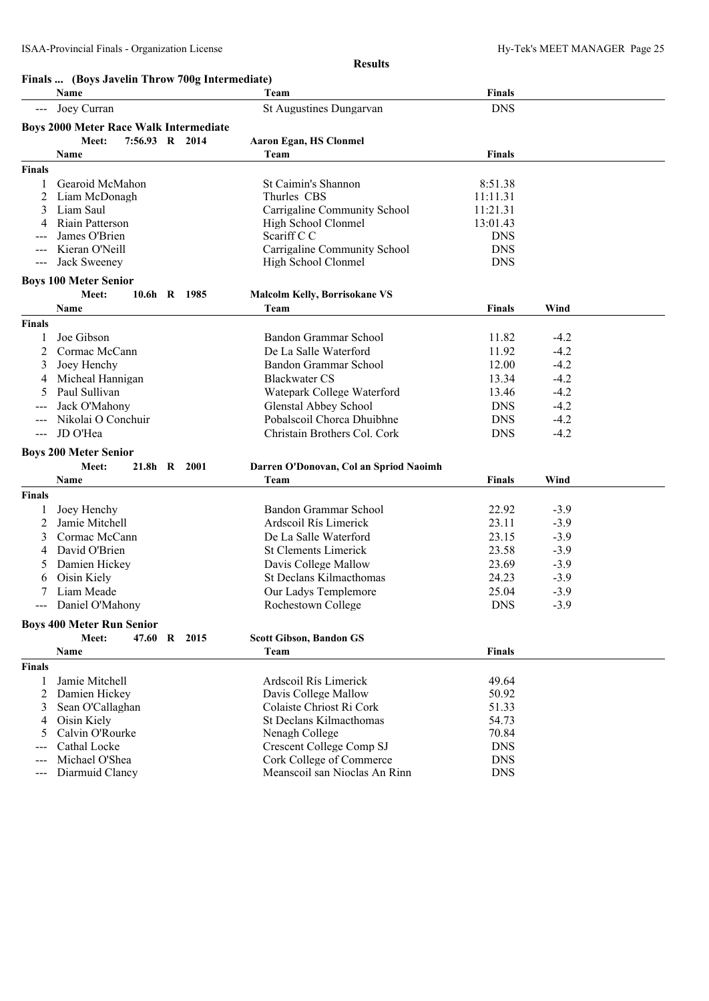#### **Finals ... (Boys Javelin Throw 700g Intermediate)**

|               | Name                                          |              | Team                                   | <b>Finals</b> |        |  |
|---------------|-----------------------------------------------|--------------|----------------------------------------|---------------|--------|--|
|               | Joey Curran                                   |              | St Augustines Dungarvan                | <b>DNS</b>    |        |  |
|               | <b>Boys 2000 Meter Race Walk Intermediate</b> |              |                                        |               |        |  |
|               | Meet:<br>7:56.93 R 2014                       |              | <b>Aaron Egan, HS Clonmel</b>          |               |        |  |
|               | Name                                          |              | Team                                   | Finals        |        |  |
| <b>Finals</b> |                                               |              |                                        |               |        |  |
|               | Gearoid McMahon                               |              | St Caimin's Shannon                    | 8:51.38       |        |  |
| 2             | Liam McDonagh                                 |              | Thurles CBS                            | 11:11.31      |        |  |
| 3             | Liam Saul                                     |              | Carrigaline Community School           | 11:21.31      |        |  |
|               | Riain Patterson                               |              | High School Clonmel                    | 13:01.43      |        |  |
|               | James O'Brien                                 |              | Scariff C C                            | <b>DNS</b>    |        |  |
|               | Kieran O'Neill                                |              | Carrigaline Community School           | <b>DNS</b>    |        |  |
| $---$         | Jack Sweeney                                  |              | High School Clonmel                    | <b>DNS</b>    |        |  |
|               | <b>Boys 100 Meter Senior</b>                  |              |                                        |               |        |  |
|               | Meet:                                         | 10.6h R 1985 | <b>Malcolm Kelly, Borrisokane VS</b>   |               |        |  |
|               | Name                                          |              | Team                                   | Finals        | Wind   |  |
| Finals        |                                               |              |                                        |               |        |  |
|               | Joe Gibson                                    |              | Bandon Grammar School                  | 11.82         | $-4.2$ |  |
| 2             | Cormac McCann                                 |              | De La Salle Waterford                  | 11.92         | $-4.2$ |  |
|               | Joey Henchy                                   |              | Bandon Grammar School                  | 12.00         | $-4.2$ |  |
|               | Micheal Hannigan                              |              | <b>Blackwater CS</b>                   | 13.34         | $-4.2$ |  |
|               | Paul Sullivan                                 |              | Watepark College Waterford             | 13.46         | $-4.2$ |  |
|               | Jack O'Mahony                                 |              | Glenstal Abbey School                  | <b>DNS</b>    | $-4.2$ |  |
| ---           | Nikolai O Conchuir                            |              | Pobalscoil Chorca Dhuibhne             | <b>DNS</b>    | $-4.2$ |  |
| $\frac{1}{2}$ | JD O'Hea                                      |              | Christain Brothers Col. Cork           | <b>DNS</b>    | $-4.2$ |  |
|               | <b>Boys 200 Meter Senior</b>                  |              |                                        |               |        |  |
|               | Meet:                                         | 21.8h R 2001 | Darren O'Donovan, Col an Spriod Naoimh |               |        |  |
|               | Name                                          |              | Team                                   | Finals        | Wind   |  |
| <b>Finals</b> |                                               |              |                                        |               |        |  |
|               | Joey Henchy                                   |              | Bandon Grammar School                  | 22.92         | $-3.9$ |  |
| 2             | Jamie Mitchell                                |              | Ardscoil Rís Limerick                  | 23.11         | $-3.9$ |  |
| 3             | Cormac McCann                                 |              | De La Salle Waterford                  | 23.15         | $-3.9$ |  |
|               | David O'Brien                                 |              | <b>St Clements Limerick</b>            | 23.58         | $-3.9$ |  |
| 5             | Damien Hickey                                 |              | Davis College Mallow                   | 23.69         | $-3.9$ |  |
| 6             | Oisin Kiely                                   |              | St Declans Kilmacthomas                | 24.23         | $-3.9$ |  |
|               | Liam Meade                                    |              | Our Ladys Templemore                   | 25.04         | $-3.9$ |  |
|               | Daniel O'Mahony                               |              | Rochestown College                     | <b>DNS</b>    | $-3.9$ |  |
|               |                                               |              |                                        |               |        |  |
|               | <b>Boys 400 Meter Run Senior</b>              |              |                                        |               |        |  |
|               | Meet:                                         | 47.60 R 2015 | <b>Scott Gibson, Bandon GS</b>         |               |        |  |
|               | Name                                          |              | Team                                   | <b>Finals</b> |        |  |
| <b>Finals</b> |                                               |              |                                        |               |        |  |
|               | Jamie Mitchell                                |              | Ardscoil Rís Limerick                  | 49.64         |        |  |
| 2             | Damien Hickey                                 |              | Davis College Mallow                   | 50.92         |        |  |
| 3             | Sean O'Callaghan                              |              | Colaiste Chriost Ri Cork               | 51.33         |        |  |
| 4             | Oisin Kiely                                   |              | St Declans Kilmacthomas                | 54.73         |        |  |
| 5             | Calvin O'Rourke                               |              | Nenagh College                         | 70.84         |        |  |
|               | Cathal Locke                                  |              | Crescent College Comp SJ               | <b>DNS</b>    |        |  |
|               | Michael O'Shea                                |              | Cork College of Commerce               | <b>DNS</b>    |        |  |
| $---$         | Diarmuid Clancy                               |              | Meanscoil san Nioclas An Rinn          | <b>DNS</b>    |        |  |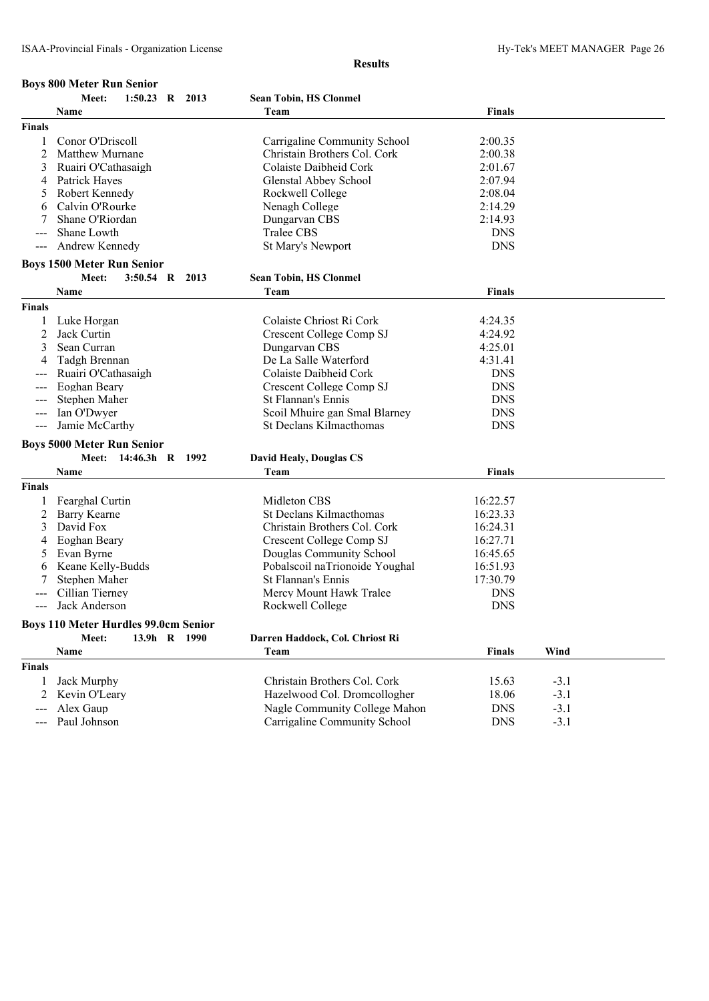| <b>Boys 800 Meter Run Senior</b><br>1:50.23<br>Meet:<br>R 2013<br><b>Sean Tobin, HS Clonmel</b><br><b>Finals</b><br>Team<br>Name<br>Finals<br>Conor O'Driscoll<br>Carrigaline Community School<br>2:00.35<br>1<br>2<br><b>Matthew Murnane</b><br>Christain Brothers Col. Cork<br>2:00.38<br>3<br>Ruairi O'Cathasaigh<br>Colaiste Daibheid Cork<br>2:01.67 |  |
|-----------------------------------------------------------------------------------------------------------------------------------------------------------------------------------------------------------------------------------------------------------------------------------------------------------------------------------------------------------|--|
|                                                                                                                                                                                                                                                                                                                                                           |  |
|                                                                                                                                                                                                                                                                                                                                                           |  |
|                                                                                                                                                                                                                                                                                                                                                           |  |
|                                                                                                                                                                                                                                                                                                                                                           |  |
|                                                                                                                                                                                                                                                                                                                                                           |  |
|                                                                                                                                                                                                                                                                                                                                                           |  |
| Patrick Hayes<br>Glenstal Abbey School<br>2:07.94<br>4                                                                                                                                                                                                                                                                                                    |  |
| Robert Kennedy<br>Rockwell College<br>2:08.04<br>5                                                                                                                                                                                                                                                                                                        |  |
| Calvin O'Rourke<br>2:14.29<br>6<br>Nenagh College                                                                                                                                                                                                                                                                                                         |  |
| Shane O'Riordan<br>Dungarvan CBS<br>2:14.93<br>7                                                                                                                                                                                                                                                                                                          |  |
| Shane Lowth<br><b>Tralee CBS</b><br><b>DNS</b>                                                                                                                                                                                                                                                                                                            |  |
| Andrew Kennedy<br><b>DNS</b><br>St Mary's Newport<br>$---$                                                                                                                                                                                                                                                                                                |  |
|                                                                                                                                                                                                                                                                                                                                                           |  |
| <b>Boys 1500 Meter Run Senior</b>                                                                                                                                                                                                                                                                                                                         |  |
| Meet:<br>3:50.54 R 2013<br><b>Sean Tobin, HS Clonmel</b>                                                                                                                                                                                                                                                                                                  |  |
| <b>Finals</b><br>Name<br>Team                                                                                                                                                                                                                                                                                                                             |  |
| Finals                                                                                                                                                                                                                                                                                                                                                    |  |
| Colaiste Chriost Ri Cork<br>Luke Horgan<br>4:24.35                                                                                                                                                                                                                                                                                                        |  |
| 2<br>Jack Curtin<br>Crescent College Comp SJ<br>4:24.92                                                                                                                                                                                                                                                                                                   |  |
| 3<br>Sean Curran<br>Dungarvan CBS<br>4:25.01                                                                                                                                                                                                                                                                                                              |  |
| De La Salle Waterford<br>4:31.41<br>4<br>Tadgh Brennan                                                                                                                                                                                                                                                                                                    |  |
| Colaiste Daibheid Cork<br><b>DNS</b><br>Ruairi O'Cathasaigh                                                                                                                                                                                                                                                                                               |  |
| Eoghan Beary<br><b>Crescent College Comp SJ</b><br><b>DNS</b>                                                                                                                                                                                                                                                                                             |  |
| Stephen Maher<br>St Flannan's Ennis<br><b>DNS</b>                                                                                                                                                                                                                                                                                                         |  |
| <b>DNS</b><br>Ian O'Dwyer<br>Scoil Mhuire gan Smal Blarney                                                                                                                                                                                                                                                                                                |  |
| <b>DNS</b><br>Jamie McCarthy<br>St Declans Kilmacthomas<br>$---$                                                                                                                                                                                                                                                                                          |  |
| <b>Boys 5000 Meter Run Senior</b>                                                                                                                                                                                                                                                                                                                         |  |
| Meet:<br>14:46.3h R 1992<br><b>David Healy, Douglas CS</b>                                                                                                                                                                                                                                                                                                |  |
| <b>Name</b><br>Team<br><b>Finals</b>                                                                                                                                                                                                                                                                                                                      |  |
| Finals                                                                                                                                                                                                                                                                                                                                                    |  |
| Midleton CBS<br>16:22.57<br>Fearghal Curtin                                                                                                                                                                                                                                                                                                               |  |
| 1                                                                                                                                                                                                                                                                                                                                                         |  |
| 2<br>Barry Kearne<br>St Declans Kilmacthomas<br>16:23.33<br>David Fox                                                                                                                                                                                                                                                                                     |  |
| 3<br>Christain Brothers Col. Cork<br>16:24.31                                                                                                                                                                                                                                                                                                             |  |
| Eoghan Beary<br>Crescent College Comp SJ<br>16:27.71<br>4                                                                                                                                                                                                                                                                                                 |  |
| Evan Byrne<br>Douglas Community School<br>16:45.65<br>5                                                                                                                                                                                                                                                                                                   |  |
| Keane Kelly-Budds<br>16:51.93<br>Pobalscoil naTrionoide Youghal<br>6                                                                                                                                                                                                                                                                                      |  |
| St Flannan's Ennis<br>Stephen Maher<br>17:30.79                                                                                                                                                                                                                                                                                                           |  |
| Cillian Tierney<br>Mercy Mount Hawk Tralee<br><b>DNS</b>                                                                                                                                                                                                                                                                                                  |  |
| <b>DNS</b><br>Rockwell College<br>Jack Anderson<br>$\qquad \qquad - -$                                                                                                                                                                                                                                                                                    |  |
| <b>Boys 110 Meter Hurdles 99.0cm Senior</b>                                                                                                                                                                                                                                                                                                               |  |
| 13.9h R 1990<br>Meet:<br>Darren Haddock, Col. Chriost Ri                                                                                                                                                                                                                                                                                                  |  |
| Team<br><b>Finals</b><br>Wind<br><b>Name</b>                                                                                                                                                                                                                                                                                                              |  |
| <b>Finals</b>                                                                                                                                                                                                                                                                                                                                             |  |
| Christain Brothers Col. Cork<br>Jack Murphy<br>15.63<br>$-3.1$<br>1                                                                                                                                                                                                                                                                                       |  |
| Hazelwood Col. Dromcollogher<br>18.06<br>2<br>Kevin O'Leary<br>$-3.1$                                                                                                                                                                                                                                                                                     |  |
| Alex Gaup<br>Nagle Community College Mahon<br><b>DNS</b><br>$-3.1$                                                                                                                                                                                                                                                                                        |  |
| Carrigaline Community School<br>Paul Johnson<br><b>DNS</b><br>$-3.1$<br>$\qquad \qquad - -$                                                                                                                                                                                                                                                               |  |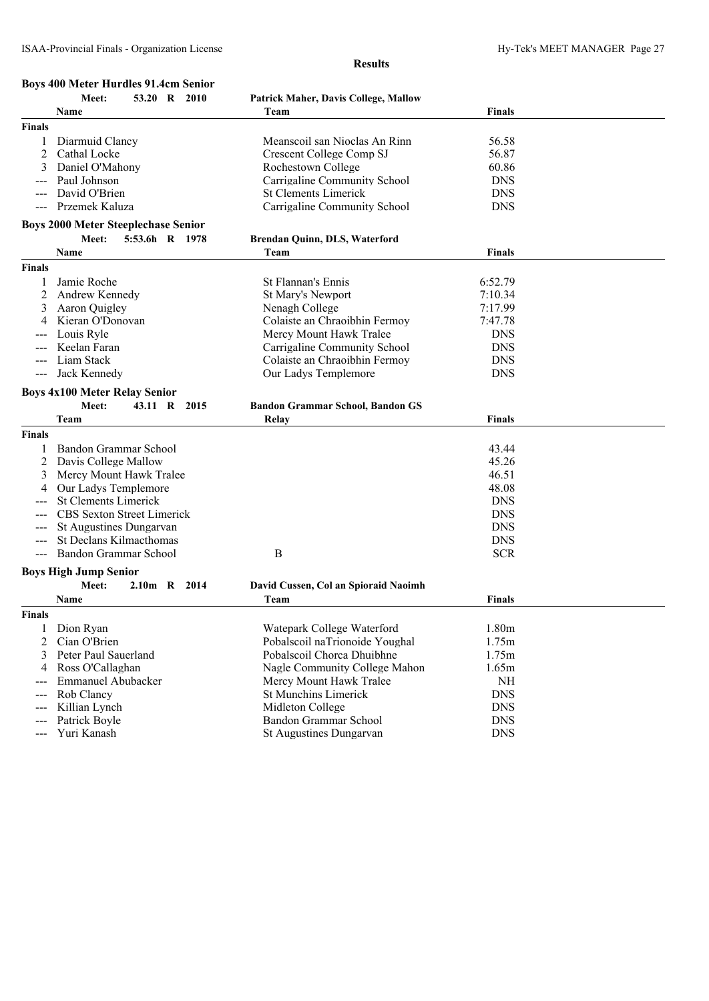|                     | <b>Boys 400 Meter Hurdles 91.4cm Senior</b>                  |                                             |               |  |
|---------------------|--------------------------------------------------------------|---------------------------------------------|---------------|--|
|                     | 53.20 R<br>Meet:<br><b>2010</b>                              | <b>Patrick Maher, Davis College, Mallow</b> |               |  |
|                     | Name                                                         | Team                                        | <b>Finals</b> |  |
| <b>Finals</b>       |                                                              |                                             |               |  |
| 1                   | Diarmuid Clancy                                              | Meanscoil san Nioclas An Rinn               | 56.58         |  |
| 2                   | Cathal Locke                                                 | Crescent College Comp SJ                    | 56.87         |  |
| 3                   | Daniel O'Mahony                                              | Rochestown College                          | 60.86         |  |
|                     | Paul Johnson                                                 | Carrigaline Community School                | <b>DNS</b>    |  |
|                     | David O'Brien                                                | <b>St Clements Limerick</b>                 | <b>DNS</b>    |  |
|                     | Przemek Kaluza                                               | Carrigaline Community School                | <b>DNS</b>    |  |
|                     |                                                              |                                             |               |  |
|                     | <b>Boys 2000 Meter Steeplechase Senior</b><br>5:53.6h R 1978 |                                             |               |  |
|                     | Meet:                                                        | <b>Brendan Quinn, DLS, Waterford</b>        |               |  |
|                     | Name                                                         | Team                                        | <b>Finals</b> |  |
| <b>Finals</b>       |                                                              |                                             |               |  |
| 1                   | Jamie Roche                                                  | St Flannan's Ennis                          | 6:52.79       |  |
| 2                   | Andrew Kennedy                                               | St Mary's Newport                           | 7:10.34       |  |
| 3                   | Aaron Quigley                                                | Nenagh College                              | 7:17.99       |  |
| 4                   | Kieran O'Donovan                                             | Colaiste an Chraoibhin Fermoy               | 7:47.78       |  |
|                     | Louis Ryle                                                   | Mercy Mount Hawk Tralee                     | <b>DNS</b>    |  |
|                     | Keelan Faran                                                 | Carrigaline Community School                | <b>DNS</b>    |  |
|                     | Liam Stack                                                   | Colaiste an Chraoibhin Fermoy               | <b>DNS</b>    |  |
| $---$               | Jack Kennedy                                                 | Our Ladys Templemore                        | <b>DNS</b>    |  |
|                     |                                                              |                                             |               |  |
|                     | <b>Boys 4x100 Meter Relay Senior</b>                         |                                             |               |  |
|                     | Meet:<br>43.11 R 2015                                        | <b>Bandon Grammar School, Bandon GS</b>     |               |  |
|                     | Team                                                         | Relay                                       | <b>Finals</b> |  |
| <b>Finals</b>       |                                                              |                                             |               |  |
| 1                   | Bandon Grammar School                                        |                                             | 43.44         |  |
| 2                   | Davis College Mallow                                         |                                             | 45.26         |  |
| 3                   | Mercy Mount Hawk Tralee                                      |                                             | 46.51         |  |
| 4                   | Our Ladys Templemore                                         |                                             | 48.08         |  |
|                     | <b>St Clements Limerick</b>                                  |                                             | <b>DNS</b>    |  |
|                     | <b>CBS</b> Sexton Street Limerick                            |                                             | <b>DNS</b>    |  |
|                     | St Augustines Dungarvan                                      |                                             | <b>DNS</b>    |  |
|                     | St Declans Kilmacthomas                                      |                                             | <b>DNS</b>    |  |
|                     | Bandon Grammar School                                        | $\boldsymbol{B}$                            | <b>SCR</b>    |  |
|                     |                                                              |                                             |               |  |
|                     | <b>Boys High Jump Senior</b>                                 |                                             |               |  |
|                     | Meet:<br>2.10m R 2014                                        | David Cussen, Col an Spioraid Naoimh        |               |  |
|                     | <b>Name</b>                                                  | Team                                        | <b>Finals</b> |  |
| <b>Finals</b>       |                                                              |                                             |               |  |
| 1                   | Dion Ryan                                                    | Watepark College Waterford                  | 1.80m         |  |
| 2                   | Cian O'Brien                                                 | Pobalscoil naTrionoide Youghal              | 1.75m         |  |
| 3                   | Peter Paul Sauerland                                         | Pobalscoil Chorca Dhuibhne                  | 1.75m         |  |
| 4                   | Ross O'Callaghan                                             | Nagle Community College Mahon               | 1.65m         |  |
| $\qquad \qquad - -$ | Emmanuel Abubacker                                           | Mercy Mount Hawk Tralee                     | <b>NH</b>     |  |
| ---                 | Rob Clancy                                                   | <b>St Munchins Limerick</b>                 | <b>DNS</b>    |  |
| $---$               | Killian Lynch                                                | Midleton College                            | <b>DNS</b>    |  |
|                     | Patrick Boyle                                                | Bandon Grammar School                       | <b>DNS</b>    |  |
|                     | Yuri Kanash                                                  | St Augustines Dungarvan                     | <b>DNS</b>    |  |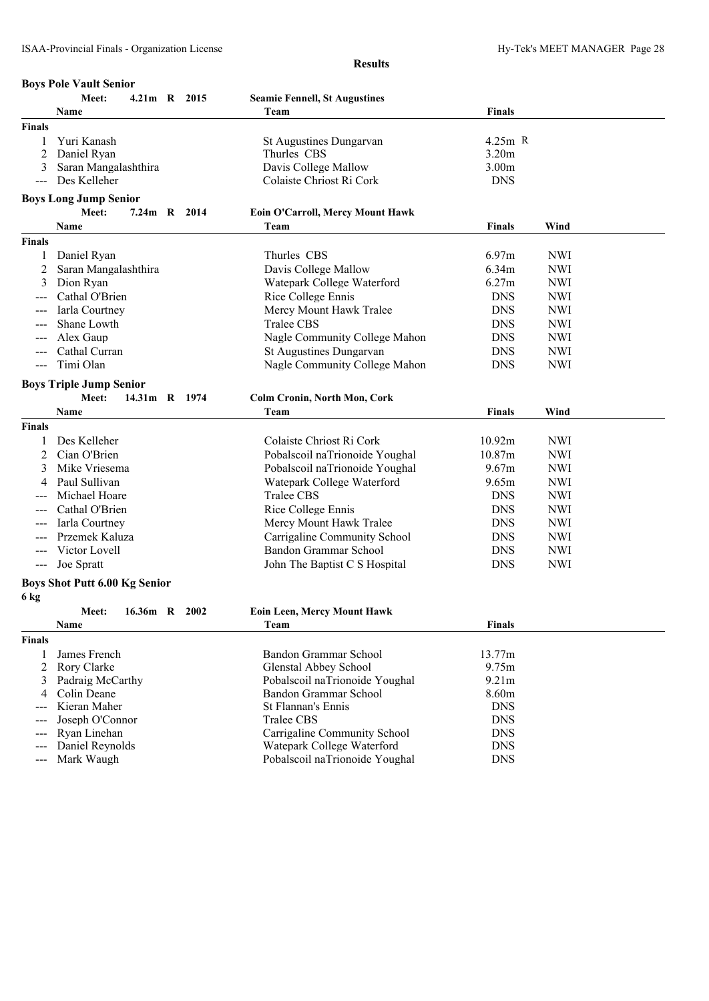|                | <b>Boys Pole Vault Senior</b>        |  |                                      |               |            |  |  |
|----------------|--------------------------------------|--|--------------------------------------|---------------|------------|--|--|
|                | Meet:<br>4.21m R 2015                |  | <b>Seamie Fennell, St Augustines</b> |               |            |  |  |
|                | Name                                 |  | Team                                 | Finals        |            |  |  |
| <b>Finals</b>  |                                      |  |                                      |               |            |  |  |
|                | Yuri Kanash                          |  | St Augustines Dungarvan              | $4.25m$ R     |            |  |  |
| 2              | Daniel Ryan                          |  | Thurles CBS                          | 3.20m         |            |  |  |
| 3              | Saran Mangalashthira                 |  | Davis College Mallow                 | 3.00m         |            |  |  |
| $\overline{a}$ | Des Kelleher                         |  | Colaiste Chriost Ri Cork             | <b>DNS</b>    |            |  |  |
|                | <b>Boys Long Jump Senior</b>         |  |                                      |               |            |  |  |
|                | 7.24m R 2014<br>Meet:                |  | Eoin O'Carroll, Mercy Mount Hawk     |               |            |  |  |
|                | Name                                 |  | Team                                 | <b>Finals</b> | Wind       |  |  |
| <b>Finals</b>  |                                      |  |                                      |               |            |  |  |
| 1              | Daniel Ryan                          |  | Thurles CBS                          | 6.97m         | <b>NWI</b> |  |  |
| 2              | Saran Mangalashthira                 |  | Davis College Mallow                 | 6.34m         | <b>NWI</b> |  |  |
| 3              | Dion Ryan                            |  | Watepark College Waterford           | 6.27m         | <b>NWI</b> |  |  |
|                | Cathal O'Brien                       |  | Rice College Ennis                   | <b>DNS</b>    | <b>NWI</b> |  |  |
|                | Iarla Courtney                       |  | Mercy Mount Hawk Tralee              | <b>DNS</b>    | <b>NWI</b> |  |  |
|                | Shane Lowth                          |  | <b>Tralee CBS</b>                    | <b>DNS</b>    | <b>NWI</b> |  |  |
|                | Alex Gaup                            |  | Nagle Community College Mahon        | <b>DNS</b>    | <b>NWI</b> |  |  |
| $---$          | Cathal Curran                        |  | St Augustines Dungarvan              | <b>DNS</b>    | <b>NWI</b> |  |  |
| ---            | Timi Olan                            |  | Nagle Community College Mahon        | <b>DNS</b>    | <b>NWI</b> |  |  |
|                |                                      |  |                                      |               |            |  |  |
|                | <b>Boys Triple Jump Senior</b>       |  |                                      |               |            |  |  |
|                | 14.31m R 1974<br>Meet:               |  | <b>Colm Cronin, North Mon, Cork</b>  |               |            |  |  |
|                | Name                                 |  | Team                                 | <b>Finals</b> | Wind       |  |  |
| <b>Finals</b>  |                                      |  |                                      |               |            |  |  |
|                | Des Kelleher                         |  | Colaiste Chriost Ri Cork             | 10.92m        | <b>NWI</b> |  |  |
| 2              | Cian O'Brien                         |  | Pobalscoil naTrionoide Youghal       | 10.87m        | <b>NWI</b> |  |  |
| 3              | Mike Vriesema                        |  | Pobalscoil naTrionoide Youghal       | 9.67m         | <b>NWI</b> |  |  |
|                | Paul Sullivan                        |  | Watepark College Waterford           | 9.65m         | <b>NWI</b> |  |  |
|                | Michael Hoare                        |  | <b>Tralee CBS</b>                    | <b>DNS</b>    | <b>NWI</b> |  |  |
|                | Cathal O'Brien                       |  | Rice College Ennis                   | <b>DNS</b>    | <b>NWI</b> |  |  |
|                | Iarla Courtney                       |  | Mercy Mount Hawk Tralee              | <b>DNS</b>    | <b>NWI</b> |  |  |
|                | Przemek Kaluza                       |  | Carrigaline Community School         | <b>DNS</b>    | <b>NWI</b> |  |  |
|                | Victor Lovell                        |  | Bandon Grammar School                | <b>DNS</b>    | <b>NWI</b> |  |  |
| $---$          | Joe Spratt                           |  | John The Baptist C S Hospital        | <b>DNS</b>    | <b>NWI</b> |  |  |
|                | <b>Boys Shot Putt 6.00 Kg Senior</b> |  |                                      |               |            |  |  |
| 6 kg           |                                      |  |                                      |               |            |  |  |
|                | Meet:<br>16.36m R 2002               |  | <b>Eoin Leen, Mercy Mount Hawk</b>   |               |            |  |  |
|                | Name                                 |  | Team                                 | <b>Finals</b> |            |  |  |
| <b>Finals</b>  |                                      |  |                                      |               |            |  |  |
| 1              | James French                         |  | Bandon Grammar School                | 13.77m        |            |  |  |
| 2              | Rory Clarke                          |  | Glenstal Abbey School                | 9.75m         |            |  |  |
| 3              | Padraig McCarthy                     |  | Pobalscoil naTrionoide Youghal       | 9.21m         |            |  |  |
| 4              | Colin Deane                          |  | Bandon Grammar School                | 8.60m         |            |  |  |
|                | Kieran Maher                         |  | St Flannan's Ennis                   | <b>DNS</b>    |            |  |  |
|                | Joseph O'Connor                      |  | <b>Tralee CBS</b>                    | <b>DNS</b>    |            |  |  |
| ---            | Ryan Linehan                         |  | Carrigaline Community School         | <b>DNS</b>    |            |  |  |
|                | Daniel Reynolds                      |  | Watepark College Waterford           | <b>DNS</b>    |            |  |  |
|                | Mark Waugh                           |  | Pobalscoil naTrionoide Youghal       | <b>DNS</b>    |            |  |  |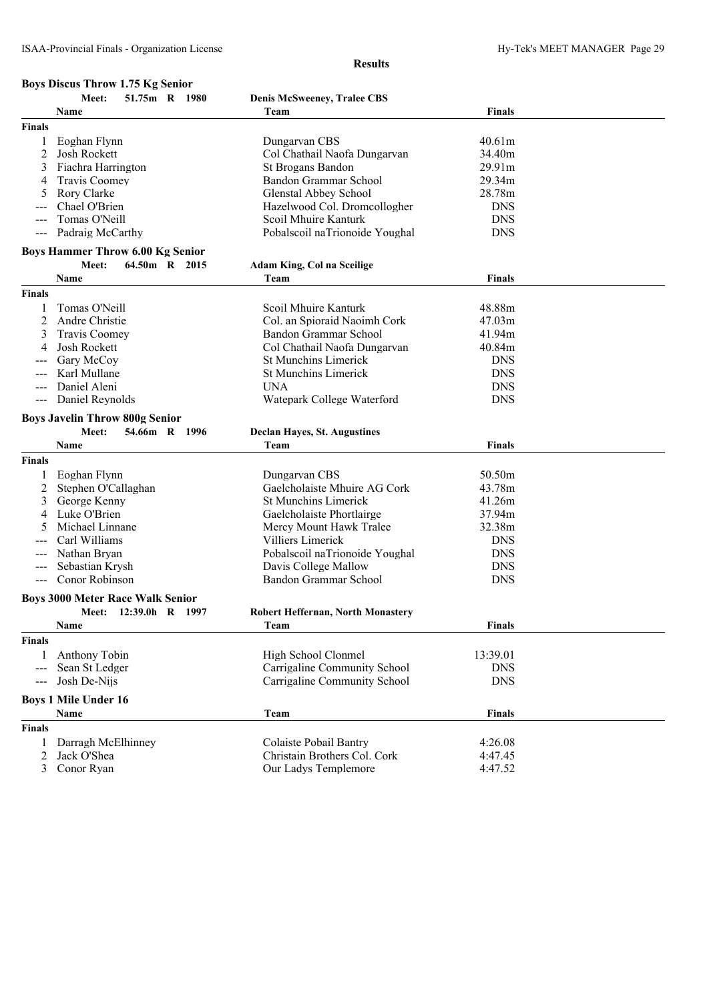### **Boys Discus Throw 1.75 Kg Senior**

|                                                                                                                                                                                                                                                                                                                                                                                              | 51.75m R 1980<br>Meet:                                           | <b>Denis McSweeney, Tralee CBS</b>       |               |  |
|----------------------------------------------------------------------------------------------------------------------------------------------------------------------------------------------------------------------------------------------------------------------------------------------------------------------------------------------------------------------------------------------|------------------------------------------------------------------|------------------------------------------|---------------|--|
|                                                                                                                                                                                                                                                                                                                                                                                              | Name                                                             | Team                                     | <b>Finals</b> |  |
| <b>Finals</b>                                                                                                                                                                                                                                                                                                                                                                                |                                                                  |                                          |               |  |
|                                                                                                                                                                                                                                                                                                                                                                                              | Eoghan Flynn                                                     | Dungarvan CBS                            | 40.61m        |  |
| 2                                                                                                                                                                                                                                                                                                                                                                                            | Josh Rockett                                                     | Col Chathail Naofa Dungarvan             | 34.40m        |  |
| 3                                                                                                                                                                                                                                                                                                                                                                                            | Fiachra Harrington                                               | St Brogans Bandon                        | 29.91m        |  |
| 4                                                                                                                                                                                                                                                                                                                                                                                            | Travis Coomey                                                    | Bandon Grammar School                    | 29.34m        |  |
| 5                                                                                                                                                                                                                                                                                                                                                                                            | Rory Clarke                                                      | Glenstal Abbey School                    | 28.78m        |  |
|                                                                                                                                                                                                                                                                                                                                                                                              | Chael O'Brien                                                    | Hazelwood Col. Dromcollogher             | <b>DNS</b>    |  |
|                                                                                                                                                                                                                                                                                                                                                                                              | Tomas O'Neill                                                    | Scoil Mhuire Kanturk                     | <b>DNS</b>    |  |
|                                                                                                                                                                                                                                                                                                                                                                                              | Padraig McCarthy                                                 | Pobalscoil naTrionoide Youghal           | <b>DNS</b>    |  |
|                                                                                                                                                                                                                                                                                                                                                                                              | <b>Boys Hammer Throw 6.00 Kg Senior</b>                          |                                          |               |  |
|                                                                                                                                                                                                                                                                                                                                                                                              | Meet:<br>64.50m R 2015                                           | Adam King, Col na Sceilige               |               |  |
|                                                                                                                                                                                                                                                                                                                                                                                              | Name                                                             | Team                                     | Finals        |  |
| <b>Finals</b>                                                                                                                                                                                                                                                                                                                                                                                |                                                                  |                                          |               |  |
| 1                                                                                                                                                                                                                                                                                                                                                                                            | Tomas O'Neill                                                    | Scoil Mhuire Kanturk                     | 48.88m        |  |
| 2                                                                                                                                                                                                                                                                                                                                                                                            | Andre Christie                                                   | Col. an Spioraid Naoimh Cork             | 47.03m        |  |
| 3                                                                                                                                                                                                                                                                                                                                                                                            | <b>Travis Coomey</b>                                             | Bandon Grammar School                    | 41.94m        |  |
| 4                                                                                                                                                                                                                                                                                                                                                                                            | Josh Rockett                                                     | Col Chathail Naofa Dungarvan             | 40.84m        |  |
|                                                                                                                                                                                                                                                                                                                                                                                              | Gary McCoy                                                       | <b>St Munchins Limerick</b>              | <b>DNS</b>    |  |
|                                                                                                                                                                                                                                                                                                                                                                                              | Karl Mullane                                                     | <b>St Munchins Limerick</b>              | <b>DNS</b>    |  |
| $---$                                                                                                                                                                                                                                                                                                                                                                                        | Daniel Aleni                                                     | <b>UNA</b>                               | <b>DNS</b>    |  |
| $---$                                                                                                                                                                                                                                                                                                                                                                                        | Daniel Reynolds                                                  | Watepark College Waterford               | <b>DNS</b>    |  |
|                                                                                                                                                                                                                                                                                                                                                                                              | <b>Boys Javelin Throw 800g Senior</b>                            |                                          |               |  |
|                                                                                                                                                                                                                                                                                                                                                                                              | Meet:<br>54.66m R 1996                                           | <b>Declan Hayes, St. Augustines</b>      |               |  |
|                                                                                                                                                                                                                                                                                                                                                                                              | Name                                                             | Team                                     | <b>Finals</b> |  |
| Finals                                                                                                                                                                                                                                                                                                                                                                                       |                                                                  |                                          |               |  |
|                                                                                                                                                                                                                                                                                                                                                                                              | Eoghan Flynn                                                     | Dungarvan CBS                            | 50.50m        |  |
| 2                                                                                                                                                                                                                                                                                                                                                                                            | Stephen O'Callaghan                                              | Gaelcholaiste Mhuire AG Cork             | 43.78m        |  |
| 3                                                                                                                                                                                                                                                                                                                                                                                            | George Kenny                                                     | <b>St Munchins Limerick</b>              | 41.26m        |  |
| 4                                                                                                                                                                                                                                                                                                                                                                                            | Luke O'Brien                                                     | Gaelcholaiste Phortlairge                | 37.94m        |  |
|                                                                                                                                                                                                                                                                                                                                                                                              | Michael Linnane                                                  | Mercy Mount Hawk Tralee                  | 32.38m        |  |
|                                                                                                                                                                                                                                                                                                                                                                                              | Carl Williams                                                    | Villiers Limerick                        | <b>DNS</b>    |  |
|                                                                                                                                                                                                                                                                                                                                                                                              | Nathan Bryan                                                     | Pobalscoil naTrionoide Youghal           | <b>DNS</b>    |  |
|                                                                                                                                                                                                                                                                                                                                                                                              | Sebastian Krysh                                                  | Davis College Mallow                     | <b>DNS</b>    |  |
| $\frac{1}{2} \frac{1}{2} \frac{1}{2} \frac{1}{2} \frac{1}{2} \frac{1}{2} \frac{1}{2} \frac{1}{2} \frac{1}{2} \frac{1}{2} \frac{1}{2} \frac{1}{2} \frac{1}{2} \frac{1}{2} \frac{1}{2} \frac{1}{2} \frac{1}{2} \frac{1}{2} \frac{1}{2} \frac{1}{2} \frac{1}{2} \frac{1}{2} \frac{1}{2} \frac{1}{2} \frac{1}{2} \frac{1}{2} \frac{1}{2} \frac{1}{2} \frac{1}{2} \frac{1}{2} \frac{1}{2} \frac{$ | Conor Robinson                                                   | Bandon Grammar School                    | <b>DNS</b>    |  |
|                                                                                                                                                                                                                                                                                                                                                                                              |                                                                  |                                          |               |  |
|                                                                                                                                                                                                                                                                                                                                                                                              | <b>Boys 3000 Meter Race Walk Senior</b><br>Meet: 12:39.0h R 1997 | <b>Robert Heffernan, North Monastery</b> |               |  |
|                                                                                                                                                                                                                                                                                                                                                                                              | Name                                                             | Team                                     | Finals        |  |
| Finals                                                                                                                                                                                                                                                                                                                                                                                       |                                                                  |                                          |               |  |
|                                                                                                                                                                                                                                                                                                                                                                                              | Anthony Tobin                                                    | High School Clonmel                      | 13:39.01      |  |
| $\qquad \qquad - -$                                                                                                                                                                                                                                                                                                                                                                          | Sean St Ledger                                                   | Carrigaline Community School             | <b>DNS</b>    |  |
| $--$                                                                                                                                                                                                                                                                                                                                                                                         | Josh De-Nijs                                                     | Carrigaline Community School             | <b>DNS</b>    |  |
|                                                                                                                                                                                                                                                                                                                                                                                              |                                                                  |                                          |               |  |
|                                                                                                                                                                                                                                                                                                                                                                                              | <b>Boys 1 Mile Under 16</b>                                      |                                          |               |  |
|                                                                                                                                                                                                                                                                                                                                                                                              | Name                                                             | Team                                     | <b>Finals</b> |  |
| <b>Finals</b>                                                                                                                                                                                                                                                                                                                                                                                |                                                                  |                                          |               |  |
| 1                                                                                                                                                                                                                                                                                                                                                                                            | Darragh McElhinney                                               | Colaiste Pobail Bantry                   | 4:26.08       |  |
| 2                                                                                                                                                                                                                                                                                                                                                                                            | Jack O'Shea                                                      | Christain Brothers Col. Cork             | 4:47.45       |  |
| 3                                                                                                                                                                                                                                                                                                                                                                                            | Conor Ryan                                                       | Our Ladys Templemore                     | 4:47.52       |  |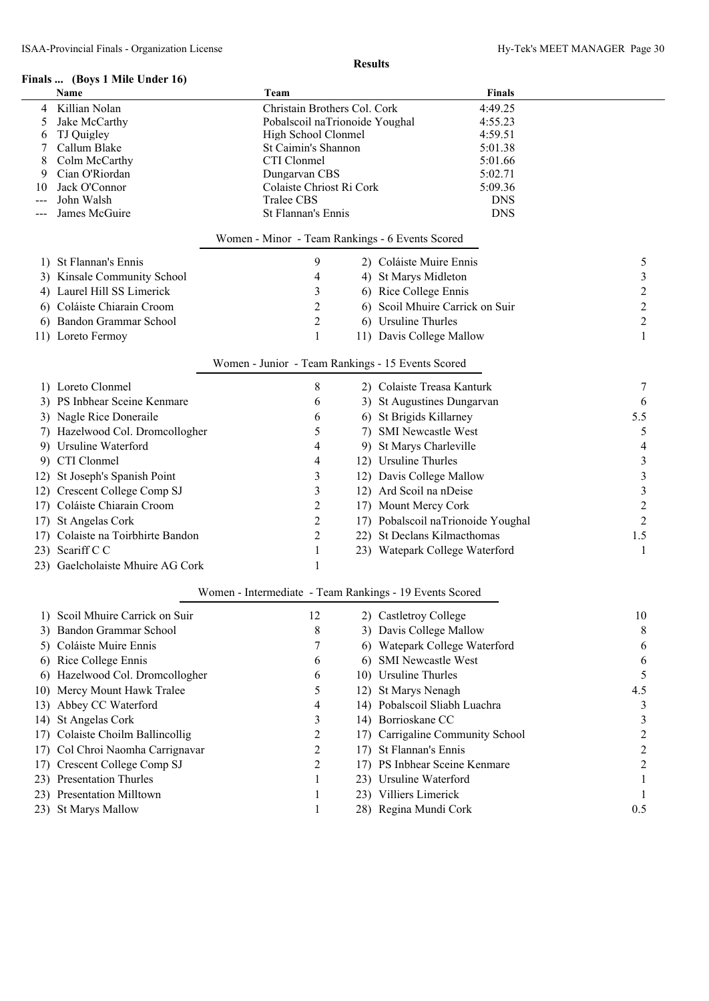## **Finals ... (Boys 1 Mile Under 16)**

|        | inais    (Boys I Mile Under 16)   |             |                                |                                                         |                          |
|--------|-----------------------------------|-------------|--------------------------------|---------------------------------------------------------|--------------------------|
|        | Name                              | Team        |                                | <b>Finals</b>                                           |                          |
| 4      | Killian Nolan                     |             | Christain Brothers Col. Cork   | 4:49.25                                                 |                          |
| 5      | Jake McCarthy                     |             | Pobalscoil naTrionoide Youghal | 4:55.23                                                 |                          |
| 6      | TJ Quigley                        |             | High School Clonmel            | 4:59.51                                                 |                          |
| 7      | Callum Blake                      |             | St Caimin's Shannon            | 5:01.38                                                 |                          |
| 8<br>9 | Colm McCarthy<br>Cian O'Riordan   | CTI Clonmel | Dungarvan CBS                  | 5:01.66<br>5:02.71                                      |                          |
| 10     | Jack O'Connor                     |             | Colaiste Chriost Ri Cork       | 5:09.36                                                 |                          |
|        | John Walsh                        | Tralee CBS  |                                | <b>DNS</b>                                              |                          |
|        | James McGuire                     |             | St Flannan's Ennis             | <b>DNS</b>                                              |                          |
|        |                                   |             |                                |                                                         |                          |
|        |                                   |             |                                | Women - Minor - Team Rankings - 6 Events Scored         |                          |
|        | 1) St Flannan's Ennis             |             | 9                              | 2) Coláiste Muire Ennis                                 | 5                        |
|        | 3) Kinsale Community School       |             | 4                              | 4) St Marys Midleton                                    | $\mathfrak{Z}$           |
|        | 4) Laurel Hill SS Limerick        |             | $\mathfrak{Z}$                 | 6) Rice College Ennis                                   | $\overline{c}$           |
|        | 6) Coláiste Chiarain Croom        |             | $\overline{2}$                 | 6) Scoil Mhuire Carrick on Suir                         | $\overline{c}$           |
|        | 6) Bandon Grammar School          |             | $\overline{c}$                 | 6) Ursuline Thurles                                     | $\overline{c}$           |
|        | 11) Loreto Fermoy                 |             | 1                              | 11) Davis College Mallow                                | $\mathbf{1}$             |
|        |                                   |             |                                | Women - Junior - Team Rankings - 15 Events Scored       |                          |
|        | 1) Loreto Clonmel                 |             | 8                              | 2) Colaiste Treasa Kanturk                              | 7                        |
|        | 3) PS Inbhear Sceine Kenmare      |             | 6                              | 3) St Augustines Dungarvan                              | 6                        |
|        |                                   |             |                                | 6) St Brigids Killarney                                 | 5.5                      |
|        | 3) Nagle Rice Doneraile           |             | 6                              |                                                         |                          |
|        | 7) Hazelwood Col. Dromcollogher   |             | 5                              | 7) SMI Newcastle West                                   | 5                        |
|        | 9) Ursuline Waterford             |             | 4                              | 9) St Marys Charleville                                 | $\overline{\mathcal{L}}$ |
|        | 9) CTI Clonmel                    |             | 4                              | 12) Ursuline Thurles                                    | $\mathfrak{Z}$           |
|        | 12) St Joseph's Spanish Point     |             | 3                              | 12) Davis College Mallow                                | $\mathfrak{Z}$           |
|        | 12) Crescent College Comp SJ      |             | 3                              | 12) Ard Scoil na nDeise                                 | $\mathfrak{Z}$           |
|        | 17) Coláiste Chiarain Croom       |             | $\overline{c}$                 | 17) Mount Mercy Cork                                    | $\overline{c}$           |
|        | 17) St Angelas Cork               |             | $\overline{c}$                 | 17) Pobalscoil naTrionoide Youghal                      | $\overline{2}$           |
|        | 17) Colaiste na Toirbhirte Bandon |             | $\overline{c}$                 | 22) St Declans Kilmacthomas                             | 1.5                      |
|        | 23) Scariff C C                   |             | $\mathbf{1}$                   | 23) Watepark College Waterford                          | 1                        |
|        | 23) Gaelcholaiste Mhuire AG Cork  |             | 1                              |                                                         |                          |
|        |                                   |             |                                | Women - Intermediate - Team Rankings - 19 Events Scored |                          |
|        | Scoil Mhuire Carrick on Suir      |             | 12                             | 2) Castletroy College                                   | 10                       |
| 3)     | Bandon Grammar School             |             | 8                              | 3) Davis College Mallow                                 | 8                        |
|        | 5) Coláiste Muire Ennis           |             | 7                              | 6) Watepark College Waterford                           | 6                        |
|        | 6) Rice College Ennis             |             | 6                              | 6) SMI Newcastle West                                   | 6                        |
|        | 6) Hazelwood Col. Dromcollogher   |             | 6                              | 10) Ursuline Thurles                                    | 5                        |
|        | 10) Mercy Mount Hawk Tralee       |             | 5                              | 12) St Marys Nenagh                                     | 4.5                      |
|        | 13) Abbey CC Waterford            |             | 4                              | 14) Pobalscoil Sliabh Luachra                           | 3                        |
|        | 14) St Angelas Cork               |             | 3                              | 14) Borrioskane CC                                      | 3                        |
|        | 17) Colaiste Choilm Ballincollig  |             | $\overline{c}$                 | 17) Carrigaline Community School                        | $\overline{c}$           |
| 17)    | Col Chroi Naomha Carrignavar      |             | $\overline{2}$                 | 17) St Flannan's Ennis                                  | $\overline{c}$           |
|        | 17) Crescent College Comp SJ      |             | $\overline{2}$                 | 17) PS Inbhear Sceine Kenmare                           | $\overline{c}$           |
|        | 23) Presentation Thurles          |             | 1                              | 23) Ursuline Waterford                                  |                          |
|        | 23) Presentation Milltown         |             |                                | 23) Villiers Limerick                                   |                          |
|        | 23) St Marys Mallow               |             |                                | 28) Regina Mundi Cork                                   | 0.5                      |
|        |                                   |             |                                |                                                         |                          |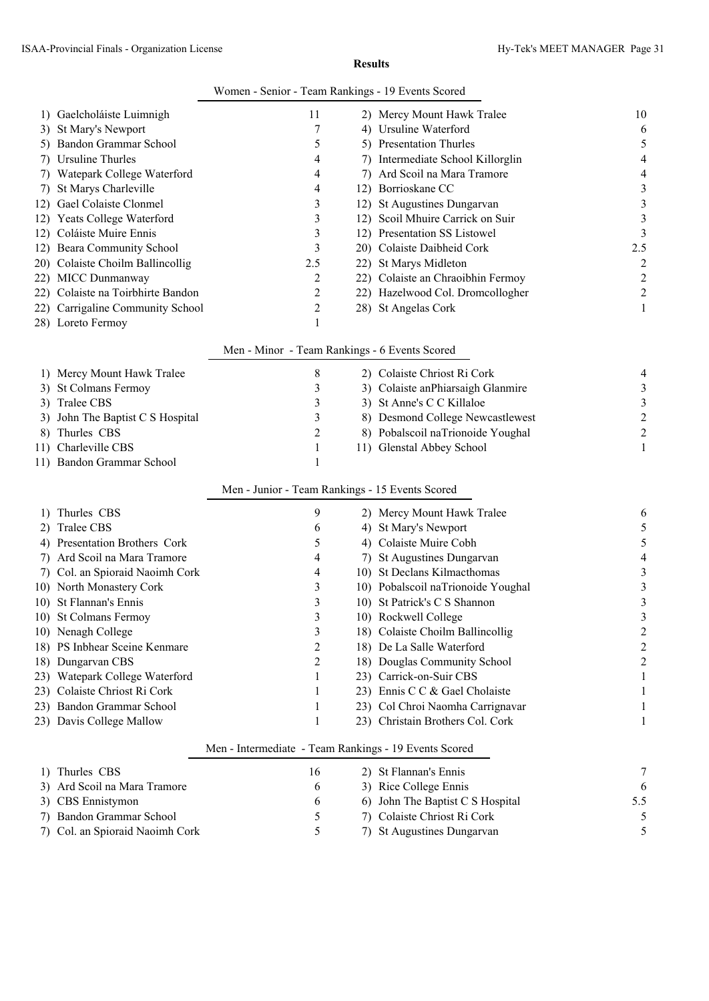|    | ISAA-Provincial Finals - Organization License |                                                       | <b>Results</b>                     | Hy-Tek's MEET MANAGER Page 31 |
|----|-----------------------------------------------|-------------------------------------------------------|------------------------------------|-------------------------------|
|    |                                               | Women - Senior - Team Rankings - 19 Events Scored     |                                    |                               |
|    | 1) Gaelcholáiste Luimnigh                     | 11                                                    | 2) Mercy Mount Hawk Tralee         | 10                            |
|    | 3) St Mary's Newport                          | 7                                                     | 4) Ursuline Waterford              | 6                             |
|    | 5) Bandon Grammar School                      | 5                                                     | 5) Presentation Thurles            | 5                             |
|    | 7) Ursuline Thurles                           | 4                                                     | 7) Intermediate School Killorglin  | 4                             |
|    | 7) Watepark College Waterford                 | 4                                                     | 7) Ard Scoil na Mara Tramore       | 4                             |
| 7) | St Marys Charleville                          | 4                                                     | 12) Borrioskane CC                 | 3                             |
|    | 12) Gael Colaiste Clonmel                     | 3                                                     | 12) St Augustines Dungarvan        | 3                             |
|    | 12) Yeats College Waterford                   | 3                                                     | 12) Scoil Mhuire Carrick on Suir   | 3                             |
|    | 12) Coláiste Muire Ennis                      | 3                                                     | 12) Presentation SS Listowel       | 3                             |
|    | 12) Beara Community School                    | 3                                                     | 20) Colaiste Daibheid Cork         | 2.5                           |
|    | 20) Colaiste Choilm Ballincollig              | 2.5                                                   | 22) St Marys Midleton              | 2                             |
|    | 22) MICC Dunmanway                            | 2                                                     | 22) Colaiste an Chraoibhin Fermoy  | 2                             |
|    | 22) Colaiste na Toirbhirte Bandon             | 2                                                     | 22) Hazelwood Col. Dromcollogher   | $\overline{c}$                |
|    | 22) Carrigaline Community School              | 2                                                     | 28) St Angelas Cork                | 1                             |
|    | 28) Loreto Fermoy                             | 1                                                     |                                    |                               |
|    |                                               | Men - Minor - Team Rankings - 6 Events Scored         |                                    |                               |
|    | 1) Mercy Mount Hawk Tralee                    | 8                                                     | 2) Colaiste Chriost Ri Cork        | 4                             |
|    | 3) St Colmans Fermoy                          | 3                                                     | 3) Colaiste anPhiarsaigh Glanmire  | 3                             |
|    | 3) Tralee CBS                                 | 3                                                     | 3) St Anne's C C Killaloe          | 3                             |
|    | 3) John The Baptist C S Hospital              | 3                                                     | 8) Desmond College Newcastlewest   | $\overline{c}$                |
|    | 8) Thurles CBS                                | 2                                                     | 8) Pobalscoil naTrionoide Youghal  | $\overline{c}$                |
|    | 11) Charleville CBS                           | 1                                                     | 11) Glenstal Abbey School          | 1                             |
|    | 11) Bandon Grammar School                     | 1                                                     |                                    |                               |
|    |                                               | Men - Junior - Team Rankings - 15 Events Scored       |                                    |                               |
|    | 1) Thurles CBS                                | 9                                                     | 2) Mercy Mount Hawk Tralee         | 6                             |
|    | 2) Tralee CBS                                 | 6                                                     | 4) St Mary's Newport               | 5                             |
|    | 4) Presentation Brothers Cork                 | 5                                                     | 4) Colaiste Muire Cobh             | 5                             |
|    | 7) Ard Scoil na Mara Tramore                  | 4                                                     | 7) St Augustines Dungarvan         |                               |
|    | 7) Col. an Spioraid Naoimh Cork               | 4                                                     | 10) St Declans Kilmacthomas        | 3                             |
|    | 10) North Monastery Cork                      | 3                                                     | 10) Pobalscoil naTrionoide Youghal | 3                             |
|    | 10) St Flannan's Ennis                        | 3                                                     | 10) St Patrick's C S Shannon       | 3                             |
|    | 10) St Colmans Fermoy                         | 3                                                     | 10) Rockwell College               | 3                             |
|    | 10) Nenagh College                            | 3                                                     | 18) Colaiste Choilm Ballincollig   | 2                             |
|    | 18) PS Inbhear Sceine Kenmare                 | 2                                                     | 18) De La Salle Waterford          | 2                             |
|    | 18) Dungarvan CBS                             | 2                                                     | 18) Douglas Community School       | 2                             |
|    | 23) Watepark College Waterford                | 1                                                     | 23) Carrick-on-Suir CBS            |                               |
|    | 23) Colaiste Chriost Ri Cork                  | 1                                                     | 23) Ennis C C & Gael Cholaiste     |                               |
|    | 23) Bandon Grammar School                     | 1                                                     | 23) Col Chroi Naomha Carrignavar   |                               |
|    | 23) Davis College Mallow                      | 1                                                     | 23) Christain Brothers Col. Cork   |                               |
|    |                                               | Men - Intermediate - Team Rankings - 19 Events Scored |                                    |                               |
|    | 1) Thurles CBS                                | 16                                                    | 2) St Flannan's Ennis              | 7                             |
|    | 3) Ard Scoil na Mara Tramore                  | 6                                                     | 3) Rice College Ennis              | 6                             |
|    | 3) CBS Ennistymon                             | 6                                                     | 6) John The Baptist C S Hospital   | 5.5                           |
|    | 7) Bandon Grammar School                      | 5                                                     | 7) Colaiste Chriost Ri Cork        | 5                             |

7) Col. an Spioraid Naoimh Cork 5 7) St Augustines Dungarvan 5